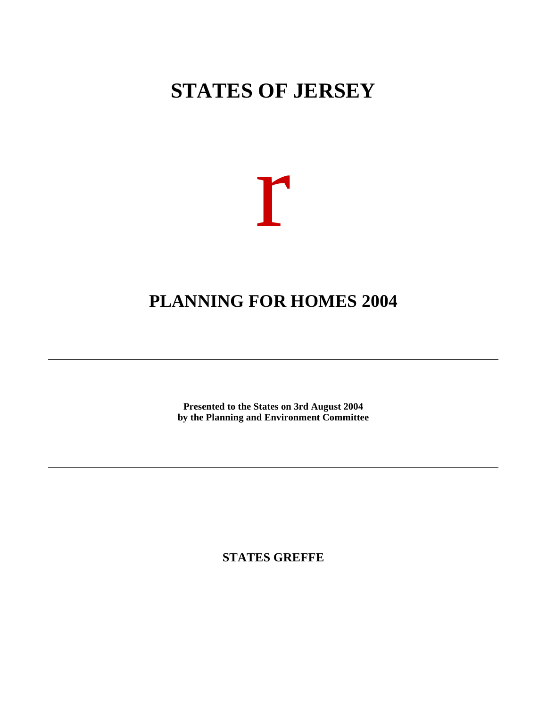# **STATES OF JERSEY**



## **PLANNING FOR HOMES 2004**

**Presented to the States on 3rd August 2004 by the Planning and Environment Committee**

**STATES GREFFE**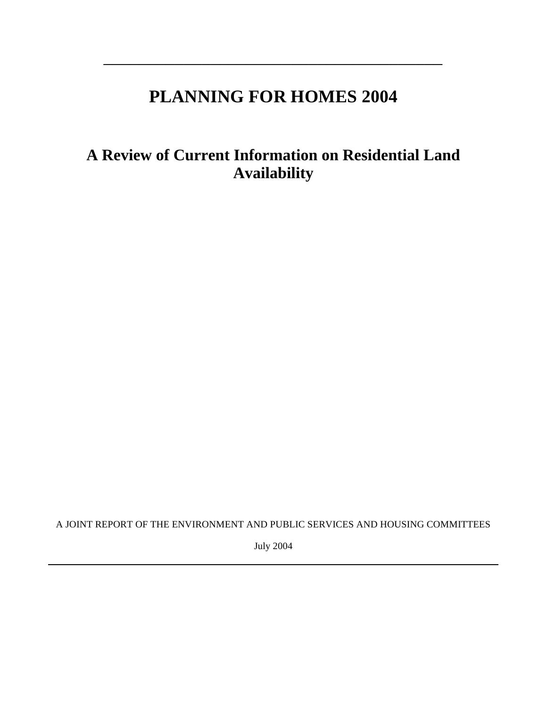## **PLANNING FOR HOMES 2004**

 $\overline{\phantom{a}}$  , where  $\overline{\phantom{a}}$  , where  $\overline{\phantom{a}}$  , where  $\overline{\phantom{a}}$  , where  $\overline{\phantom{a}}$  , where  $\overline{\phantom{a}}$ 

**A Review of Current Information on Residential Land Availability**

A JOINT REPORT OF THE ENVIRONMENT AND PUBLIC SERVICES AND HOUSING COMMITTEES

July 2004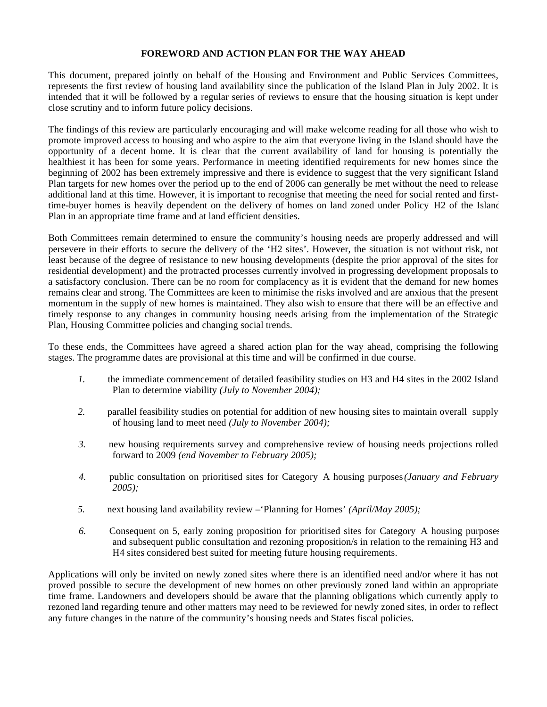## **FOREWORD AND ACTION PLAN FOR THE WAY AHEAD**

This document, prepared jointly on behalf of the Housing and Environment and Public Services Committees, represents the first review of housing land availability since the publication of the Island Plan in July 2002. It is intended that it will be followed by a regular series of reviews to ensure that the housing situation is kept under close scrutiny and to inform future policy decisions.

The findings of this review are particularly encouraging and will make welcome reading for all those who wish to promote improved access to housing and who aspire to the aim that everyone living in the Island should have the opportunity of a decent home. It is clear that the current availability of land for housing is potentially the healthiest it has been for some years. Performance in meeting identified requirements for new homes since the beginning of 2002 has been extremely impressive and there is evidence to suggest that the very significant Island Plan targets for new homes over the period up to the end of 2006 can generally be met without the need to release additional land at this time. However, it is important to recognise that meeting the need for social rented and firsttime-buyer homes is heavily dependent on the delivery of homes on land zoned under Policy H2 of the Island Plan in an appropriate time frame and at land efficient densities.

Both Committees remain determined to ensure the community's housing needs are properly addressed and will persevere in their efforts to secure the delivery of the 'H2 sites'. However, the situation is not without risk, not least because of the degree of resistance to new housing developments (despite the prior approval of the sites for residential development) and the protracted processes currently involved in progressing development proposals to a satisfactory conclusion. There can be no room for complacency as it is evident that the demand for new homes remains clear and strong. The Committees are keen to minimise the risks involved and are anxious that the present momentum in the supply of new homes is maintained. They also wish to ensure that there will be an effective and timely response to any changes in community housing needs arising from the implementation of the Strategic Plan, Housing Committee policies and changing social trends.

To these ends, the Committees have agreed a shared action plan for the way ahead, comprising the following stages. The programme dates are provisional at this time and will be confirmed in due course.

- *1.* the immediate commencement of detailed feasibility studies on H3 and H4 sites in the 2002 Island Plan to determine viability *(July to November 2004);*
- *2.* parallel feasibility studies on potential for addition of new housing sites to maintain overall supply of housing land to meet need *(July to November 2004);*
- *3.* new housing requirements survey and comprehensive review of housing needs projections rolled forward to 2009 *(end November to February 2005);*
- *4.* public consultation on prioritised sites for Category A housing purposes*(January and February 2005);*
- *5.* next housing land availability review –'Planning for Homes' *(April/May 2005);*
- *6.* Consequent on 5, early zoning proposition for prioritised sites for Category A housing purposes and subsequent public consultation and rezoning proposition/s in relation to the remaining H3 and H4 sites considered best suited for meeting future housing requirements.

Applications will only be invited on newly zoned sites where there is an identified need and/or where it has not proved possible to secure the development of new homes on other previously zoned land within an appropriate time frame. Landowners and developers should be aware that the planning obligations which currently apply to rezoned land regarding tenure and other matters may need to be reviewed for newly zoned sites, in order to reflect any future changes in the nature of the community's housing needs and States fiscal policies.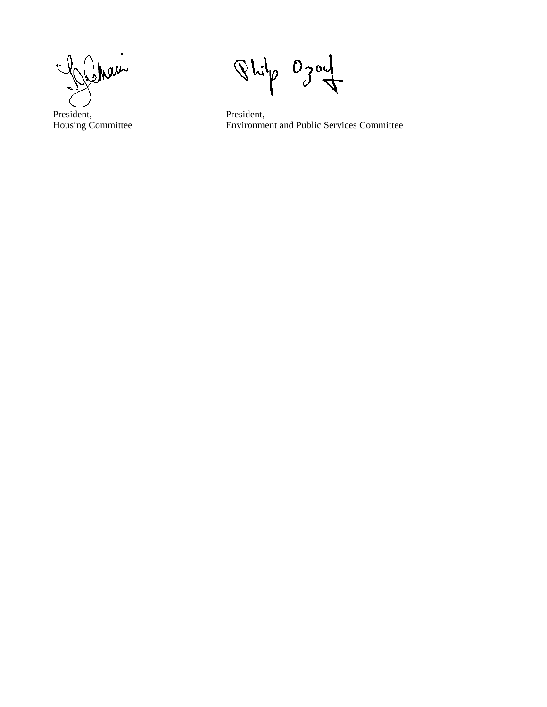Shaw

President, Housing Committee

 $0<sub>j</sub>$  $Q$   $h$ i $h$ O٩

President, Environment and Public Services Committee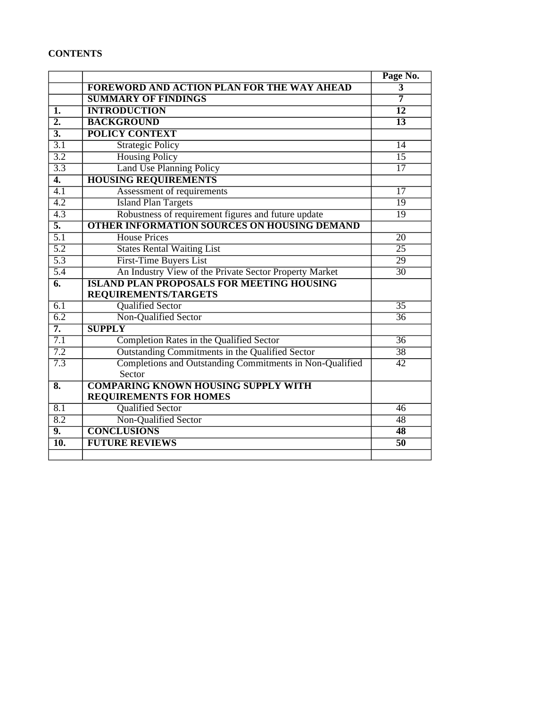## **CONTENTS**

|                           |                                                          | Page No.        |
|---------------------------|----------------------------------------------------------|-----------------|
|                           | <b>FOREWORD AND ACTION PLAN FOR THE WAY AHEAD</b>        | $\overline{3}$  |
|                           | <b>SUMMARY OF FINDINGS</b>                               | $\overline{7}$  |
| $\overline{1}$ .          | <b>INTRODUCTION</b>                                      | $\overline{12}$ |
| $\overline{2}$ .          | <b>BACKGROUND</b>                                        | $\overline{13}$ |
| $\overline{3}$ .          | <b>POLICY CONTEXT</b>                                    |                 |
| $\overline{3.1}$          | <b>Strategic Policy</b>                                  | 14              |
| $\overline{3.2}$          | <b>Housing Policy</b>                                    | $\overline{15}$ |
| 3.3                       | <b>Land Use Planning Policy</b>                          | $\overline{17}$ |
| $\overline{4.}$           | <b>HOUSING REQUIREMENTS</b>                              |                 |
| $\overline{4.1}$          | Assessment of requirements                               | $\overline{17}$ |
| $\overline{4.2}$          | <b>Island Plan Targets</b>                               | $\overline{19}$ |
| $\overline{4.3}$          | Robustness of requirement figures and future update      | $\overline{19}$ |
| $\overline{5}$ .          | <b>OTHER INFORMATION SOURCES ON HOUSING DEMAND</b>       |                 |
| $\overline{5.1}$          | <b>House Prices</b>                                      | $\overline{20}$ |
| 5.2                       | <b>States Rental Waiting List</b>                        | $\overline{25}$ |
| $\overline{5.3}$          | <b>First-Time Buyers List</b>                            | $\overline{29}$ |
| 5.4                       | An Industry View of the Private Sector Property Market   | 30              |
| $\overline{6}$ .          | <b>ISLAND PLAN PROPOSALS FOR MEETING HOUSING</b>         |                 |
|                           | <b>REQUIREMENTS/TARGETS</b>                              |                 |
| 6.1                       | <b>Qualified Sector</b>                                  | $\overline{35}$ |
| $\overline{6.2}$          | Non-Qualified Sector                                     | $\overline{36}$ |
| $\overline{7}$ .          | <b>SUPPLY</b>                                            |                 |
| $\overline{7.1}$          | Completion Rates in the Qualified Sector                 | $\overline{36}$ |
| 7.2                       | Outstanding Commitments in the Qualified Sector          | $\overline{38}$ |
| 7.3                       | Completions and Outstanding Commitments in Non-Qualified | $\overline{42}$ |
|                           | Sector                                                   |                 |
| $\overline{\mathbf{8}}$ . | <b>COMPARING KNOWN HOUSING SUPPLY WITH</b>               |                 |
|                           | <b>REQUIREMENTS FOR HOMES</b>                            |                 |
| $\overline{8.1}$          | <b>Qualified Sector</b>                                  | 46              |
| $\overline{8.2}$          | Non-Qualified Sector                                     | 48              |
| 9.                        | <b>CONCLUSIONS</b>                                       | $\overline{48}$ |
| $\overline{10}$ .         | <b>FUTURE REVIEWS</b>                                    | $\overline{50}$ |
|                           |                                                          |                 |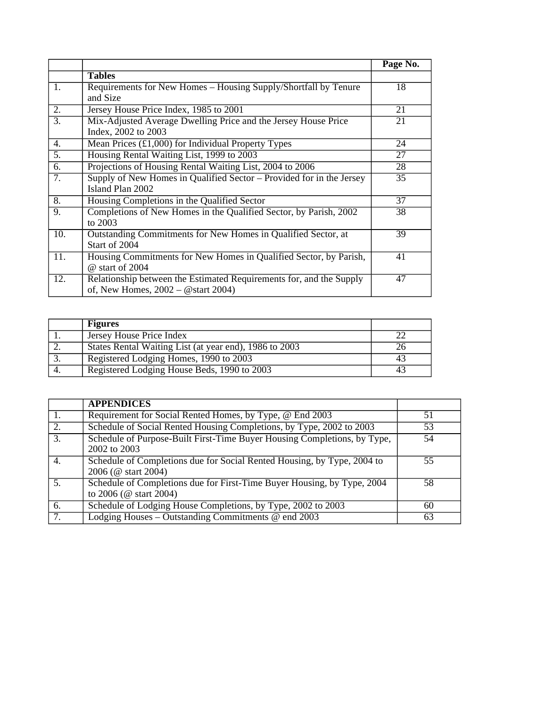|                   |                                                                      | Page No. |
|-------------------|----------------------------------------------------------------------|----------|
|                   | <b>Tables</b>                                                        |          |
| 1.                | Requirements for New Homes - Housing Supply/Shortfall by Tenure      | 18       |
|                   | and Size                                                             |          |
| 2.                | Jersey House Price Index, 1985 to 2001                               | 21       |
| $\overline{3}$ .  | Mix-Adjusted Average Dwelling Price and the Jersey House Price       | 21       |
|                   | Index, 2002 to 2003                                                  |          |
| 4.                | Mean Prices $\overline{(t1,000)}$ for Individual Property Types      | 24       |
| 5.                | Housing Rental Waiting List, 1999 to 2003                            | 27       |
| 6.                | Projections of Housing Rental Waiting List, 2004 to 2006             | 28       |
| 7.                | Supply of New Homes in Qualified Sector – Provided for in the Jersey | 35       |
|                   | Island Plan 2002                                                     |          |
| $\overline{8}$ .  | Housing Completions in the Qualified Sector                          | 37       |
| 9.                | Completions of New Homes in the Qualified Sector, by Parish, 2002    | 38       |
|                   | to $2003$                                                            |          |
| 10.               | Outstanding Commitments for New Homes in Qualified Sector, at        | 39       |
|                   | Start of 2004                                                        |          |
| $\overline{11}$ . | Housing Commitments for New Homes in Qualified Sector, by Parish,    | 41       |
|                   | @ start of 2004                                                      |          |
| 12.               | Relationship between the Estimated Requirements for, and the Supply  | 47       |
|                   | of, New Homes, $2002 - \omega$ start 2004)                           |          |

| <b>Figures</b>                                         |  |
|--------------------------------------------------------|--|
| Jersey House Price Index                               |  |
| States Rental Waiting List (at year end), 1986 to 2003 |  |
| Registered Lodging Homes, 1990 to 2003                 |  |
| Registered Lodging House Beds, 1990 to 2003            |  |

|                  | <b>APPENDICES</b>                                                        |    |
|------------------|--------------------------------------------------------------------------|----|
| 1.               | Requirement for Social Rented Homes, by Type, @ End 2003                 | 51 |
| $\overline{2}$ . | Schedule of Social Rented Housing Completions, by Type, 2002 to 2003     | 53 |
| $\overline{3}$ . | Schedule of Purpose-Built First-Time Buyer Housing Completions, by Type, | 54 |
|                  | 2002 to 2003                                                             |    |
| 4.               | Schedule of Completions due for Social Rented Housing, by Type, 2004 to  | 55 |
|                  | 2006 (@ start 2004)                                                      |    |
| 5.               | Schedule of Completions due for First-Time Buyer Housing, by Type, 2004  | 58 |
|                  | to 2006 ( $@$ start 2004)                                                |    |
| 6.               | Schedule of Lodging House Completions, by Type, 2002 to 2003             | 60 |
| $\overline{7}$ . | Lodging Houses – Outstanding Commitments $@$ end $2003$                  | 63 |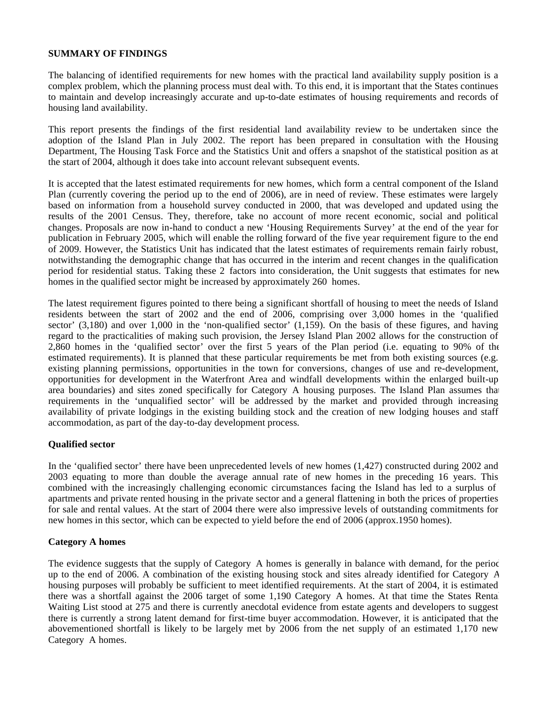### **SUMMARY OF FINDINGS**

The balancing of identified requirements for new homes with the practical land availability supply position is a complex problem, which the planning process must deal with. To this end, it is important that the States continues to maintain and develop increasingly accurate and up-to-date estimates of housing requirements and records of housing land availability.

This report presents the findings of the first residential land availability review to be undertaken since the adoption of the Island Plan in July 2002. The report has been prepared in consultation with the Housing Department, The Housing Task Force and the Statistics Unit and offers a snapshot of the statistical position as at the start of 2004, although it does take into account relevant subsequent events.

It is accepted that the latest estimated requirements for new homes, which form a central component of the Island Plan (currently covering the period up to the end of 2006), are in need of review. These estimates were largely based on information from a household survey conducted in 2000, that was developed and updated using the results of the 2001 Census. They, therefore, take no account of more recent economic, social and political changes. Proposals are now in-hand to conduct a new 'Housing Requirements Survey' at the end of the year for publication in February 2005, which will enable the rolling forward of the five year requirement figure to the end of 2009. However, the Statistics Unit has indicated that the latest estimates of requirements remain fairly robust, notwithstanding the demographic change that has occurred in the interim and recent changes in the qualification period for residential status. Taking these 2 factors into consideration, the Unit suggests that estimates for new homes in the qualified sector might be increased by approximately 260 homes.

The latest requirement figures pointed to there being a significant shortfall of housing to meet the needs of Island residents between the start of 2002 and the end of 2006, comprising over 3,000 homes in the 'qualified sector' (3,180) and over 1,000 in the 'non-qualified sector' (1,159). On the basis of these figures, and having regard to the practicalities of making such provision, the Jersey Island Plan 2002 allows for the construction of 2,860 homes in the 'qualified sector' over the first 5 years of the Plan period (i.e. equating to 90% of the estimated requirements). It is planned that these particular requirements be met from both existing sources (e.g. existing planning permissions, opportunities in the town for conversions, changes of use and re-development, opportunities for development in the Waterfront Area and windfall developments within the enlarged built-up area boundaries) and sites zoned specifically for Category A housing purposes. The Island Plan assumes that requirements in the 'unqualified sector' will be addressed by the market and provided through increasing availability of private lodgings in the existing building stock and the creation of new lodging houses and staff accommodation, as part of the day-to-day development process.

#### **Qualified sector**

In the 'qualified sector' there have been unprecedented levels of new homes (1,427) constructed during 2002 and 2003 equating to more than double the average annual rate of new homes in the preceding 16 years. This, combined with the increasingly challenging economic circumstances facing the Island has led to a surplus of apartments and private rented housing in the private sector and a general flattening in both the prices of properties for sale and rental values. At the start of 2004 there were also impressive levels of outstanding commitments for new homes in this sector, which can be expected to yield before the end of 2006 (approx.1950 homes).

#### **Category A homes**

The evidence suggests that the supply of Category A homes is generally in balance with demand, for the period up to the end of 2006. A combination of the existing housing stock and sites already identified for Category A housing purposes will probably be sufficient to meet identified requirements. At the start of 2004, it is estimated there was a shortfall against the 2006 target of some 1,190 Category A homes. At that time the States Rental Waiting List stood at 275 and there is currently anecdotal evidence from estate agents and developers to suggest there is currently a strong latent demand for first-time buyer accommodation. However, it is anticipated that the abovementioned shortfall is likely to be largely met by 2006 from the net supply of an estimated 1,170 new Category A homes.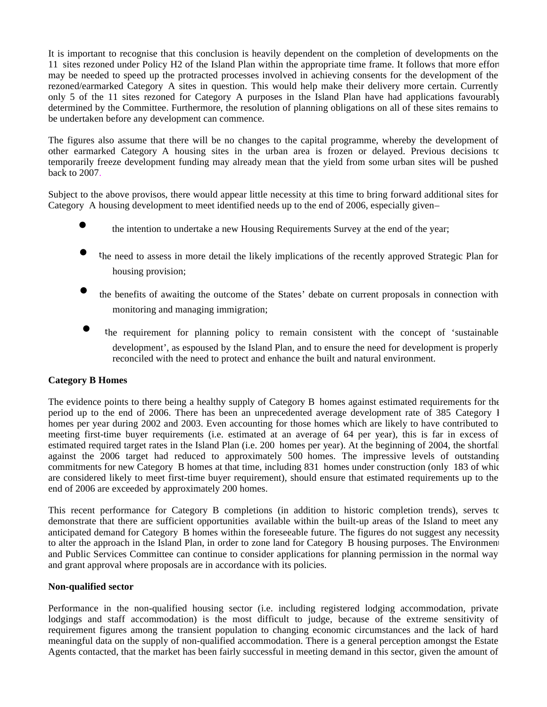It is important to recognise that this conclusion is heavily dependent on the completion of developments on the 11 sites rezoned under Policy H2 of the Island Plan within the appropriate time frame. It follows that more effort may be needed to speed up the protracted processes involved in achieving consents for the development of the rezoned/earmarked Category A sites in question. This would help make their delivery more certain. Currently, only 5 of the 11 sites rezoned for Category A purposes in the Island Plan have had applications favourably determined by the Committee. Furthermore, the resolution of planning obligations on all of these sites remains to be undertaken before any development can commence.

The figures also assume that there will be no changes to the capital programme, whereby the development of other earmarked Category A housing sites in the urban area is frozen or delayed. Previous decisions to temporarily freeze development funding may already mean that the yield from some urban sites will be pushed back to 2007.

Subject to the above provisos, there would appear little necessity at this time to bring forward additional sites for Category A housing development to meet identified needs up to the end of 2006, especially given –

- the intention to undertake a new Housing Requirements Survey at the end of the year;
- the need to assess in more detail the likely implications of the recently approved Strategic Plan for housing provision;
- the benefits of awaiting the outcome of the States' debate on current proposals in connection with monitoring and managing immigration;
- the requirement for planning policy to remain consistent with the concept of 'sustainable development', as espoused by the Island Plan, and to ensure the need for development is properly reconciled with the need to protect and enhance the built and natural environment.

## **Category B Homes**

The evidence points to there being a healthy supply of Category B homes against estimated requirements for the period up to the end of 2006. There has been an unprecedented average development rate of 385 Category 1 homes per year during 2002 and 2003. Even accounting for those homes which are likely to have contributed to meeting first-time buyer requirements (i.e. estimated at an average of 64 per year), this is far in excess of estimated required target rates in the Island Plan (i.e. 200 homes per year). At the beginning of 2004, the shortfall against the 2006 target had reduced to approximately 500 homes. The impressive levels of outstanding commitments for new Category B homes at that time, including 831 homes under construction (only 183 of which are considered likely to meet first-time buyer requirement), should ensure that estimated requirements up to the end of 2006 are exceeded by approximately 200 homes.

This recent performance for Category B completions (in addition to historic completion trends), serves to demonstrate that there are sufficient opportunities available within the built-up areas of the Island to meet any anticipated demand for Category B homes within the foreseeable future. The figures do not suggest any necessity to alter the approach in the Island Plan, in order to zone land for Category B housing purposes. The Environment and Public Services Committee can continue to consider applications for planning permission in the normal way and grant approval where proposals are in accordance with its policies.

#### **Non-qualified sector**

Performance in the non-qualified housing sector (i.e. including registered lodging accommodation, private lodgings and staff accommodation) is the most difficult to judge, because of the extreme sensitivity of requirement figures among the transient population to changing economic circumstances and the lack of hard meaningful data on the supply of non-qualified accommodation. There is a general perception amongst the Estate Agents contacted, that the market has been fairly successful in meeting demand in this sector, given the amount of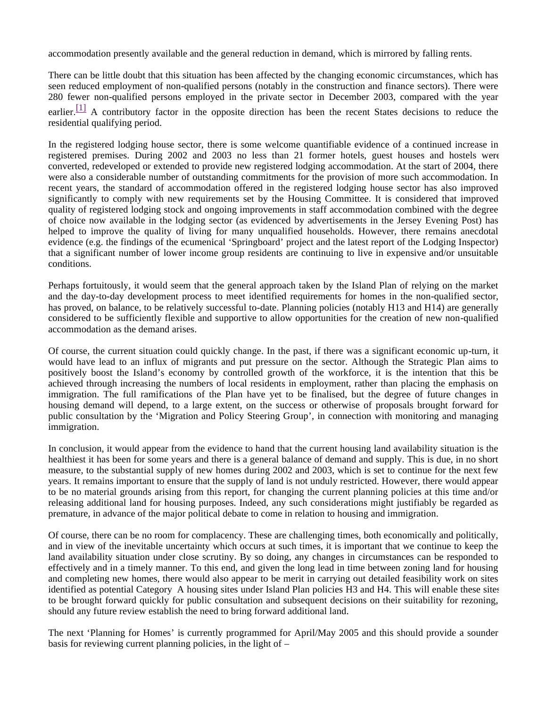accommodation presently available and the general reduction in demand, which is mirrored by falling rents.

There can be little doubt that this situation has been affected by the changing economic circumstances, which has seen reduced employment of non-qualified persons (notably in the construction and finance sectors). There were 280 fewer non-qualified persons employed in the private sector in December 2003, compared with the year earlier.<sup>[1]</sup> A contributory factor in the opposite direction has been the recent States decisions to reduce the residential qualifying period.

In the registered lodging house sector, there is some welcome quantifiable evidence of a continued increase in registered premises. During 2002 and 2003 no less than 21 former hotels, guest houses and hostels were converted, redeveloped or extended to provide new registered lodging accommodation. At the start of 2004, there were also a considerable number of outstanding commitments for the provision of more such accommodation. In recent years, the standard of accommodation offered in the registered lodging house sector has also improved significantly to comply with new requirements set by the Housing Committee. It is considered that improved quality of registered lodging stock and ongoing improvements in staff accommodation combined with the degree of choice now available in the lodging sector (as evidenced by advertisements in the Jersey Evening Post) has helped to improve the quality of living for many unqualified households. However, there remains anecdotal evidence (e.g. the findings of the ecumenical 'Springboard' project and the latest report of the Lodging Inspector) that a significant number of lower income group residents are continuing to live in expensive and/or unsuitable conditions.

Perhaps fortuitously, it would seem that the general approach taken by the Island Plan of relying on the market and the day-to-day development process to meet identified requirements for homes in the non-qualified sector, has proved, on balance, to be relatively successful to-date. Planning policies (notably H13 and H14) are generally considered to be sufficiently flexible and supportive to allow opportunities for the creation of new non-qualified accommodation as the demand arises.

Of course, the current situation could quickly change. In the past, if there was a significant economic up-turn, it would have lead to an influx of migrants and put pressure on the sector. Although the Strategic Plan aims to positively boost the Island's economy by controlled growth of the workforce, it is the intention that this be achieved through increasing the numbers of local residents in employment, rather than placing the emphasis on immigration. The full ramifications of the Plan have yet to be finalised, but the degree of future changes in housing demand will depend, to a large extent, on the success or otherwise of proposals brought forward for public consultation by the 'Migration and Policy Steering Group', in connection with monitoring and managing immigration.

In conclusion, it would appear from the evidence to hand that the current housing land availability situation is the healthiest it has been for some years and there is a general balance of demand and supply. This is due, in no short measure, to the substantial supply of new homes during 2002 and 2003, which is set to continue for the next few years. It remains important to ensure that the supply of land is not unduly restricted. However, there would appear to be no material grounds arising from this report, for changing the current planning policies at this time and/or releasing additional land for housing purposes. Indeed, any such considerations might justifiably be regarded as premature, in advance of the major political debate to come in relation to housing and immigration.

Of course, there can be no room for complacency. These are challenging times, both economically and politically, and in view of the inevitable uncertainty which occurs at such times, it is important that we continue to keep the land availability situation under close scrutiny. By so doing, any changes in circumstances can be responded to effectively and in a timely manner. To this end, and given the long lead in time between zoning land for housing and completing new homes, there would also appear to be merit in carrying out detailed feasibility work on sites identified as potential Category A housing sites under Island Plan policies H3 and H4. This will enable these sites to be brought forward quickly for public consultation and subsequent decisions on their suitability for rezoning, should any future review establish the need to bring forward additional land.

The next 'Planning for Homes' is currently programmed for April/May 2005 and this should provide a sounder basis for reviewing current planning policies, in the light of –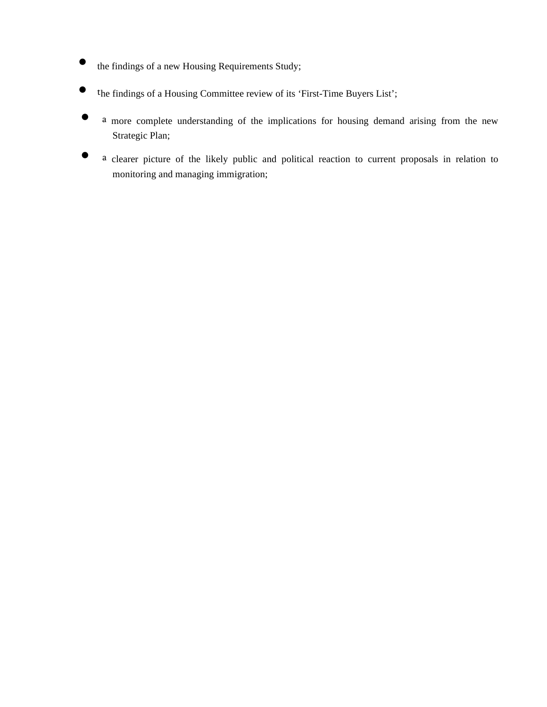- the findings of a new Housing Requirements Study;
- the findings of a Housing Committee review of its 'First-Time Buyers List';
- a more complete understanding of the implications for housing demand arising from the new Strategic Plan;
- a clearer picture of the likely public and political reaction to current proposals in relation to monitoring and managing immigration;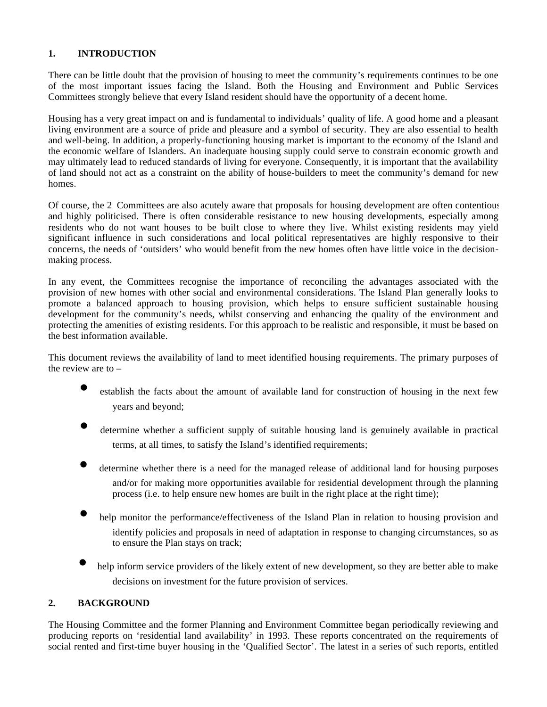## **1. INTRODUCTION**

There can be little doubt that the provision of housing to meet the community's requirements continues to be one of the most important issues facing the Island. Both the Housing and Environment and Public Services Committees strongly believe that every Island resident should have the opportunity of a decent home.

Housing has a very great impact on and is fundamental to individuals' quality of life. A good home and a pleasant living environment are a source of pride and pleasure and a symbol of security. They are also essential to health and well-being. In addition, a properly-functioning housing market is important to the economy of the Island and the economic welfare of Islanders. An inadequate housing supply could serve to constrain economic growth and may ultimately lead to reduced standards of living for everyone. Consequently, it is important that the availability of land should not act as a constraint on the ability of house-builders to meet the community's demand for new homes.

Of course, the 2 Committees are also acutely aware that proposals for housing development are often contentious and highly politicised. There is often considerable resistance to new housing developments, especially among residents who do not want houses to be built close to where they live. Whilst existing residents may yield significant influence in such considerations and local political representatives are highly responsive to their concerns, the needs of 'outsiders' who would benefit from the new homes often have little voice in the decisionmaking process.

In any event, the Committees recognise the importance of reconciling the advantages associated with the provision of new homes with other social and environmental considerations. The Island Plan generally looks to promote a balanced approach to housing provision, which helps to ensure sufficient sustainable housing development for the community's needs, whilst conserving and enhancing the quality of the environment and protecting the amenities of existing residents. For this approach to be realistic and responsible, it must be based on the best information available.

This document reviews the availability of land to meet identified housing requirements. The primary purposes of the review are to –

- establish the facts about the amount of available land for construction of housing in the next few years and beyond;
- determine whether a sufficient supply of suitable housing land is genuinely available in practical terms, at all times, to satisfy the Island's identified requirements;
- determine whether there is a need for the managed release of additional land for housing purposes and/or for making more opportunities available for residential development through the planning process (i.e. to help ensure new homes are built in the right place at the right time);
- help monitor the performance/effectiveness of the Island Plan in relation to housing provision and identify policies and proposals in need of adaptation in response to changing circumstances, so as to ensure the Plan stays on track;
- help inform service providers of the likely extent of new development, so they are better able to make decisions on investment for the future provision of services.

## **2. BACKGROUND**

The Housing Committee and the former Planning and Environment Committee began periodically reviewing and producing reports on 'residential land availability' in 1993. These reports concentrated on the requirements of social rented and first-time buyer housing in the 'Qualified Sector'. The latest in a series of such reports, entitled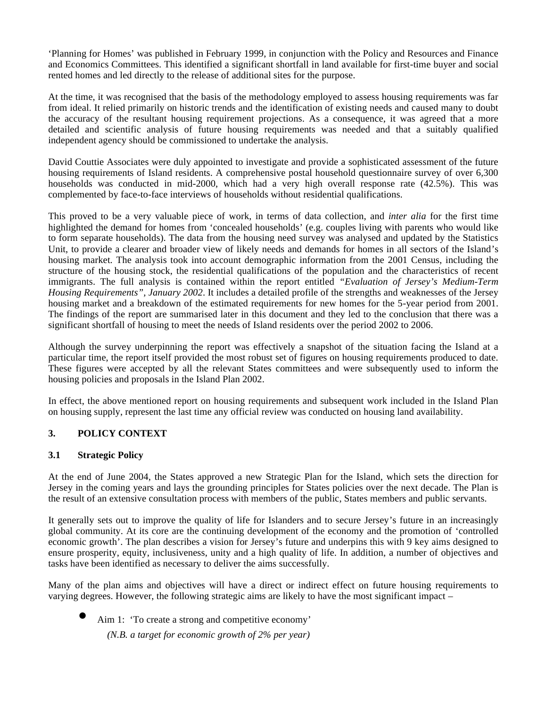'Planning for Homes' was published in February 1999, in conjunction with the Policy and Resources and Finance and Economics Committees. This identified a significant shortfall in land available for first-time buyer and social rented homes and led directly to the release of additional sites for the purpose.

At the time, it was recognised that the basis of the methodology employed to assess housing requirements was far from ideal. It relied primarily on historic trends and the identification of existing needs and caused many to doubt the accuracy of the resultant housing requirement projections. As a consequence, it was agreed that a more detailed and scientific analysis of future housing requirements was needed and that a suitably qualified independent agency should be commissioned to undertake the analysis.

David Couttie Associates were duly appointed to investigate and provide a sophisticated assessment of the future housing requirements of Island residents. A comprehensive postal household questionnaire survey of over 6,300 households was conducted in mid-2000, which had a very high overall response rate (42.5%). This was complemented by face-to-face interviews of households without residential qualifications.

This proved to be a very valuable piece of work, in terms of data collection, and *inter alia* for the first time highlighted the demand for homes from 'concealed households' (e.g. couples living with parents who would like to form separate households). The data from the housing need survey was analysed and updated by the Statistics Unit, to provide a clearer and broader view of likely needs and demands for homes in all sectors of the Island's housing market. The analysis took into account demographic information from the 2001 Census, including the structure of the housing stock, the residential qualifications of the population and the characteristics of recent immigrants. The full analysis is contained within the report entitled *"Evaluation of Jersey's Medium-Term Housing Requirements", January 2002*. It includes a detailed profile of the strengths and weaknesses of the Jersey housing market and a breakdown of the estimated requirements for new homes for the 5-year period from 2001. The findings of the report are summarised later in this document and they led to the conclusion that there was a significant shortfall of housing to meet the needs of Island residents over the period 2002 to 2006.

Although the survey underpinning the report was effectively a snapshot of the situation facing the Island at a particular time, the report itself provided the most robust set of figures on housing requirements produced to date. These figures were accepted by all the relevant States committees and were subsequently used to inform the housing policies and proposals in the Island Plan 2002.

In effect, the above mentioned report on housing requirements and subsequent work included in the Island Plan on housing supply, represent the last time any official review was conducted on housing land availability.

## **3. POLICY CONTEXT**

## **3.1 Strategic Policy**

At the end of June 2004, the States approved a new Strategic Plan for the Island, which sets the direction for Jersey in the coming years and lays the grounding principles for States policies over the next decade. The Plan is the result of an extensive consultation process with members of the public, States members and public servants.

It generally sets out to improve the quality of life for Islanders and to secure Jersey's future in an increasingly global community. At its core are the continuing development of the economy and the promotion of 'controlled economic growth'. The plan describes a vision for Jersey's future and underpins this with 9 key aims designed to ensure prosperity, equity, inclusiveness, unity and a high quality of life. In addition, a number of objectives and tasks have been identified as necessary to deliver the aims successfully.

Many of the plan aims and objectives will have a direct or indirect effect on future housing requirements to varying degrees. However, the following strategic aims are likely to have the most significant impact –

Aim 1: 'To create a strong and competitive economy'

 *(N.B. a target for economic growth of 2% per year)*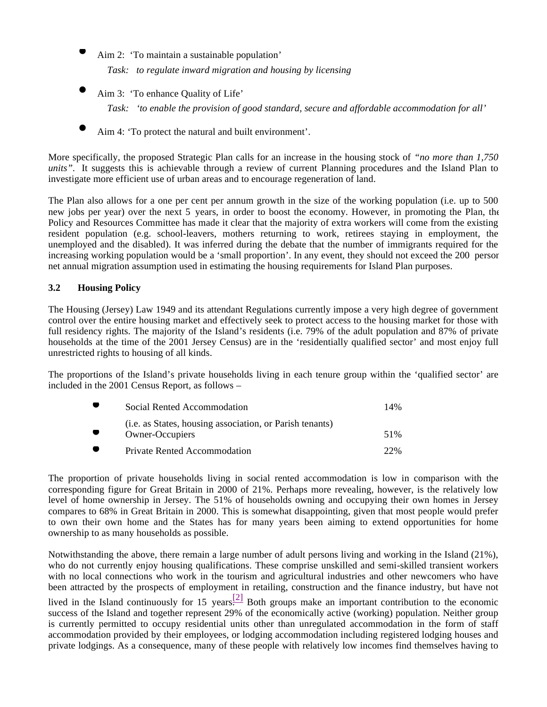- Aim 2: 'To maintain a sustainable population'  *Task: to regulate inward migration and housing by licensing*
- Aim 3: 'To enhance Quality of Life'

 *Task: 'to enable the provision of good standard, secure and affordable accommodation for all'*

Aim 4: 'To protect the natural and built environment'.

More specifically, the proposed Strategic Plan calls for an increase in the housing stock of *"no more than 1,750 units".* It suggests this is achievable through a review of current Planning procedures and the Island Plan to investigate more efficient use of urban areas and to encourage regeneration of land.

The Plan also allows for a one per cent per annum growth in the size of the working population (i.e. up to 500 new jobs per year) over the next 5 years, in order to boost the economy. However, in promoting the Plan, the Policy and Resources Committee has made it clear that the majority of extra workers will come from the existing resident population (e.g. school-leavers, mothers returning to work, retirees staying in employment, the unemployed and the disabled). It was inferred during the debate that the number of immigrants required for the increasing working population would be a 'small proportion'. In any event, they should not exceed the 200 persor net annual migration assumption used in estimating the housing requirements for Island Plan purposes.

## **3.2 Housing Policy**

The Housing (Jersey) Law 1949 and its attendant Regulations currently impose a very high degree of government control over the entire housing market and effectively seek to protect access to the housing market for those with full residency rights. The majority of the Island's residents (i.e. 79% of the adult population and 87% of private households at the time of the 2001 Jersey Census) are in the 'residentially qualified sector' and most enjoy full unrestricted rights to housing of all kinds.

The proportions of the Island's private households living in each tenure group within the 'qualified sector' are included in the 2001 Census Report, as follows –

| Social Rented Accommodation                                                         | 14% |
|-------------------------------------------------------------------------------------|-----|
| ( <i>i.e.</i> as States, housing association, or Parish tenants)<br>Owner-Occupiers | 51% |
| Private Rented Accommodation                                                        | 22% |

The proportion of private households living in social rented accommodation is low in comparison with the corresponding figure for Great Britain in 2000 of 21%. Perhaps more revealing, however, is the relatively low level of home ownership in Jersey. The 51% of households owning and occupying their own homes in Jersey compares to 68% in Great Britain in 2000. This is somewhat disappointing, given that most people would prefer to own their own home and the States has for many years been aiming to extend opportunities for home ownership to as many households as possible.

Notwithstanding the above, there remain a large number of adult persons living and working in the Island (21%), who do not currently enjoy housing qualifications. These comprise unskilled and semi-skilled transient workers with no local connections who work in the tourism and agricultural industries and other newcomers who have been attracted by the prospects of employment in retailing, construction and the finance industry, but have not

lived in the Island continuously for 15 years.<sup>[2]</sup> Both groups make an important contribution to the economic success of the Island and together represent 29% of the economically active (working) population. Neither group is currently permitted to occupy residential units other than unregulated accommodation in the form of staff accommodation provided by their employees, or lodging accommodation including registered lodging houses and private lodgings. As a consequence, many of these people with relatively low incomes find themselves having to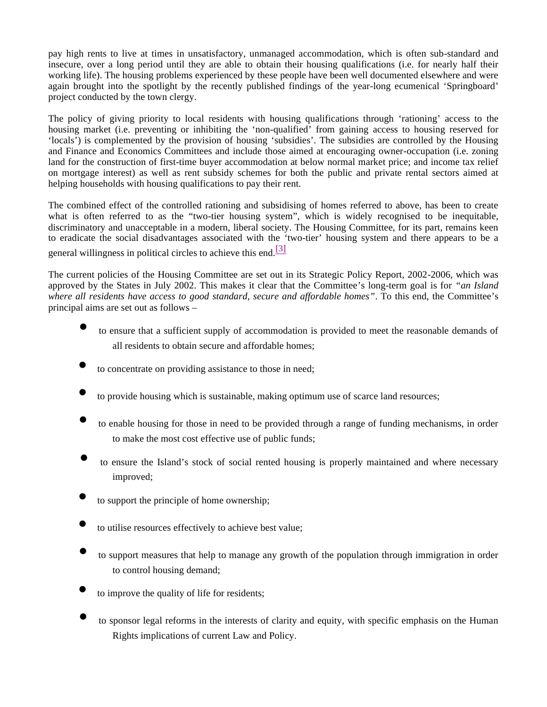pay high rents to live at times in unsatisfactory, unmanaged accommodation, which is often sub-standard and insecure, over a long period until they are able to obtain their housing qualifications (i.e. for nearly half their working life). The housing problems experienced by these people have been well documented elsewhere and were again brought into the spotlight by the recently published findings of the year-long ecumenical 'Springboard' project conducted by the town clergy.

The policy of giving priority to local residents with housing qualifications through 'rationing' access to the housing market (i.e. preventing or inhibiting the 'non-qualified' from gaining access to housing reserved for 'locals') is complemented by the provision of housing 'subsidies'. The subsidies are controlled by the Housing and Finance and Economics Committees and include those aimed at encouraging owner-occupation (i.e. zoning land for the construction of first-time buyer accommodation at below normal market price; and income tax relief on mortgage interest) as well as rent subsidy schemes for both the public and private rental sectors aimed at helping households with housing qualifications to pay their rent.

The combined effect of the controlled rationing and subsidising of homes referred to above, has been to create what is often referred to as the "two-tier housing system", which is widely recognised to be inequitable, discriminatory and unacceptable in a modern, liberal society. The Housing Committee, for its part, remains keen to eradicate the social disadvantages associated with the 'two-tier' housing system and there appears to be a

general willingness in political circles to achieve this end.<sup>[3]</sup>

The current policies of the Housing Committee are set out in its Strategic Policy Report, 2002-2006, which was approved by the States in July 2002. This makes it clear that the Committee's long-term goal is for *"an Island where all residents have access to good standard, secure and affordable homes"*. To this end, the Committee's principal aims are set out as follows –

- to ensure that a sufficient supply of accommodation is provided to meet the reasonable demands of all residents to obtain secure and affordable homes;
- to concentrate on providing assistance to those in need;
- to provide housing which is sustainable, making optimum use of scarce land resources;
- to enable housing for those in need to be provided through a range of funding mechanisms, in order to make the most cost effective use of public funds;
- to ensure the Island's stock of social rented housing is properly maintained and where necessary improved;
- to support the principle of home ownership;
- to utilise resources effectively to achieve best value;
- to support measures that help to manage any growth of the population through immigration in order to control housing demand;
- to improve the quality of life for residents;
- to sponsor legal reforms in the interests of clarity and equity, with specific emphasis on the Human Rights implications of current Law and Policy.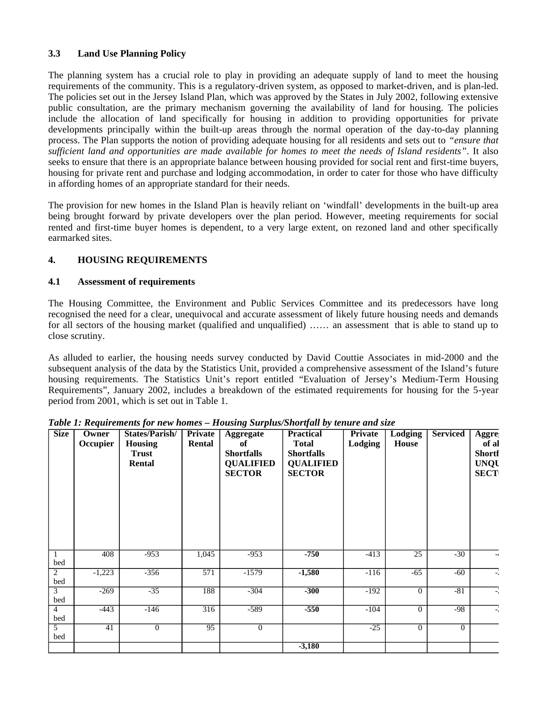## **3.3 Land Use Planning Policy**

The planning system has a crucial role to play in providing an adequate supply of land to meet the housing requirements of the community. This is a regulatory-driven system, as opposed to market-driven, and is plan-led. The policies set out in the Jersey Island Plan, which was approved by the States in July 2002, following extensive public consultation, are the primary mechanism governing the availability of land for housing. The policies include the allocation of land specifically for housing in addition to providing opportunities for private developments principally within the built-up areas through the normal operation of the day-to-day planning process. The Plan supports the notion of providing adequate housing for all residents and sets out to *"ensure that sufficient land and opportunities are made available for homes to meet the needs of Island residents"*. It also seeks to ensure that there is an appropriate balance between housing provided for social rent and first-time buyers, housing for private rent and purchase and lodging accommodation, in order to cater for those who have difficulty in affording homes of an appropriate standard for their needs.

The provision for new homes in the Island Plan is heavily reliant on 'windfall' developments in the built-up area being brought forward by private developers over the plan period. However, meeting requirements for social rented and first-time buyer homes is dependent, to a very large extent, on rezoned land and other specifically earmarked sites.

## **4. HOUSING REQUIREMENTS**

## **4.1 Assessment of requirements**

The Housing Committee, the Environment and Public Services Committee and its predecessors have long recognised the need for a clear, unequivocal and accurate assessment of likely future housing needs and demands for all sectors of the housing market (qualified and unqualified) …… an assessment that is able to stand up to close scrutiny.

As alluded to earlier, the housing needs survey conducted by David Couttie Associates in mid-2000 and the subsequent analysis of the data by the Statistics Unit, provided a comprehensive assessment of the Island's future housing requirements. The Statistics Unit's report entitled "Evaluation of Jersey's Medium-Term Housing Requirements", January 2002, includes a breakdown of the estimated requirements for housing for the 5-year period from 2001, which is set out in Table 1.

| <b>Size</b>           | Owner<br>Occupier | States/Parish/<br><b>Housing</b><br><b>Trust</b><br>Rental | Private<br>Rental | <b>Aggregate</b><br>of<br><b>Shortfalls</b><br><b>QUALIFIED</b><br><b>SECTOR</b> | <b>Practical</b><br><b>Total</b><br><b>Shortfalls</b><br><b>QUALIFIED</b><br><b>SECTOR</b> | <b>Private</b><br>Lodging | <b>Lodging</b><br>House | <b>Serviced</b> | Aggre<br>of al<br><b>Shortf</b><br><b>UNQU</b><br><b>SECT</b> |
|-----------------------|-------------------|------------------------------------------------------------|-------------------|----------------------------------------------------------------------------------|--------------------------------------------------------------------------------------------|---------------------------|-------------------------|-----------------|---------------------------------------------------------------|
| bed                   | 408               | $-953$                                                     | 1,045             | $-953$                                                                           | $-750$                                                                                     | $-413$                    | $\overline{25}$         | $-30$           | $-\epsilon$                                                   |
| $\overline{2}$<br>bed | $-1,223$          | $-356$                                                     | $\overline{571}$  | $-1579$                                                                          | $-1,580$                                                                                   | $-116$                    | $-65$                   | $-60$           | $-$                                                           |
| $\overline{3}$<br>bed | $-269$            | $-35$                                                      | 188               | $-304$                                                                           | $-300$                                                                                     | $-192$                    | $\Omega$                | $-81$           | $\overline{a}$                                                |
| $\overline{4}$<br>bed | $-443$            | $-146$                                                     | 316               | $-589$                                                                           | $-550$                                                                                     | $-104$                    | $\overline{0}$          | $-98$           | $\frac{1}{2}$                                                 |
| $\overline{5}$<br>bed | 41                | $\overline{0}$                                             | 95                | $\overline{0}$                                                                   |                                                                                            | $-25$                     | $\Omega$                | $\overline{0}$  |                                                               |
|                       |                   |                                                            |                   |                                                                                  | $-3,180$                                                                                   |                           |                         |                 |                                                               |

*Table 1: Requirements for new homes – Housing Surplus/Shortfall by tenure and size*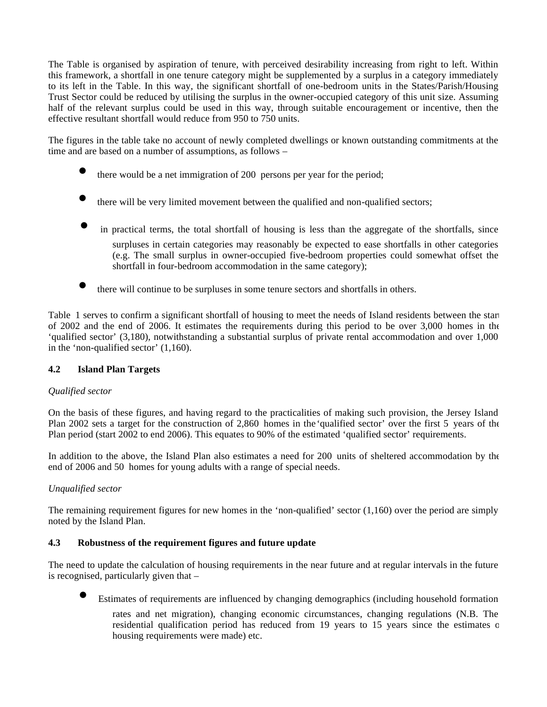The Table is organised by aspiration of tenure, with perceived desirability increasing from right to left. Within this framework, a shortfall in one tenure category might be supplemented by a surplus in a category immediately to its left in the Table. In this way, the significant shortfall of one-bedroom units in the States/Parish/Housing Trust Sector could be reduced by utilising the surplus in the owner-occupied category of this unit size. Assuming half of the relevant surplus could be used in this way, through suitable encouragement or incentive, then the effective resultant shortfall would reduce from 950 to 750 units.

The figures in the table take no account of newly completed dwellings or known outstanding commitments at the time and are based on a number of assumptions, as follows –

- there would be a net immigration of 200 persons per year for the period;
- there will be very limited movement between the qualified and non-qualified sectors;
- in practical terms, the total shortfall of housing is less than the aggregate of the shortfalls, since surpluses in certain categories may reasonably be expected to ease shortfalls in other categories (e.g. The small surplus in owner-occupied five-bedroom properties could somewhat offset the shortfall in four-bedroom accommodation in the same category);
- there will continue to be surpluses in some tenure sectors and shortfalls in others.

Table 1 serves to confirm a significant shortfall of housing to meet the needs of Island residents between the start of 2002 and the end of 2006. It estimates the requirements during this period to be over 3,000 homes in the 'qualified sector' (3,180), notwithstanding a substantial surplus of private rental accommodation and over 1,000 in the 'non-qualified sector' (1,160).

## **4.2 Island Plan Targets**

## *Qualified sector*

On the basis of these figures, and having regard to the practicalities of making such provision, the Jersey Island Plan 2002 sets a target for the construction of 2,860 homes in the 'qualified sector' over the first 5 years of the Plan period (start 2002 to end 2006). This equates to 90% of the estimated 'qualified sector' requirements.

In addition to the above, the Island Plan also estimates a need for 200 units of sheltered accommodation by the end of 2006 and 50 homes for young adults with a range of special needs.

## *Unqualified sector*

The remaining requirement figures for new homes in the 'non-qualified' sector (1,160) over the period are simply noted by the Island Plan.

## **4.3 Robustness of the requirement figures and future update**

The need to update the calculation of housing requirements in the near future and at regular intervals in the future is recognised, particularly given that –

Estimates of requirements are influenced by changing demographics (including household formation

rates and net migration), changing economic circumstances, changing regulations (N.B. The residential qualification period has reduced from 19 years to 15 years since the estimates of housing requirements were made) etc.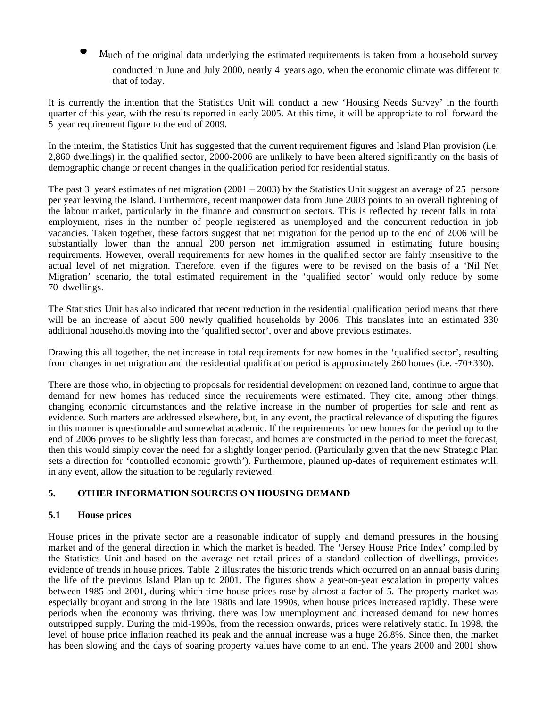- Much of the original data underlying the estimated requirements is taken from a household survey
	- conducted in June and July 2000, nearly 4 years ago, when the economic climate was different to that of today.

It is currently the intention that the Statistics Unit will conduct a new 'Housing Needs Survey' in the fourth quarter of this year, with the results reported in early 2005. At this time, it will be appropriate to roll forward the 5 year requirement figure to the end of 2009.

In the interim, the Statistics Unit has suggested that the current requirement figures and Island Plan provision (i.e. 2,860 dwellings) in the qualified sector, 2000-2006 are unlikely to have been altered significantly on the basis of demographic change or recent changes in the qualification period for residential status.

The past 3 years' estimates of net migration  $(2001 - 2003)$  by the Statistics Unit suggest an average of 25 persons per year leaving the Island. Furthermore, recent manpower data from June 2003 points to an overall tightening of the labour market, particularly in the finance and construction sectors. This is reflected by recent falls in total employment, rises in the number of people registered as unemployed and the concurrent reduction in job vacancies. Taken together, these factors suggest that net migration for the period up to the end of 2006 will be substantially lower than the annual 200 person net immigration assumed in estimating future housing requirements. However, overall requirements for new homes in the qualified sector are fairly insensitive to the actual level of net migration. Therefore, even if the figures were to be revised on the basis of a 'Nil Net Migration' scenario, the total estimated requirement in the 'qualified sector' would only reduce by some 70 dwellings.

The Statistics Unit has also indicated that recent reduction in the residential qualification period means that there will be an increase of about 500 newly qualified households by 2006. This translates into an estimated 330 additional households moving into the 'qualified sector', over and above previous estimates.

Drawing this all together, the net increase in total requirements for new homes in the 'qualified sector', resulting from changes in net migration and the residential qualification period is approximately 260 homes (i.e. -70+330).

There are those who, in objecting to proposals for residential development on rezoned land, continue to argue that demand for new homes has reduced since the requirements were estimated. They cite, among other things, changing economic circumstances and the relative increase in the number of properties for sale and rent as evidence. Such matters are addressed elsewhere, but, in any event, the practical relevance of disputing the figures in this manner is questionable and somewhat academic. If the requirements for new homes for the period up to the end of 2006 proves to be slightly less than forecast, and homes are constructed in the period to meet the forecast, then this would simply cover the need for a slightly longer period. (Particularly given that the new Strategic Plan sets a direction for 'controlled economic growth'). Furthermore, planned up-dates of requirement estimates will, in any event, allow the situation to be regularly reviewed.

## **5. OTHER INFORMATION SOURCES ON HOUSING DEMAND**

## **5.1 House prices**

House prices in the private sector are a reasonable indicator of supply and demand pressures in the housing market and of the general direction in which the market is headed. The 'Jersey House Price Index' compiled by the Statistics Unit and based on the average net retail prices of a standard collection of dwellings, provides evidence of trends in house prices. Table 2 illustrates the historic trends which occurred on an annual basis during the life of the previous Island Plan up to 2001. The figures show a year-on-year escalation in property values between 1985 and 2001, during which time house prices rose by almost a factor of 5. The property market was especially buoyant and strong in the late 1980s and late 1990s, when house prices increased rapidly. These were periods when the economy was thriving, there was low unemployment and increased demand for new homes outstripped supply. During the mid-1990s, from the recession onwards, prices were relatively static. In 1998, the level of house price inflation reached its peak and the annual increase was a huge 26.8%. Since then, the market has been slowing and the days of soaring property values have come to an end. The years 2000 and 2001 show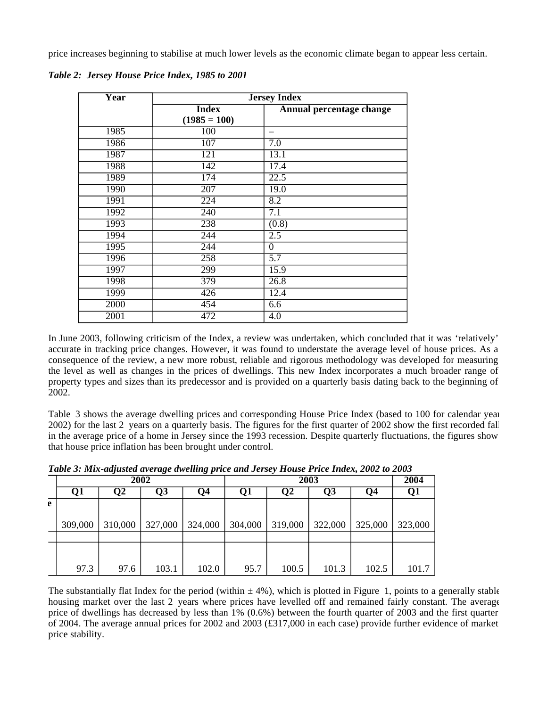price increases beginning to stabilise at much lower levels as the economic climate began to appear less certain.

| $\overline{\text{Year}}$ | <b>Jersey Index</b> |                          |  |  |  |
|--------------------------|---------------------|--------------------------|--|--|--|
|                          | <b>Index</b>        | Annual percentage change |  |  |  |
|                          | $(1985 = 100)$      |                          |  |  |  |
| 1985                     | 100                 |                          |  |  |  |
| 1986                     | 107                 | 7.0                      |  |  |  |
| 1987                     | 121                 | 13.1                     |  |  |  |
| 1988                     | 142                 | 17.4                     |  |  |  |
| 1989                     | 174                 | 22.5                     |  |  |  |
| 1990                     | 207                 | 19.0                     |  |  |  |
| 1991                     | 224                 | 8.2                      |  |  |  |
| 1992                     | 240                 | $\overline{7.1}$         |  |  |  |
| 1993                     | 238                 | (0.8)                    |  |  |  |
| 1994                     | 244                 | $\overline{2.5}$         |  |  |  |
| 1995                     | 244                 | $\theta$                 |  |  |  |
| 1996                     | 258                 | $\overline{5.7}$         |  |  |  |
| 1997                     | 299                 | $\overline{15}$ .9       |  |  |  |
| 1998                     | 379                 | 26.8                     |  |  |  |
| 1999                     | 426                 | 12.4                     |  |  |  |
| 2000                     | 454                 | 6.6                      |  |  |  |
| 2001                     | 472                 | 4.0                      |  |  |  |

*Table 2: Jersey House Price Index, 1985 to 2001*

In June 2003, following criticism of the Index, a review was undertaken, which concluded that it was 'relatively' accurate in tracking price changes. However, it was found to understate the average level of house prices. As a consequence of the review, a new more robust, reliable and rigorous methodology was developed for measuring the level as well as changes in the prices of dwellings. This new Index incorporates a much broader range of property types and sizes than its predecessor and is provided on a quarterly basis dating back to the beginning of 2002.

Table 3 shows the average dwelling prices and corresponding House Price Index (based to 100 for calendar year 2002) for the last 2 years on a quarterly basis. The figures for the first quarter of 2002 show the first recorded fall in the average price of a home in Jersey since the 1993 recession. Despite quarterly fluctuations, the figures show that house price inflation has been brought under control.

|   |         | 2002    |         |         | 2003    |                   |         |                   | 2004    |
|---|---------|---------|---------|---------|---------|-------------------|---------|-------------------|---------|
|   | Q1      | Q2      | Q3      | Q4      | Q1      | Q2                | Q3      | Q4                | -Q1     |
| e |         |         |         |         |         |                   |         |                   |         |
|   | 309,000 | 310,000 | 327,000 | 324,000 | 304,000 | $ 319,000\rangle$ | 322,000 | $ 325,000\rangle$ | 323,000 |
|   |         |         |         |         |         |                   |         |                   |         |
|   |         |         |         |         |         |                   |         |                   |         |
|   | 97.3    | 97.6    | 103.1   | 102.0   | 95.7    | 100.5             | 101.3   | 102.5             | 101.7   |

*Table 3: Mix-adjusted average dwelling price and Jersey House Price Index, 2002 to 2003*

The substantially flat Index for the period (within  $\pm 4\%$ ), which is plotted in Figure 1, points to a generally stable housing market over the last 2 years where prices have levelled off and remained fairly constant. The average price of dwellings has decreased by less than 1% (0.6%) between the fourth quarter of 2003 and the first quarter of 2004. The average annual prices for 2002 and 2003 (£317,000 in each case) provide further evidence of market price stability.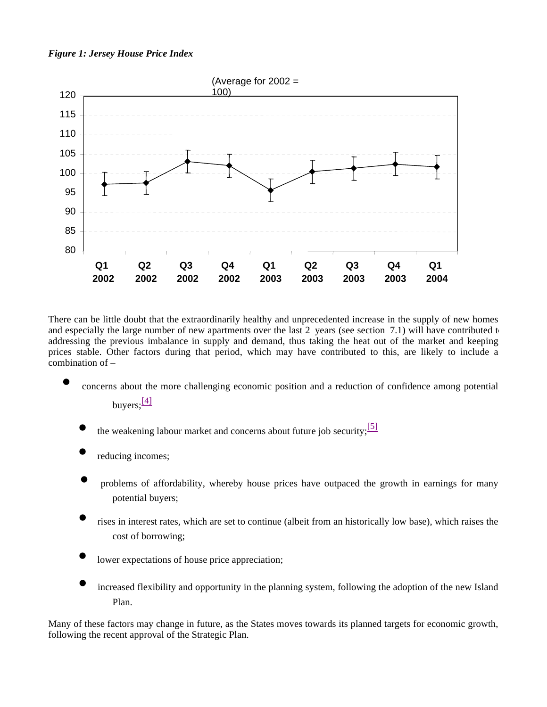## *Figure 1: Jersey House Price Index*



There can be little doubt that the extraordinarily healthy and unprecedented increase in the supply of new homes and especially the large number of new apartments over the last 2 years (see section 7.1) will have contributed t addressing the previous imbalance in supply and demand, thus taking the heat out of the market and keeping prices stable. Other factors during that period, which may have contributed to this, are likely to include a combination of –

- concerns about the more challenging economic position and a reduction of confidence among potential buyers: $\frac{[4]}{[4]}$ 
	- the weakening labour market and concerns about future job security;  $\frac{5!}{2!}$
	- reducing incomes;
	- problems of affordability, whereby house prices have outpaced the growth in earnings for many potential buyers;
	- rises in interest rates, which are set to continue (albeit from an historically low base), which raises the cost of borrowing;
	- lower expectations of house price appreciation;
	- increased flexibility and opportunity in the planning system, following the adoption of the new Island Plan.

Many of these factors may change in future, as the States moves towards its planned targets for economic growth, following the recent approval of the Strategic Plan.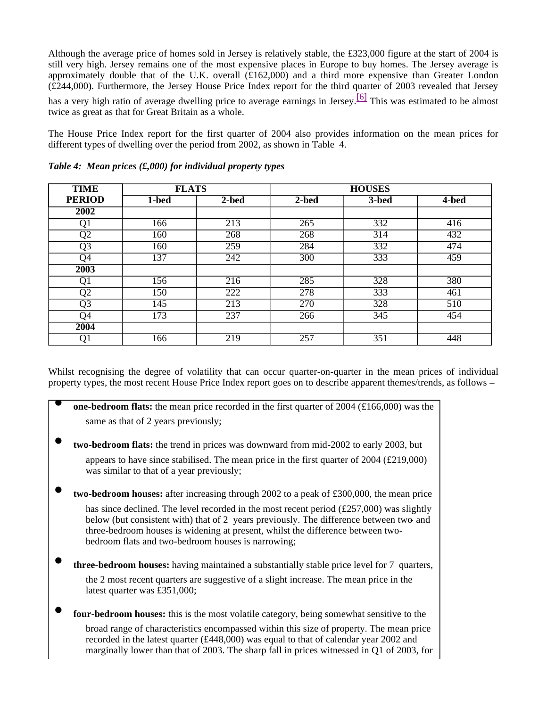Although the average price of homes sold in Jersey is relatively stable, the £323,000 figure at the start of 2004 is still very high. Jersey remains one of the most expensive places in Europe to buy homes. The Jersey average is approximately double that of the U.K. overall (£162,000) and a third more expensive than Greater London (£244,000). Furthermore, the Jersey House Price Index report for the third quarter of 2003 revealed that Jersey has a very high ratio of average dwelling price to average earnings in Jersey.<sup>[6]</sup> This was estimated to be almost

twice as great as that for Great Britain as a whole.

The House Price Index report for the first quarter of 2004 also provides information on the mean prices for different types of dwelling over the period from 2002, as shown in Table 4.

| <b>TIME</b>       | <b>FLATS</b>     |                  | <b>HOUSES</b>    |       |                  |  |
|-------------------|------------------|------------------|------------------|-------|------------------|--|
| <b>PERIOD</b>     | 1-bed            | 2-bed            | $2$ -bed         | 3-bed | 4-bed            |  |
| $\overline{2002}$ |                  |                  |                  |       |                  |  |
| Qì                | 166              | $\overline{213}$ | 265              | 332   | 416              |  |
| $\overline{Q2}$   | 160              | 268              | 268              | 314   | 432              |  |
| Q <sub>3</sub>    | 160              | 259              | 284              | 332   | 474              |  |
| Q4                | 137              | 242              | 300              | 333   | 459              |  |
| 2003              |                  |                  |                  |       |                  |  |
| Qì                | 156              | 216              | $\overline{285}$ | 328   | 380              |  |
| $\overline{Q}2$   | 150              | 222              | 278              | 333   | 461              |  |
| $\overline{Q3}$   | $\overline{145}$ | $\overline{213}$ | $\overline{270}$ | 328   | $\overline{510}$ |  |
| Q4                | 173              | 237              | 266              | 345   | 454              |  |
| 2004              |                  |                  |                  |       |                  |  |
| Q1                | 166              | 219              | 257              | 351   | 448              |  |

*Table 4: Mean prices (£,000) for individual property types*

Whilst recognising the degree of volatility that can occur quarter-on-quarter in the mean prices of individual property types, the most recent House Price Index report goes on to describe apparent themes/trends, as follows –

| <b>one-bedroom flats:</b> the mean price recorded in the first quarter of 2004 (£166,000) was the                                                                                                                                                                                                                                                |
|--------------------------------------------------------------------------------------------------------------------------------------------------------------------------------------------------------------------------------------------------------------------------------------------------------------------------------------------------|
| same as that of 2 years previously;                                                                                                                                                                                                                                                                                                              |
| <b>two-bedroom flats:</b> the trend in prices was downward from mid-2002 to early 2003, but                                                                                                                                                                                                                                                      |
| appears to have since stabilised. The mean price in the first quarter of $2004$ (£219,000)<br>was similar to that of a year previously;                                                                                                                                                                                                          |
| <b>two-bedroom houses:</b> after increasing through $2002$ to a peak of £300,000, the mean price                                                                                                                                                                                                                                                 |
| has since declined. The level recorded in the most recent period $(\text{\textsterling}257,000)$ was slightly<br>below (but consistent with) that of 2 years previously. The difference between two and<br>three-bedroom houses is widening at present, whilst the difference between two-<br>bedroom flats and two-bedroom houses is narrowing; |
| <b>three-bedroom houses:</b> having maintained a substantially stable price level for 7 quarters,                                                                                                                                                                                                                                                |
| the 2 most recent quarters are suggestive of a slight increase. The mean price in the<br>latest quarter was £351,000;                                                                                                                                                                                                                            |
| four-bedroom houses: this is the most volatile category, being somewhat sensitive to the                                                                                                                                                                                                                                                         |
| broad range of characteristics encompassed within this size of property. The mean price<br>recorded in the latest quarter (£448,000) wes equal to that of calendar year 2002 and                                                                                                                                                                 |

recorded in the latest quarter (£448,000) was equal to that of calendar year 2002 and marginally lower than that of 2003. The sharp fall in prices witnessed in Q1 of 2003, for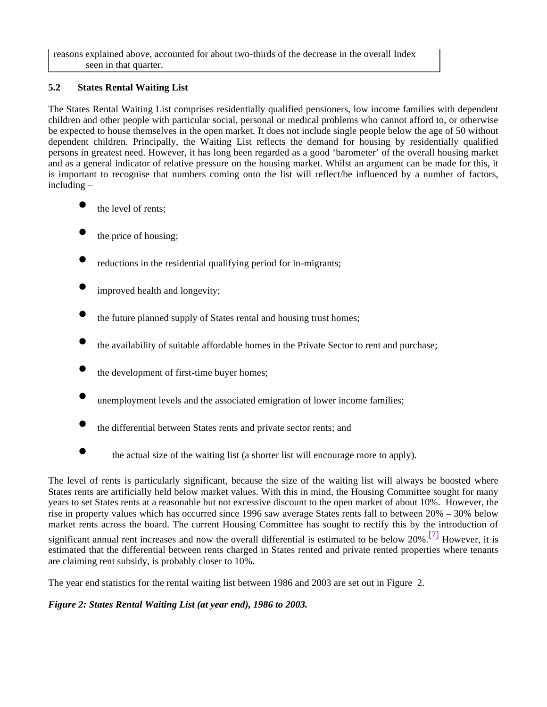reasons explained above, accounted for about two-thirds of the decrease in the overall Index seen in that quarter.

## **5.2 States Rental Waiting List**

The States Rental Waiting List comprises residentially qualified pensioners, low income families with dependent children and other people with particular social, personal or medical problems who cannot afford to, or otherwise be expected to house themselves in the open market. It does not include single people below the age of 50 without dependent children. Principally, the Waiting List reflects the demand for housing by residentially qualified persons in greatest need. However, it has long been regarded as a good 'barometer' of the overall housing market and as a general indicator of relative pressure on the housing market. Whilst an argument can be made for this, it is important to recognise that numbers coming onto the list will reflect/be influenced by a number of factors, including –

- the level of rents:
- the price of housing;
- reductions in the residential qualifying period for in-migrants;
- improved health and longevity;
- the future planned supply of States rental and housing trust homes;
- the availability of suitable affordable homes in the Private Sector to rent and purchase;
- the development of first-time buyer homes;
- unemployment levels and the associated emigration of lower income families;
- the differential between States rents and private sector rents; and
- the actual size of the waiting list (a shorter list will encourage more to apply).

The level of rents is particularly significant, because the size of the waiting list will always be boosted where States rents are artificially held below market values. With this in mind, the Housing Committee sought for many years to set States rents at a reasonable but not excessive discount to the open market of about 10%. However, the rise in property values which has occurred since 1996 saw average States rents fall to between 20% – 30% below market rents across the board. The current Housing Committee has sought to rectify this by the introduction of

significant annual rent increases and now the overall differential is estimated to be below 20%.<sup>[7]</sup> However, it is estimated that the differential between rents charged in States rented and private rented properties where tenants are claiming rent subsidy, is probably closer to 10%.

The year end statistics for the rental waiting list between 1986 and 2003 are set out in Figure 2.

## *Figure 2: States Rental Waiting List (at year end), 1986 to 2003.*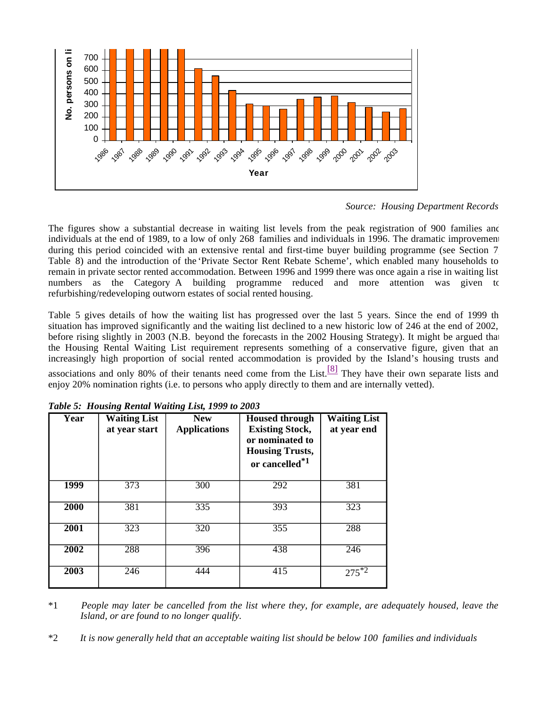

*Source: Housing Department Records*

The figures show a substantial decrease in waiting list levels from the peak registration of 900 families and individuals at the end of 1989, to a low of only 268 families and individuals in 1996. The dramatic improvement during this period coincided with an extensive rental and first-time buyer building programme (see Section 7) Table 8) and the introduction of the 'Private Sector Rent Rebate Scheme', which enabled many households to remain in private sector rented accommodation. Between 1996 and 1999 there was once again a rise in waiting list numbers as the Category A building programme reduced and more attention was given to refurbishing/redeveloping outworn estates of social rented housing.

Table 5 gives details of how the waiting list has progressed over the last 5 years. Since the end of 1999 the situation has improved significantly and the waiting list declined to a new historic low of 246 at the end of 2002, before rising slightly in 2003 (N.B. beyond the forecasts in the 2002 Housing Strategy). It might be argued that the Housing Rental Waiting List requirement represents something of a conservative figure, given that an increasingly high proportion of social rented accommodation is provided by the Island's housing trusts and

associations and only 80% of their tenants need come from the List.<sup>[8]</sup> They have their own separate lists and enjoy 20% nomination rights (i.e. to persons who apply directly to them and are internally vetted).

| Year        | <b>Waiting List</b><br><b>New</b><br>at year start<br><b>Applications</b> |                  | <b>Housed through</b><br><b>Existing Stock,</b><br>or nominated to<br><b>Housing Trusts,</b><br>or cancelled <sup>*1</sup> | <b>Waiting List</b><br>at year end |
|-------------|---------------------------------------------------------------------------|------------------|----------------------------------------------------------------------------------------------------------------------------|------------------------------------|
| <b>1999</b> | 373                                                                       | 300              | 292                                                                                                                        | 381                                |
| 2000        | 381                                                                       | 335              | 393                                                                                                                        | 323                                |
| 2001        | 323                                                                       | $\overline{320}$ | 355                                                                                                                        | 288                                |
| 2002        | 288                                                                       | 396              | 438                                                                                                                        | 246                                |
| 2003        | 246                                                                       | 444              | 415                                                                                                                        | $275^{*2}$                         |

*Table 5: Housing Rental Waiting List, 1999 to 2003*

\*1 *People may later be cancelled from the list where they, for example, are adequately housed, leave the Island, or are found to no longer qualify.*

\*2 *It is now generally held that an acceptable waiting list should be below 100 families and individuals*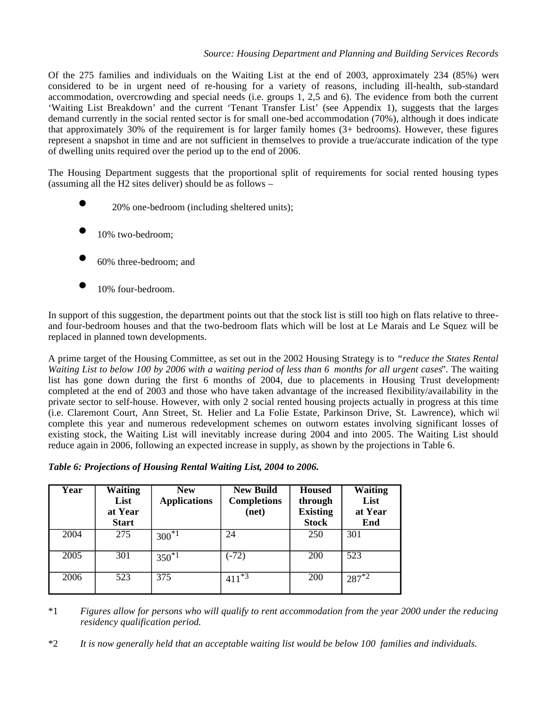## *Source: Housing Department and Planning and Building Services Records*

Of the 275 families and individuals on the Waiting List at the end of 2003, approximately 234 (85%) were considered to be in urgent need of re-housing for a variety of reasons, including ill-health, sub-standard accommodation, overcrowding and special needs (i.e. groups 1, 2,5 and 6). The evidence from both the current 'Waiting List Breakdown' and the current 'Tenant Transfer List' (see Appendix 1), suggests that the larges demand currently in the social rented sector is for small one-bed accommodation (70%), although it does indicate that approximately 30% of the requirement is for larger family homes (3+ bedrooms). However, these figures represent a snapshot in time and are not sufficient in themselves to provide a true/accurate indication of the type of dwelling units required over the period up to the end of 2006.

The Housing Department suggests that the proportional split of requirements for social rented housing types (assuming all the H2 sites deliver) should be as follows –

- 20% one-bedroom (including sheltered units);
- 10% two-bedroom;
- 60% three-bedroom; and
- 10% four-bedroom.

In support of this suggestion, the department points out that the stock list is still too high on flats relative to threeand four-bedroom houses and that the two-bedroom flats which will be lost at Le Marais and Le Squez will be replaced in planned town developments.

A prime target of the Housing Committee, as set out in the 2002 Housing Strategy is to *"reduce the States Rental Waiting List to below 100 by 2006 with a waiting period of less than 6 months for all urgent cases"*. The waiting list has gone down during the first 6 months of 2004, due to placements in Housing Trust developments completed at the end of 2003 and those who have taken advantage of the increased flexibility/availability in the private sector to self-house. However, with only 2 social rented housing projects actually in progress at this time (i.e. Claremont Court, Ann Street, St. Helier and La Folie Estate, Parkinson Drive, St. Lawrence), which will complete this year and numerous redevelopment schemes on outworn estates involving significant losses of existing stock, the Waiting List will inevitably increase during 2004 and into 2005. The Waiting List should reduce again in 2006, following an expected increase in supply, as shown by the projections in Table 6.

|  | Table 6: Projections of Housing Rental Waiting List, 2004 to 2006. |  |
|--|--------------------------------------------------------------------|--|
|  |                                                                    |  |

| Year | <b>Waiting</b><br>List<br>at Year<br><b>Start</b> | <b>New</b><br><b>Applications</b> | <b>New Build</b><br><b>Completions</b><br>(net) | <b>Housed</b><br>through<br><b>Existing</b><br><b>Stock</b> | <b>Waiting</b><br>List<br>at Year<br>End |
|------|---------------------------------------------------|-----------------------------------|-------------------------------------------------|-------------------------------------------------------------|------------------------------------------|
| 2004 | 275                                               | $300^{*1}$                        | 24                                              | 250                                                         | 301                                      |
| 2005 | 301                                               | $350^{*1}$                        | $(-72)$                                         | 200                                                         | 523                                      |
| 2006 | 523                                               | $\overline{375}$                  | $*3$<br>411                                     | 200                                                         | $287^{1/2}$                              |

\*1 *Figures allow for persons who will qualify to rent accommodation from the year 2000 under the reducing residency qualification period.*

\*2 *It is now generally held that an acceptable waiting list would be below 100 families and individuals.*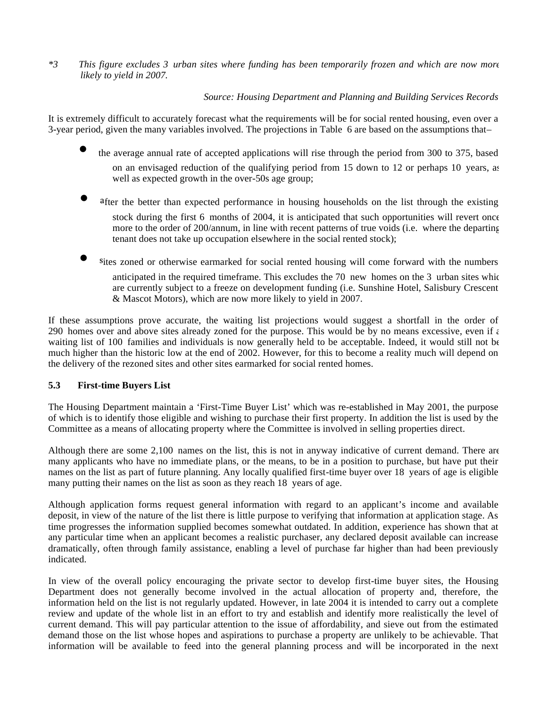*\*3 This figure excludes 3 urban sites where funding has been temporarily frozen and which are now more likely to yield in 2007.*

## *Source: Housing Department and Planning and Building Services Records*

It is extremely difficult to accurately forecast what the requirements will be for social rented housing, even over a 3-year period, given the many variables involved. The projections in Table 6 are based on the assumptions that –

- the average annual rate of accepted applications will rise through the period from 300 to 375, based on an envisaged reduction of the qualifying period from 15 down to 12 or perhaps 10 years, as well as expected growth in the over-50s age group;
- after the better than expected performance in housing households on the list through the existing stock during the first 6 months of 2004, it is anticipated that such opportunities will revert once more to the order of 200/annum, in line with recent patterns of true voids (i.e. where the departing tenant does not take up occupation elsewhere in the social rented stock);
- sites zoned or otherwise earmarked for social rented housing will come forward with the numbers anticipated in the required timeframe. This excludes the 70 new homes on the 3 urban sites which are currently subject to a freeze on development funding (i.e. Sunshine Hotel, Salisbury Crescent & Mascot Motors), which are now more likely to yield in 2007.

If these assumptions prove accurate, the waiting list projections would suggest a shortfall in the order of 290 homes over and above sites already zoned for the purpose. This would be by no means excessive, even if  $\epsilon$ waiting list of 100 families and individuals is now generally held to be acceptable. Indeed, it would still not be much higher than the historic low at the end of 2002. However, for this to become a reality much will depend on the delivery of the rezoned sites and other sites earmarked for social rented homes.

## **5.3 First-time Buyers List**

The Housing Department maintain a 'First-Time Buyer List' which was re-established in May 2001, the purpose of which is to identify those eligible and wishing to purchase their first property. In addition the list is used by the Committee as a means of allocating property where the Committee is involved in selling properties direct.

Although there are some 2,100 names on the list, this is not in anyway indicative of current demand. There are many applicants who have no immediate plans, or the means, to be in a position to purchase, but have put their names on the list as part of future planning. Any locally qualified first-time buyer over 18 years of age is eligible many putting their names on the list as soon as they reach 18 years of age.

Although application forms request general information with regard to an applicant's income and available deposit, in view of the nature of the list there is little purpose to verifying that information at application stage. As time progresses the information supplied becomes somewhat outdated. In addition, experience has shown that at any particular time when an applicant becomes a realistic purchaser, any declared deposit available can increase dramatically, often through family assistance, enabling a level of purchase far higher than had been previously indicated.

In view of the overall policy encouraging the private sector to develop first-time buyer sites, the Housing Department does not generally become involved in the actual allocation of property and, therefore, the information held on the list is not regularly updated. However, in late 2004 it is intended to carry out a complete review and update of the whole list in an effort to try and establish and identify more realistically the level of current demand. This will pay particular attention to the issue of affordability, and sieve out from the estimated demand those on the list whose hopes and aspirations to purchase a property are unlikely to be achievable. That information will be available to feed into the general planning process and will be incorporated in the next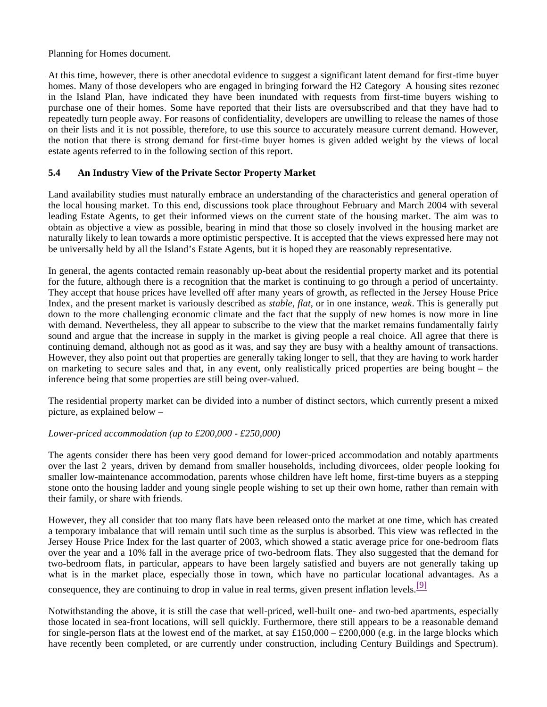Planning for Homes document.

At this time, however, there is other anecdotal evidence to suggest a significant latent demand for first-time buyer homes. Many of those developers who are engaged in bringing forward the H2 Category A housing sites rezoned in the Island Plan, have indicated they have been inundated with requests from first-time buyers wishing to purchase one of their homes. Some have reported that their lists are oversubscribed and that they have had to repeatedly turn people away. For reasons of confidentiality, developers are unwilling to release the names of those on their lists and it is not possible, therefore, to use this source to accurately measure current demand. However, the notion that there is strong demand for first-time buyer homes is given added weight by the views of local estate agents referred to in the following section of this report.

## **5.4 An Industry View of the Private Sector Property Market**

Land availability studies must naturally embrace an understanding of the characteristics and general operation of the local housing market. To this end, discussions took place throughout February and March 2004 with several leading Estate Agents, to get their informed views on the current state of the housing market. The aim was to obtain as objective a view as possible, bearing in mind that those so closely involved in the housing market are naturally likely to lean towards a more optimistic perspective. It is accepted that the views expressed here may not be universally held by all the Island's Estate Agents, but it is hoped they are reasonably representative.

In general, the agents contacted remain reasonably up-beat about the residential property market and its potential for the future, although there is a recognition that the market is continuing to go through a period of uncertainty. They accept that house prices have levelled off after many years of growth, as reflected in the Jersey House Price Index, and the present market is variously described as *stable*, *flat*, or in one instance, *weak*. This is generally put down to the more challenging economic climate and the fact that the supply of new homes is now more in line with demand. Nevertheless, they all appear to subscribe to the view that the market remains fundamentally fairly sound and argue that the increase in supply in the market is giving people a real choice. All agree that there is continuing demand, although not as good as it was, and say they are busy with a healthy amount of transactions. However, they also point out that properties are generally taking longer to sell, that they are having to work harder on marketing to secure sales and that, in any event, only realistically priced properties are being bought – the inference being that some properties are still being over-valued.

The residential property market can be divided into a number of distinct sectors, which currently present a mixed picture, as explained below –

## *Lower-priced accommodation (up to £200,000 - £250,000)*

The agents consider there has been very good demand for lower-priced accommodation and notably apartments over the last 2 years, driven by demand from smaller households, including divorcees, older people looking for smaller low-maintenance accommodation, parents whose children have left home, first-time buyers as a stepping stone onto the housing ladder and young single people wishing to set up their own home, rather than remain with their family, or share with friends.

However, they all consider that too many flats have been released onto the market at one time, which has created a temporary imbalance that will remain until such time as the surplus is absorbed. This view was reflected in the Jersey House Price Index for the last quarter of 2003, which showed a static average price for one-bedroom flats over the year and a 10% fall in the average price of two-bedroom flats. They also suggested that the demand for two-bedroom flats, in particular, appears to have been largely satisfied and buyers are not generally taking up what is in the market place, especially those in town, which have no particular locational advantages. As a

consequence, they are continuing to drop in value in real terms, given present inflation levels.  $[9]$ 

Notwithstanding the above, it is still the case that well-priced, well-built one- and two-bed apartments, especially those located in sea-front locations, will sell quickly. Furthermore, there still appears to be a reasonable demand for single-person flats at the lowest end of the market, at say  $£150,000 - £200,000$  (e.g. in the large blocks which have recently been completed, or are currently under construction, including Century Buildings and Spectrum).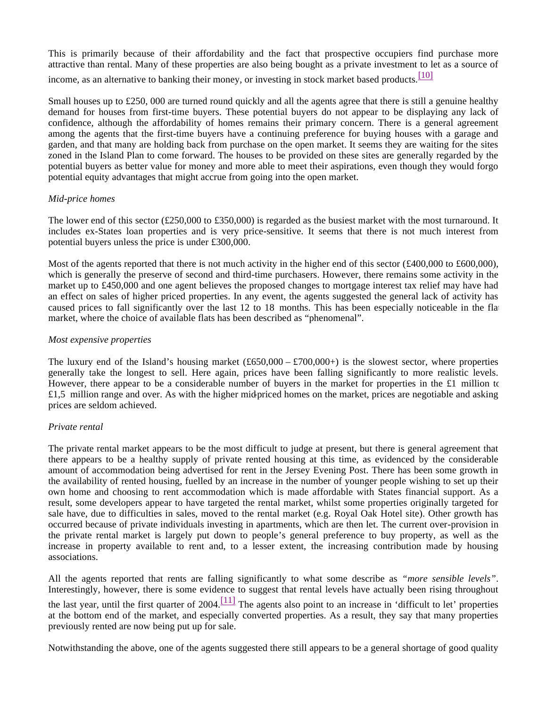This is primarily because of their affordability and the fact that prospective occupiers find purchase more attractive than rental. Many of these properties are also being bought as a private investment to let as a source of income, as an alternative to banking their money, or investing in stock market based products. [10]

Small houses up to £250,000 are turned round quickly and all the agents agree that there is still a genuine healthy demand for houses from first-time buyers. These potential buyers do not appear to be displaying any lack of confidence, although the affordability of homes remains their primary concern. There is a general agreement among the agents that the first-time buyers have a continuing preference for buying houses with a garage and garden, and that many are holding back from purchase on the open market. It seems they are waiting for the sites zoned in the Island Plan to come forward. The houses to be provided on these sites are generally regarded by the potential buyers as better value for money and more able to meet their aspirations, even though they would forgo potential equity advantages that might accrue from going into the open market.

## *Mid-price homes*

The lower end of this sector (£250,000 to £350,000) is regarded as the busiest market with the most turnaround. It includes ex-States loan properties and is very price-sensitive. It seems that there is not much interest from potential buyers unless the price is under £300,000.

Most of the agents reported that there is not much activity in the higher end of this sector (£400,000 to £600,000), which is generally the preserve of second and third-time purchasers. However, there remains some activity in the market up to £450,000 and one agent believes the proposed changes to mortgage interest tax relief may have had an effect on sales of higher priced properties. In any event, the agents suggested the general lack of activity has caused prices to fall significantly over the last 12 to 18 months. This has been especially noticeable in the flat market, where the choice of available flats has been described as "phenomenal".

## *Most expensive properties*

The luxury end of the Island's housing market  $(\text{\pounds}650,000 - \text{\pounds}700,000+)$  is the slowest sector, where properties generally take the longest to sell. Here again, prices have been falling significantly to more realistic levels. However, there appear to be a considerable number of buyers in the market for properties in the £1 million to  $£1,5$  million range and over. As with the higher mid-priced homes on the market, prices are negotiable and asking prices are seldom achieved.

## *Private rental*

The private rental market appears to be the most difficult to judge at present, but there is general agreement that there appears to be a healthy supply of private rented housing at this time, as evidenced by the considerable amount of accommodation being advertised for rent in the Jersey Evening Post. There has been some growth in the availability of rented housing, fuelled by an increase in the number of younger people wishing to set up their own home and choosing to rent accommodation which is made affordable with States financial support. As a result, some developers appear to have targeted the rental market, whilst some properties originally targeted for sale have, due to difficulties in sales, moved to the rental market (e.g. Royal Oak Hotel site). Other growth has occurred because of private individuals investing in apartments, which are then let. The current over-provision in the private rental market is largely put down to people's general preference to buy property, as well as the increase in property available to rent and, to a lesser extent, the increasing contribution made by housing associations.

All the agents reported that rents are falling significantly to what some describe as *"more sensible levels"*. Interestingly, however, there is some evidence to suggest that rental levels have actually been rising throughout the last year, until the first quarter of  $2004$ .<sup>[11]</sup> The agents also point to an increase in 'difficult to let' properties at the bottom end of the market, and especially converted properties. As a result, they say that many properties previously rented are now being put up for sale.

Notwithstanding the above, one of the agents suggested there still appears to be a general shortage of good quality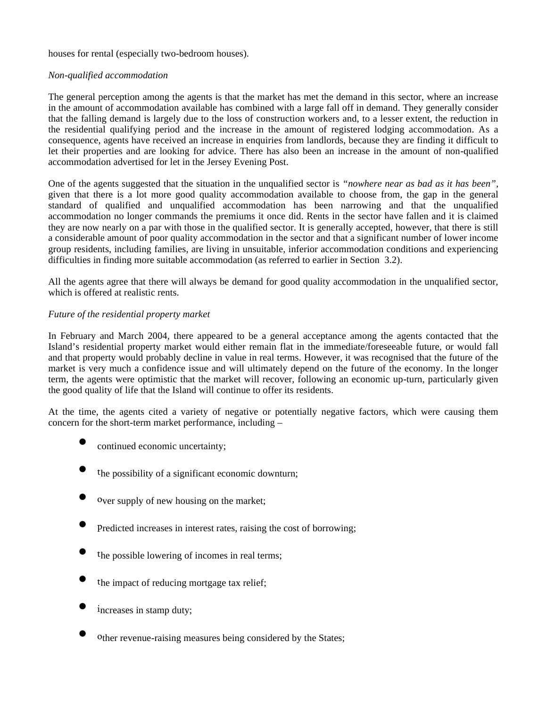houses for rental (especially two-bedroom houses).

#### *Non-qualified accommodation*

The general perception among the agents is that the market has met the demand in this sector, where an increase in the amount of accommodation available has combined with a large fall off in demand. They generally consider that the falling demand is largely due to the loss of construction workers and, to a lesser extent, the reduction in the residential qualifying period and the increase in the amount of registered lodging accommodation. As a consequence, agents have received an increase in enquiries from landlords, because they are finding it difficult to let their properties and are looking for advice. There has also been an increase in the amount of non-qualified accommodation advertised for let in the Jersey Evening Post.

One of the agents suggested that the situation in the unqualified sector is *"nowhere near as bad as it has been",* given that there is a lot more good quality accommodation available to choose from, the gap in the general standard of qualified and unqualified accommodation has been narrowing and that the unqualified accommodation no longer commands the premiums it once did. Rents in the sector have fallen and it is claimed they are now nearly on a par with those in the qualified sector. It is generally accepted, however, that there is still a considerable amount of poor quality accommodation in the sector and that a significant number of lower income group residents, including families, are living in unsuitable, inferior accommodation conditions and experiencing difficulties in finding more suitable accommodation (as referred to earlier in Section 3.2).

All the agents agree that there will always be demand for good quality accommodation in the unqualified sector, which is offered at realistic rents.

#### *Future of the residential property market*

In February and March 2004, there appeared to be a general acceptance among the agents contacted that the Island's residential property market would either remain flat in the immediate/foreseeable future, or would fall and that property would probably decline in value in real terms. However, it was recognised that the future of the market is very much a confidence issue and will ultimately depend on the future of the economy. In the longer term, the agents were optimistic that the market will recover, following an economic up-turn, particularly given the good quality of life that the Island will continue to offer its residents.

At the time, the agents cited a variety of negative or potentially negative factors, which were causing them concern for the short-term market performance, including –

- continued economic uncertainty;
- the possibility of a significant economic downturn;
- Over supply of new housing on the market;
- Predicted increases in interest rates, raising the cost of borrowing;
- the possible lowering of incomes in real terms;
- the impact of reducing mortgage tax relief;
- increases in stamp duty;
- other revenue-raising measures being considered by the States;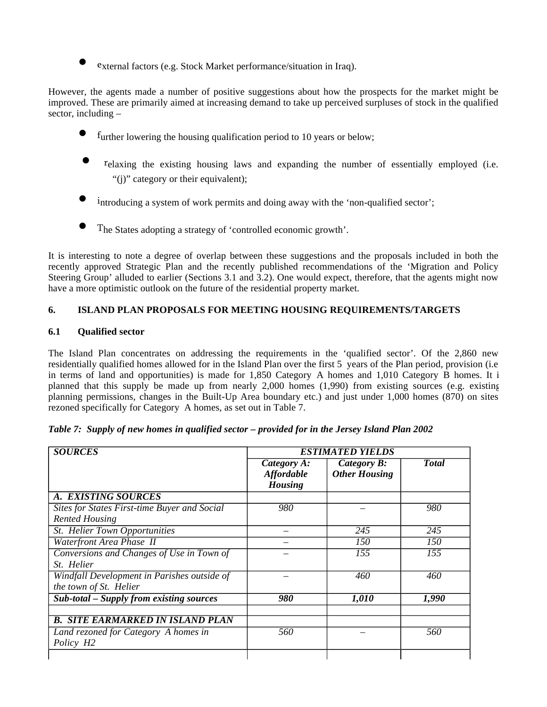external factors (e.g. Stock Market performance/situation in Iraq).

However, the agents made a number of positive suggestions about how the prospects for the market might be improved. These are primarily aimed at increasing demand to take up perceived surpluses of stock in the qualified sector, including –

- $f$ urther lowering the housing qualification period to 10 years or below;
- relaxing the existing housing laws and expanding the number of essentially employed (i.e. "(i)" category or their equivalent);
- $\mu$  introducing a system of work permits and doing away with the 'non-qualified sector';
- The States adopting a strategy of 'controlled economic growth'.

It is interesting to note a degree of overlap between these suggestions and the proposals included in both the recently approved Strategic Plan and the recently published recommendations of the 'Migration and Policy Steering Group' alluded to earlier (Sections 3.1 and 3.2). One would expect, therefore, that the agents might now have a more optimistic outlook on the future of the residential property market.

## **6. ISLAND PLAN PROPOSALS FOR MEETING HOUSING REQUIREMENTS/TARGETS**

## **6.1 Qualified sector**

The Island Plan concentrates on addressing the requirements in the 'qualified sector'. Of the 2,860 new residentially qualified homes allowed for in the Island Plan over the first 5 years of the Plan period, provision (i.e. in terms of land and opportunities) is made for 1,850 Category A homes and 1,010 Category B homes. It is planned that this supply be made up from nearly 2,000 homes (1,990) from existing sources (e.g. existing planning permissions, changes in the Built-Up Area boundary etc.) and just under 1,000 homes (870) on sites rezoned specifically for Category A homes, as set out in Table 7.

| <b>SOURCES</b>                                          | <b>ESTIMATED YIELDS</b>                            |                                     |               |  |  |
|---------------------------------------------------------|----------------------------------------------------|-------------------------------------|---------------|--|--|
|                                                         | Category A:<br><b>Affordable</b><br><b>Housing</b> | Category B:<br><b>Other Housing</b> | <b>T</b> otal |  |  |
| A. EXISTING SOURCES                                     |                                                    |                                     |               |  |  |
| <b>Sites for States First-time Buyer and Social</b>     | 980                                                |                                     | 980           |  |  |
| <b>Rented Housing</b>                                   |                                                    |                                     |               |  |  |
| St. Helier Town Opportunities                           |                                                    | 245                                 | 245           |  |  |
| Waterfront Area Phase II                                |                                                    | 150                                 | 150           |  |  |
| Conversions and Changes of Use in Town of               |                                                    | 155                                 | 155           |  |  |
| <i>St.</i> Helier                                       |                                                    |                                     |               |  |  |
| Windfall Development in Parishes outside of             |                                                    | 460                                 | 460           |  |  |
| the town of St. Helier                                  |                                                    |                                     |               |  |  |
| $Sub$ -total $\overline{-$ Supply from existing sources | 980                                                | 1,010                               | 1,990         |  |  |
|                                                         |                                                    |                                     |               |  |  |
| <b>B. SITE EARMARKED IN ISLAND PLAN</b>                 |                                                    |                                     |               |  |  |
| Land rezoned for Category A homes in                    | 560                                                |                                     | 560           |  |  |
| Policy H <sub>2</sub>                                   |                                                    |                                     |               |  |  |
|                                                         |                                                    |                                     |               |  |  |

| Table 7: Supply of new homes in qualified sector - provided for in the Jersey Island Plan 2002 |  |  |  |  |  |
|------------------------------------------------------------------------------------------------|--|--|--|--|--|
|                                                                                                |  |  |  |  |  |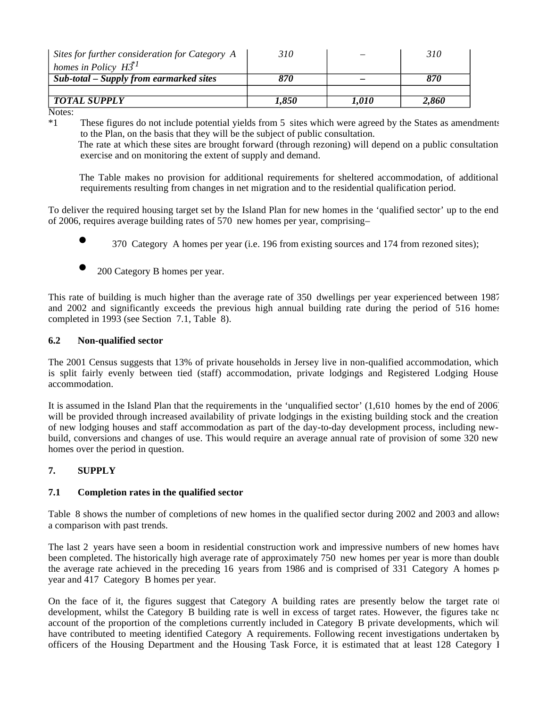| Sites for further consideration for Category A | 310   |              | 310   |
|------------------------------------------------|-------|--------------|-------|
| homes in Policy $H\ddot{3}l$                   |       |              |       |
| Sub-total – Supply from earmarked sites        | 870   |              | 870   |
|                                                |       |              |       |
| <b>TOTAL SUPPLY</b>                            | 1,850 | <i>1.010</i> | 2.860 |

Notes:<br> $*1$ 

These figures do not include potential yields from 5 sites which were agreed by the States as amendments to the Plan, on the basis that they will be the subject of public consultation.

 The rate at which these sites are brought forward (through rezoning) will depend on a public consultation exercise and on monitoring the extent of supply and demand.

 The Table makes no provision for additional requirements for sheltered accommodation, of additional requirements resulting from changes in net migration and to the residential qualification period.

To deliver the required housing target set by the Island Plan for new homes in the 'qualified sector' up to the end of 2006, requires average building rates of 570 new homes per year, comprising –

- 370 Category A homes per year (i.e. 196 from existing sources and 174 from rezoned sites);
- 200 Category B homes per year.

This rate of building is much higher than the average rate of 350 dwellings per year experienced between 1987 and 2002 and significantly exceeds the previous high annual building rate during the period of 516 homes completed in 1993 (see Section 7.1, Table 8).

## **6.2 Non-qualified sector**

The 2001 Census suggests that 13% of private households in Jersey live in non-qualified accommodation, which is split fairly evenly between tied (staff) accommodation, private lodgings and Registered Lodging House accommodation.

It is assumed in the Island Plan that the requirements in the 'unqualified sector' (1,610 homes by the end of 2006) will be provided through increased availability of private lodgings in the existing building stock and the creation of new lodging houses and staff accommodation as part of the day-to-day development process, including newbuild, conversions and changes of use. This would require an average annual rate of provision of some 320 new homes over the period in question.

## **7. SUPPLY**

## **7.1 Completion rates in the qualified sector**

Table 8 shows the number of completions of new homes in the qualified sector during 2002 and 2003 and allows a comparison with past trends.

The last 2 years have seen a boom in residential construction work and impressive numbers of new homes have been completed. The historically high average rate of approximately 750 new homes per year is more than double the average rate achieved in the preceding 16 years from 1986 and is comprised of 331 Category A homes per year and 417 Category B homes per year.

On the face of it, the figures suggest that Category A building rates are presently below the target rate of development, whilst the Category B building rate is well in excess of target rates. However, the figures take no account of the proportion of the completions currently included in Category B private developments, which will have contributed to meeting identified Category A requirements. Following recent investigations undertaken by officers of the Housing Department and the Housing Task Force, it is estimated that at least 128 Category I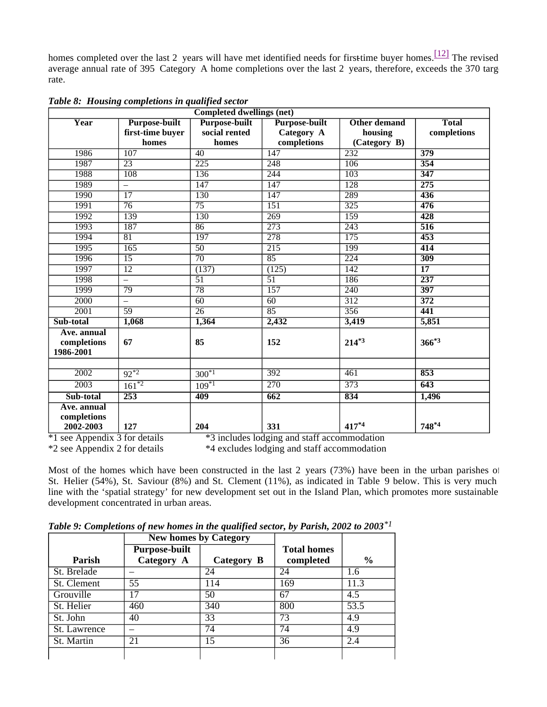homes completed over the last 2 years will have met identified needs for first-time buyer homes.  $\frac{[12]}{]}$  The revised average annual rate of 395 Category A home completions over the last 2 years, therefore, exceeds the 370 target rate.

| <b>Completed dwellings (net)</b>          |                                          |                                |                                    |                         |                             |  |  |  |
|-------------------------------------------|------------------------------------------|--------------------------------|------------------------------------|-------------------------|-----------------------------|--|--|--|
| Year                                      | <b>Purpose-built</b><br>first-time buyer | Purpose-built<br>social rented | <b>Purpose-built</b><br>Category A | Other demand<br>housing | <b>Total</b><br>completions |  |  |  |
|                                           | homes                                    | homes                          | completions                        | (Category B)            |                             |  |  |  |
| 1986                                      | $\overline{107}$                         | 40                             | 147                                | 232                     | 379                         |  |  |  |
| 1987                                      | $\overline{23}$                          | 225                            | $\overline{248}$                   | 106                     | 354                         |  |  |  |
| 1988                                      | 108                                      | 136                            | 244                                | 103                     | 347                         |  |  |  |
| 1989                                      | $\overline{\phantom{0}}$                 | 147                            | 147                                | 128                     | 275                         |  |  |  |
| 1990                                      | $\overline{17}$                          | 130                            | 147                                | 289                     | 436                         |  |  |  |
| 1991                                      | 76                                       | 75                             | $\overline{151}$                   | $\overline{325}$        | 476                         |  |  |  |
| 1992                                      | 139                                      | 130                            | 269                                | 159                     | 428                         |  |  |  |
| 1993                                      | 187                                      | 86                             | 273                                | 243                     | 516                         |  |  |  |
| 1994                                      | 81                                       | 197                            | 278                                | 175                     | 453                         |  |  |  |
| 1995                                      | $\overline{165}$                         | $\overline{50}$                | $\overline{215}$                   | 199                     | 414                         |  |  |  |
| 1996                                      | $\overline{15}$                          | $\overline{70}$                | $\overline{85}$                    | 224                     | 309                         |  |  |  |
| 1997                                      | $\overline{12}$                          | (137)                          | (125)                              | 142                     | $\overline{17}$             |  |  |  |
| 1998                                      | $\overline{\phantom{0}}$                 | $\overline{51}$                | $\overline{51}$                    | 186                     | 237                         |  |  |  |
| 1999                                      | 79                                       | $\overline{78}$                | $\overline{157}$                   | $\overline{240}$        | $\overline{397}$            |  |  |  |
| 2000                                      | $\qquad \qquad -$                        | 60                             | 60                                 | 312                     | 372                         |  |  |  |
| $\overline{2001}$                         | 59                                       | $\overline{26}$                | 85                                 | 356                     | 441                         |  |  |  |
| Sub-total                                 | 1,068                                    | 1,364                          | 2,432                              | 3,419                   | 5,851                       |  |  |  |
| Ave. annual<br>completions<br>1986-2001   | 67                                       | 85                             | 152                                | $214^{*3}$              | $366^{*3}$                  |  |  |  |
|                                           |                                          |                                |                                    |                         |                             |  |  |  |
| $\overline{2002}$                         | $92^{*2}$                                | $300^{*1}$                     | 392                                | 461                     | 853                         |  |  |  |
| $\overline{2003}$                         | $161^{*2}$                               | $109*1$                        | $\overline{270}$                   | 373                     | $\overline{643}$            |  |  |  |
| Sub-total                                 | $\overline{253}$                         | 409                            | $\overline{662}$                   | 834                     | 1,496                       |  |  |  |
| Ave. annual<br>$completions$<br>2002-2003 | 127                                      | 204                            | 331                                | 417*4                   | $748^{*4}$                  |  |  |  |

*Table 8: Housing completions in qualified sector*

\*1 see Appendix 3 for details \*3 includes lodging and staff accommodation

\*2 see Appendix 2 for details \*4 excludes lodging and staff accommodation

Most of the homes which have been constructed in the last 2 years (73%) have been in the urban parishes of St. Helier (54%), St. Saviour (8%) and St. Clement (11%), as indicated in Table 9 below. This is very much line with the 'spatial strategy' for new development set out in the Island Plan, which promotes more sustainable development concentrated in urban areas.

|              |                                    | <b>New homes by Category</b> |                                 |                   |
|--------------|------------------------------------|------------------------------|---------------------------------|-------------------|
| Parish       | <b>Purpose-built</b><br>Category A | Category B                   | <b>Total homes</b><br>completed | $\frac{6}{6}$     |
| St. Brelade  |                                    | 24                           | 24                              | 1.6               |
| St. Clement  | 55                                 | 114                          | 169                             | 11.3              |
| Grouville    | 17                                 | 50                           | 67                              | 4.5               |
| St. Helier   | 460                                | $\overline{340}$             | 800                             | $\overline{53.5}$ |
| St. John     | 40                                 | 33                           | 73                              | 4.9               |
| St. Lawrence |                                    | 74                           | 74                              | 4.9               |
| St. Martin   | 21                                 | 15                           | 36                              | 2.4               |
|              |                                    |                              |                                 |                   |

*Table 9: Completions of new homes in the qualified sector, by Parish, 2002 to 2003\*1*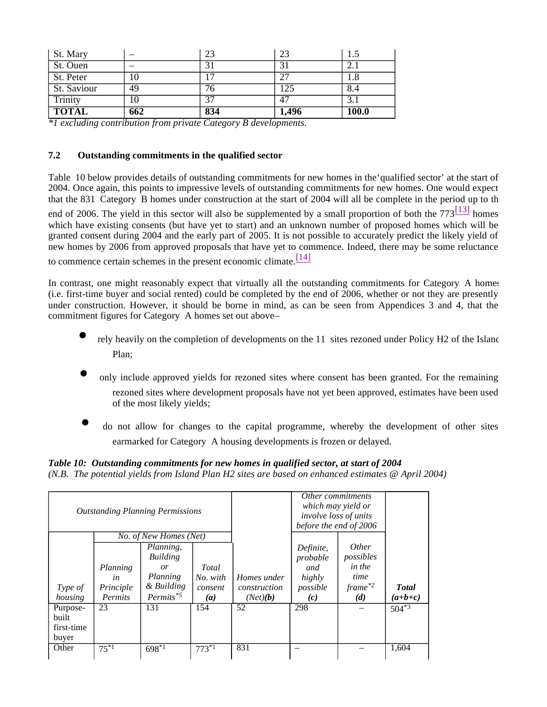| St. Mary     |     | 23  | 23            | L.)          |
|--------------|-----|-----|---------------|--------------|
| St. Ouen     |     | 31  | 31            | ⌒<br>2. l    |
| St. Peter    | 10  | 17  | $\mathcal{L}$ | 1.8          |
| St. Saviour  | 49  | 76  | 125           | 8.4          |
| Trinity      | 10  | 37  | 47            | 3.1          |
| <b>TOTAL</b> | 662 | 834 | 1,496         | <b>100.0</b> |

*\*1 excluding contribution from private Category B developments.*

## **7.2 Outstanding commitments in the qualified sector**

Table 10 below provides details of outstanding commitments for new homes in the'qualified sector' at the start of 2004. Once again, this points to impressive levels of outstanding commitments for new homes. One would expect that the 831 Category B homes under construction at the start of 2004 will all be complete in the period up to the

end of 2006. The yield in this sector will also be supplemented by a small proportion of both the  $773\frac{[13]}{[13]}$  homes which have existing consents (but have yet to start) and an unknown number of proposed homes which will be granted consent during 2004 and the early part of 2005. It is not possible to accurately predict the likely yield of new homes by 2006 from approved proposals that have yet to commence. Indeed, there may be some reluctance

to commence certain schemes in the present economic climate.  $\frac{[14]}{[14]}$ 

In contrast, one might reasonably expect that virtually all the outstanding commitments for Category A homes (i.e. first-time buyer and social rented) could be completed by the end of 2006, whether or not they are presently under construction. However, it should be borne in mind, as can be seen from Appendices 3 and 4, that the commitment figures for Category A homes set out above –

- rely heavily on the completion of developments on the 11 sites rezoned under Policy H2 of the Island Plan;
- only include approved yields for rezoned sites where consent has been granted. For the remaining rezoned sites where development proposals have not yet been approved, estimates have been used of the most likely yields;
- do not allow for changes to the capital programme, whereby the development of other sites earmarked for Category A housing developments is frozen or delayed.

*Table 10: Outstanding commitments for new homes in qualified sector, at start of 2004 (N.B. The potential yields from Island Plan H2 sites are based on enhanced estimates @ April 2004)*

| <b>Outstanding Planning Permissions</b><br>No. of New Homes (Net) |                |                         |          | Other commitments<br>which may yield or<br>involve loss of units<br>before the end of 2006 |                 |                           |              |
|-------------------------------------------------------------------|----------------|-------------------------|----------|--------------------------------------------------------------------------------------------|-----------------|---------------------------|--------------|
|                                                                   |                |                         |          |                                                                                            |                 |                           |              |
|                                                                   |                | Planning.<br>Building   |          |                                                                                            | Definite,       | <i>Other</i><br>possibles |              |
|                                                                   | Planning       | <i>or</i>               | Total    |                                                                                            | probable<br>and | in the                    |              |
|                                                                   | in             | Planning                | No. with | Homes under                                                                                | highly          | time                      |              |
| Type of                                                           | Principle      | & Building              | consent  | construction                                                                               | possible        | $frame$ <sup>*2</sup>     | <b>Total</b> |
| housing                                                           | <b>Permits</b> | $Permits$ <sup>*5</sup> | (a)      | (Net)(b)                                                                                   | (c)             | (d)                       | $(a+b+c)$    |
| Purpose-                                                          | 23             | 131                     | 154      | 52                                                                                         | 298             |                           | $504^{*3}$   |
| built                                                             |                |                         |          |                                                                                            |                 |                           |              |
| first-time                                                        |                |                         |          |                                                                                            |                 |                           |              |
| buyer                                                             |                |                         |          |                                                                                            |                 |                           |              |
| Other                                                             | $75^{*1}$      | $698*1$                 | $773*1$  | 831                                                                                        |                 |                           | 1,604        |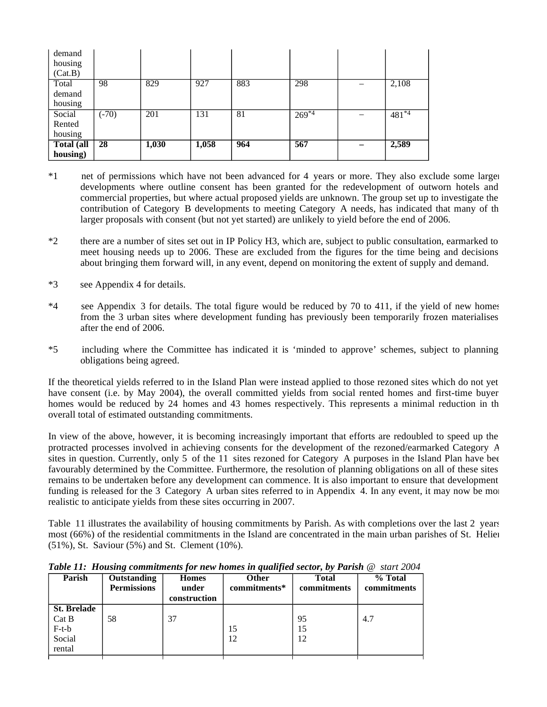| demand     |         |       |       |     |            |            |
|------------|---------|-------|-------|-----|------------|------------|
| housing    |         |       |       |     |            |            |
| (Cat.B)    |         |       |       |     |            |            |
| Total      | 98      | 829   | 927   | 883 | 298        | 2,108      |
| demand     |         |       |       |     |            |            |
| housing    |         |       |       |     |            |            |
| Social     | $(-70)$ | 201   | 131   | 81  | $269^{*4}$ | $481^{*4}$ |
| Rented     |         |       |       |     |            |            |
| housing    |         |       |       |     |            |            |
| Total (all | 28      | 1,030 | 1,058 | 964 | 567        | 2,589      |
| housing)   |         |       |       |     |            |            |

- \*1 net of permissions which have not been advanced for 4 years or more. They also exclude some larger developments where outline consent has been granted for the redevelopment of outworn hotels and commercial properties, but where actual proposed yields are unknown. The group set up to investigate the contribution of Category B developments to meeting Category A needs, has indicated that many of th larger proposals with consent (but not yet started) are unlikely to yield before the end of 2006.
- \*2 there are a number of sites set out in IP Policy H3, which are, subject to public consultation, earmarked to meet housing needs up to 2006. These are excluded from the figures for the time being and decisions about bringing them forward will, in any event, depend on monitoring the extent of supply and demand.
- \*3 see Appendix 4 for details.
- \*4 see Appendix 3 for details. The total figure would be reduced by 70 to 411, if the yield of new homes from the 3 urban sites where development funding has previously been temporarily frozen materialises after the end of 2006.
- \*5 including where the Committee has indicated it is 'minded to approve' schemes, subject to planning obligations being agreed.

If the theoretical yields referred to in the Island Plan were instead applied to those rezoned sites which do not yet have consent (i.e. by May 2004), the overall committed yields from social rented homes and first-time buyer homes would be reduced by 24 homes and 43 homes respectively. This represents a minimal reduction in the overall total of estimated outstanding commitments.

In view of the above, however, it is becoming increasingly important that efforts are redoubled to speed up the protracted processes involved in achieving consents for the development of the rezoned/earmarked Category A sites in question. Currently, only 5 of the 11 sites rezoned for Category A purposes in the Island Plan have bee favourably determined by the Committee. Furthermore, the resolution of planning obligations on all of these sites remains to be undertaken before any development can commence. It is also important to ensure that development funding is released for the 3 Category A urban sites referred to in Appendix 4. In any event, it may now be more realistic to anticipate yields from these sites occurring in 2007.

Table 11 illustrates the availability of housing commitments by Parish. As with completions over the last 2 years most (66%) of the residential commitments in the Island are concentrated in the main urban parishes of St. Helier (51%), St. Saviour (5%) and St. Clement (10%).

| Parish                                                     | <b>Outstanding</b><br><b>Permissions</b> | <b>Homes</b><br>under<br>construction | <b>Other</b><br>commitments* | <b>Total</b><br>commitments | % Total<br>commitments |
|------------------------------------------------------------|------------------------------------------|---------------------------------------|------------------------------|-----------------------------|------------------------|
| <b>St. Brelade</b><br>Cat B<br>$F-t-b$<br>Social<br>rental | 58                                       | 37                                    | 15<br>12                     | 95<br>15<br>12              | 4.7                    |

*Table 11: Housing commitments for new homes in qualified sector, by Parish @ start 2004*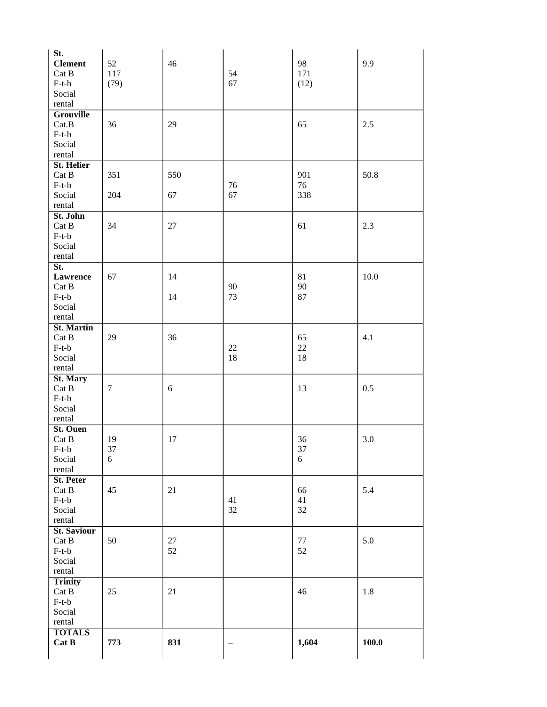| St.<br><b>Clement</b><br>Cat B<br>$F-t-b$                  | 52<br>117<br>(79) | 46       | 54<br>67 | 98<br>171<br>(12) | 9.9     |
|------------------------------------------------------------|-------------------|----------|----------|-------------------|---------|
| Social<br>rental                                           |                   |          |          |                   |         |
| <b>Grouville</b><br>Cat.B<br>$F-t-b$                       | 36                | 29       |          | 65                | 2.5     |
| Social<br>rental                                           |                   |          |          |                   |         |
| <b>St. Helier</b><br>Cat B<br>$F-t-b$                      | 351               | 550      | 76       | 901<br>76         | 50.8    |
| Social<br>rental                                           | 204               | 67       | 67       | 338               |         |
| St. John<br>Cat B<br>$F-t-b$<br>Social                     | 34                | 27       |          | 61                | 2.3     |
| rental<br>St.                                              |                   |          |          |                   |         |
| <b>Lawrence</b><br>Cat B<br>$F-t-b$<br>Social              | 67                | 14<br>14 | 90<br>73 | 81<br>90<br>87    | 10.0    |
| rental<br><b>St. Martin</b>                                |                   |          |          |                   |         |
| Cat B<br>$F-t-b$<br>Social<br>rental                       | 29                | 36       | 22<br>18 | 65<br>22<br>18    | 4.1     |
| St. Mary<br>Cat B<br>$F-t-b$<br>Social<br>rental           | $\tau$            | 6        |          | 13                | 0.5     |
| St. Ouen<br>Cat B<br>$F-t-b$<br>Social<br>rental           | 19<br>37<br>6     | 17       |          | 36<br>37<br>6     | 3.0     |
| <b>St. Peter</b><br>Cat B<br>$F-t-b$<br>Social<br>rental   | 45                | 21       | 41<br>32 | 66<br>41<br>32    | 5.4     |
| <b>St. Saviour</b><br>Cat B<br>$F-t-b$<br>Social<br>rental | 50                | 27<br>52 |          | $77\,$<br>52      | 5.0     |
| <b>Trinity</b><br>Cat B<br>$F-t-b$<br>Social<br>rental     | 25                | 21       |          | 46                | $1.8\,$ |
| <b>TOTALS</b><br>Cat B                                     | 773               | 831      | —        | 1,604             | 100.0   |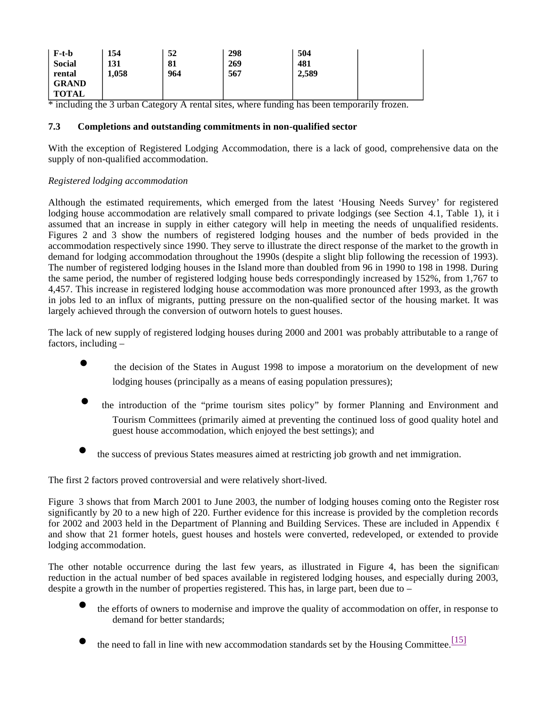| F-t-b         | 154   | 52  | 298 | 504   |  |
|---------------|-------|-----|-----|-------|--|
| <b>Social</b> | 131   | 81  | 269 | 481   |  |
| rental        | 1,058 | 964 | 567 | 2,589 |  |
| <b>GRAND</b>  |       |     |     |       |  |
| <b>TOTAL</b>  |       |     |     |       |  |

\* including the 3 urban Category A rental sites, where funding has been temporarily frozen.

#### **7.3 Completions and outstanding commitments in non-qualified sector**

With the exception of Registered Lodging Accommodation, there is a lack of good, comprehensive data on the supply of non-qualified accommodation.

## *Registered lodging accommodation*

Although the estimated requirements, which emerged from the latest 'Housing Needs Survey' for registered lodging house accommodation are relatively small compared to private lodgings (see Section 4.1, Table 1), it i assumed that an increase in supply in either category will help in meeting the needs of unqualified residents. Figures 2 and 3 show the numbers of registered lodging houses and the number of beds provided in the accommodation respectively since 1990. They serve to illustrate the direct response of the market to the growth in demand for lodging accommodation throughout the 1990s (despite a slight blip following the recession of 1993). The number of registered lodging houses in the Island more than doubled from 96 in 1990 to 198 in 1998. During the same period, the number of registered lodging house beds correspondingly increased by 152%, from 1,767 to 4,457. This increase in registered lodging house accommodation was more pronounced after 1993, as the growth in jobs led to an influx of migrants, putting pressure on the non-qualified sector of the housing market. It was largely achieved through the conversion of outworn hotels to guest houses.

The lack of new supply of registered lodging houses during 2000 and 2001 was probably attributable to a range of factors, including –

- the decision of the States in August 1998 to impose a moratorium on the development of new lodging houses (principally as a means of easing population pressures);
- the introduction of the "prime tourism sites policy" by former Planning and Environment and Tourism Committees (primarily aimed at preventing the continued loss of good quality hotel and guest house accommodation, which enjoyed the best settings); and
- the success of previous States measures aimed at restricting job growth and net immigration.

The first 2 factors proved controversial and were relatively short-lived.

Figure 3 shows that from March 2001 to June 2003, the number of lodging houses coming onto the Register rose significantly by 20 to a new high of 220. Further evidence for this increase is provided by the completion records for 2002 and 2003 held in the Department of Planning and Building Services. These are included in Appendix 6 and show that 21 former hotels, guest houses and hostels were converted, redeveloped, or extended to provide lodging accommodation.

The other notable occurrence during the last few years, as illustrated in Figure 4, has been the significant reduction in the actual number of bed spaces available in registered lodging houses, and especially during 2003, despite a growth in the number of properties registered. This has, in large part, been due to  $-$ 

- the efforts of owners to modernise and improve the quality of accommodation on offer, in response to demand for better standards;
- the need to fall in line with new accommodation standards set by the Housing Committee.<sup>[15]</sup>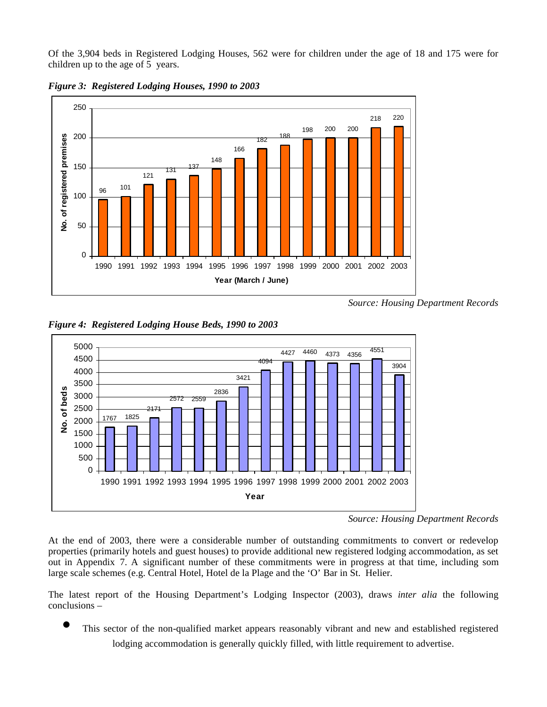Of the 3,904 beds in Registered Lodging Houses, 562 were for children under the age of 18 and 175 were for children up to the age of 5 years.



*Figure 3: Registered Lodging Houses, 1990 to 2003*

*Source: Housing Department Records*



*Figure 4: Registered Lodging House Beds, 1990 to 2003*

At the end of 2003, there were a considerable number of outstanding commitments to convert or redevelop properties (primarily hotels and guest houses) to provide additional new registered lodging accommodation, as set out in Appendix 7. A significant number of these commitments were in progress at that time, including some large scale schemes (e.g. Central Hotel, Hotel de la Plage and the 'O' Bar in St. Helier.

The latest report of the Housing Department's Lodging Inspector (2003), draws *inter alia* the following conclusions –

This sector of the non-qualified market appears reasonably vibrant and new and established registered lodging accommodation is generally quickly filled, with little requirement to advertise.

*Source: Housing Department Records*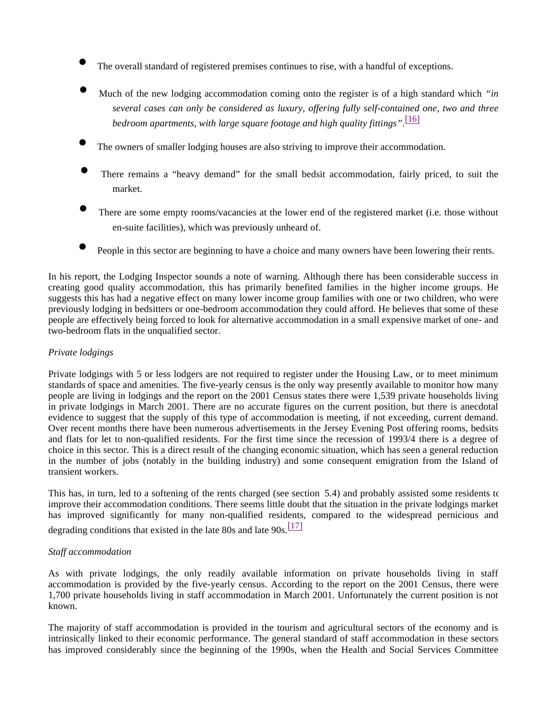- The overall standard of registered premises continues to rise, with a handful of exceptions.
- Much of the new lodging accommodation coming onto the register is of a high standard which *"in several cases can only be considered as luxury, offering fully self-contained one, two and three bedroom apartments, with large square footage and high quality fittings".* [16]
- The owners of smaller lodging houses are also striving to improve their accommodation.
- There remains a "heavy demand" for the small bedsit accommodation, fairly priced, to suit the market.
- There are some empty rooms/vacancies at the lower end of the registered market (i.e. those without en-suite facilities), which was previously unheard of.
- People in this sector are beginning to have a choice and many owners have been lowering their rents.

In his report, the Lodging Inspector sounds a note of warning. Although there has been considerable success in creating good quality accommodation, this has primarily benefited families in the higher income groups. He suggests this has had a negative effect on many lower income group families with one or two children, who were previously lodging in bedsitters or one-bedroom accommodation they could afford. He believes that some of these people are effectively being forced to look for alternative accommodation in a small expensive market of one- and two-bedroom flats in the unqualified sector.

#### *Private lodgings*

Private lodgings with 5 or less lodgers are not required to register under the Housing Law, or to meet minimum standards of space and amenities. The five-yearly census is the only way presently available to monitor how many people are living in lodgings and the report on the 2001 Census states there were 1,539 private households living in private lodgings in March 2001. There are no accurate figures on the current position, but there is anecdotal evidence to suggest that the supply of this type of accommodation is meeting, if not exceeding, current demand. Over recent months there have been numerous advertisements in the Jersey Evening Post offering rooms, bedsits and flats for let to non-qualified residents. For the first time since the recession of 1993/4 there is a degree of choice in this sector. This is a direct result of the changing economic situation, which has seen a general reduction in the number of jobs (notably in the building industry) and some consequent emigration from the Island of transient workers.

This has, in turn, led to a softening of the rents charged (see section 5.4) and probably assisted some residents to improve their accommodation conditions. There seems little doubt that the situation in the private lodgings market has improved significantly for many non-qualified residents, compared to the widespread pernicious and

degrading conditions that existed in the late 80s and late  $90s$ .<sup>[17]</sup>

#### *Staff accommodation*

As with private lodgings, the only readily available information on private households living in staff accommodation is provided by the five-yearly census. According to the report on the 2001 Census, there were 1,700 private households living in staff accommodation in March 2001. Unfortunately the current position is not known.

The majority of staff accommodation is provided in the tourism and agricultural sectors of the economy and is intrinsically linked to their economic performance. The general standard of staff accommodation in these sectors has improved considerably since the beginning of the 1990s, when the Health and Social Services Committee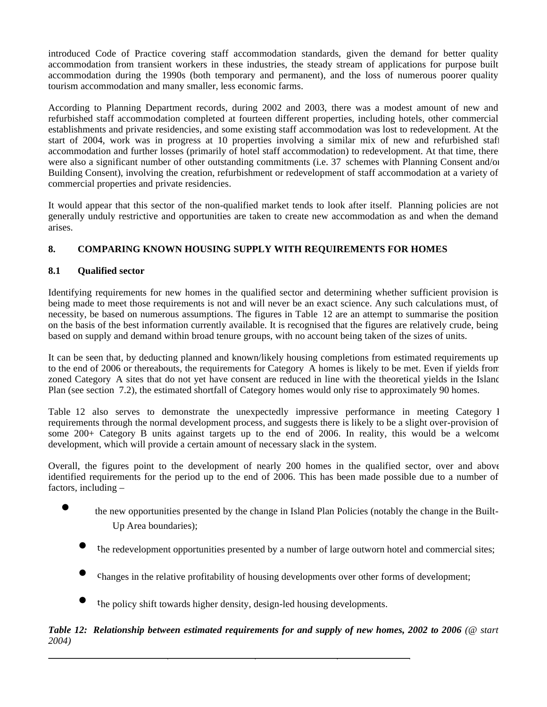introduced Code of Practice covering staff accommodation standards, given the demand for better quality accommodation from transient workers in these industries, the steady stream of applications for purpose built accommodation during the 1990s (both temporary and permanent), and the loss of numerous poorer quality tourism accommodation and many smaller, less economic farms.

According to Planning Department records, during 2002 and 2003, there was a modest amount of new and refurbished staff accommodation completed at fourteen different properties, including hotels, other commercial establishments and private residencies, and some existing staff accommodation was lost to redevelopment. At the start of 2004, work was in progress at 10 properties involving a similar mix of new and refurbished staff accommodation and further losses (primarily of hotel staff accommodation) to redevelopment. At that time, there were also a significant number of other outstanding commitments (i.e. 37 schemes with Planning Consent and/or Building Consent), involving the creation, refurbishment or redevelopment of staff accommodation at a variety of commercial properties and private residencies.

It would appear that this sector of the non-qualified market tends to look after itself. Planning policies are not generally unduly restrictive and opportunities are taken to create new accommodation as and when the demand arises.

## **8. COMPARING KNOWN HOUSING SUPPLY WITH REQUIREMENTS FOR HOMES**

## **8.1 Qualified sector**

Identifying requirements for new homes in the qualified sector and determining whether sufficient provision is being made to meet those requirements is not and will never be an exact science. Any such calculations must, of necessity, be based on numerous assumptions. The figures in Table 12 are an attempt to summarise the position, on the basis of the best information currently available. It is recognised that the figures are relatively crude, being based on supply and demand within broad tenure groups, with no account being taken of the sizes of units.

It can be seen that, by deducting planned and known/likely housing completions from estimated requirements up to the end of 2006 or thereabouts, the requirements for Category A homes is likely to be met. Even if yields from zoned Category A sites that do not yet have consent are reduced in line with the theoretical yields in the Island Plan (see section 7.2), the estimated shortfall of Category homes would only rise to approximately 90 homes.

Table 12 also serves to demonstrate the unexpectedly impressive performance in meeting Category I requirements through the normal development process, and suggests there is likely to be a slight over-provision of some 200+ Category B units against targets up to the end of 2006. In reality, this would be a welcome development, which will provide a certain amount of necessary slack in the system.

Overall, the figures point to the development of nearly 200 homes in the qualified sector, over and above identified requirements for the period up to the end of 2006. This has been made possible due to a number of factors, including –

- ● the new opportunities presented by the change in Island Plan Policies (notably the change in the Built-Up Area boundaries);
	- the redevelopment opportunities presented by a number of large outworn hotel and commercial sites;
	- changes in the relative profitability of housing developments over other forms of development;
	- the policy shift towards higher density, design-led housing developments.

## *Table 12: Relationship between estimated requirements for and supply of new homes, 2002 to 2006 (@ start 2004)*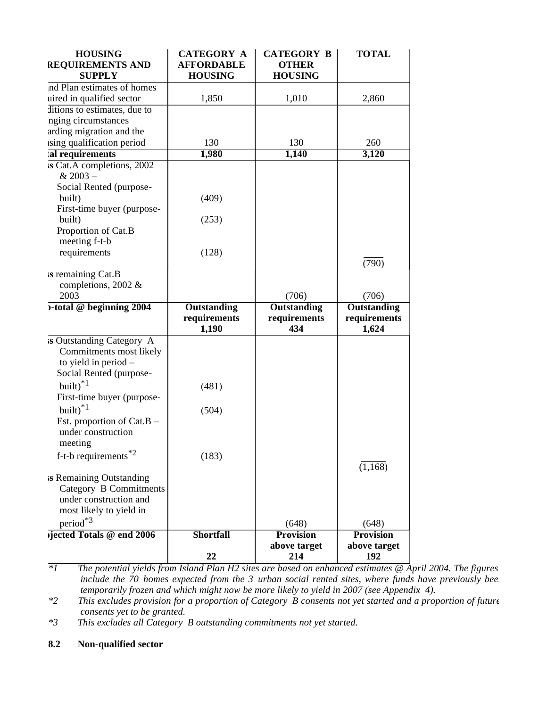| <b>HOUSING</b><br><b>REQUIREMENTS AND</b><br><b>SUPPLY</b>                                                     | <b>CATEGORY A</b><br><b>AFFORDABLE</b><br><b>HOUSING</b> | <b>CATEGORY B</b><br><b>OTHER</b><br><b>HOUSING</b> | <b>TOTAL</b>                                |
|----------------------------------------------------------------------------------------------------------------|----------------------------------------------------------|-----------------------------------------------------|---------------------------------------------|
| nd Plan estimates of homes                                                                                     |                                                          |                                                     |                                             |
| uired in qualified sector                                                                                      | 1,850                                                    | 1,010                                               | 2,860                                       |
| ditions to estimates, due to                                                                                   |                                                          |                                                     |                                             |
| nging circumstances                                                                                            |                                                          |                                                     |                                             |
| arding migration and the                                                                                       |                                                          |                                                     |                                             |
| ising qualification period                                                                                     | 130                                                      | 130                                                 | 260                                         |
| al requirements                                                                                                | 1,980                                                    | 1,140                                               | 3,120                                       |
| is Cat.A completions, 2002<br>$& 2003 -$                                                                       |                                                          |                                                     |                                             |
| Social Rented (purpose-                                                                                        |                                                          |                                                     |                                             |
| built)                                                                                                         | (409)                                                    |                                                     |                                             |
| First-time buyer (purpose-                                                                                     |                                                          |                                                     |                                             |
| built)                                                                                                         | (253)                                                    |                                                     |                                             |
| Proportion of Cat.B                                                                                            |                                                          |                                                     |                                             |
| meeting f-t-b<br>requirements                                                                                  | (128)                                                    |                                                     |                                             |
|                                                                                                                |                                                          |                                                     | (790)                                       |
| is remaining Cat.B<br>completions, 2002 &                                                                      |                                                          |                                                     |                                             |
| 2003                                                                                                           |                                                          | (706)                                               | (706)                                       |
| b-total @ beginning 2004                                                                                       | Outstanding<br>requirements<br>1,190                     | <b>Outstanding</b><br>requirements<br>434           | <b>Outstanding</b><br>requirements<br>1,624 |
| is Outstanding Category A<br>Commitments most likely<br>to yield in period -<br>Social Rented (purpose-        |                                                          |                                                     |                                             |
| built) $*1$                                                                                                    | (481)                                                    |                                                     |                                             |
| First-time buyer (purpose-                                                                                     |                                                          |                                                     |                                             |
| built) $*1$                                                                                                    | (504)                                                    |                                                     |                                             |
| Est. proportion of Cat.B -<br>under construction<br>meeting                                                    |                                                          |                                                     |                                             |
| f-t-b requirements $*2$                                                                                        | (183)                                                    |                                                     | (1, 168)                                    |
| is Remaining Outstanding<br><b>Category B Commitments</b><br>under construction and<br>most likely to yield in |                                                          |                                                     |                                             |
| period*3                                                                                                       |                                                          | (648)                                               | (648)                                       |
| ijected Totals @ end 2006                                                                                      | <b>Shortfall</b>                                         | <b>Provision</b>                                    | <b>Provision</b>                            |
|                                                                                                                |                                                          | above target                                        | above target                                |
|                                                                                                                | 22                                                       | 214                                                 | 192                                         |

*\*1 The potential yields from Island Plan H2 sites are based on enhanced estimates @ April 2004. The figures include the 70 homes expected from the 3 urban social rented sites, where funds have previously bee temporarily frozen and which might now be more likely to yield in 2007 (see Appendix 4).*

*\*2 This excludes provision for a proportion of Category B consents not yet started and a proportion of future consents yet to be granted.*

*\*3 This excludes all Category B outstanding commitments not yet started.*

## **8.2 Non-qualified sector**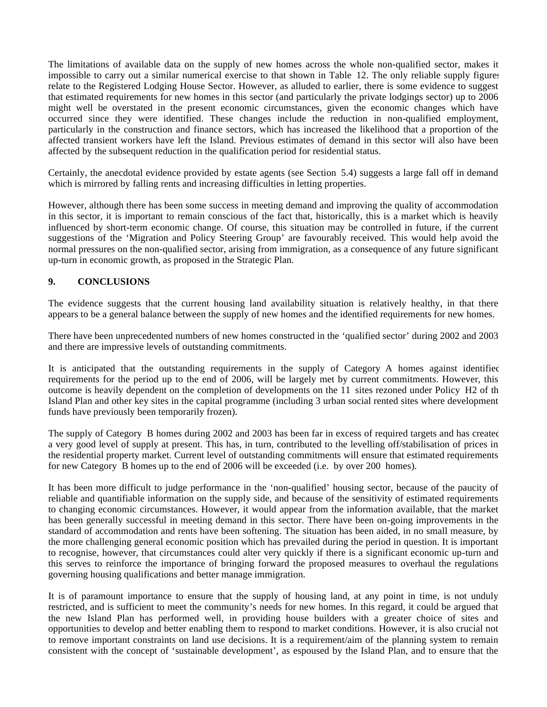The limitations of available data on the supply of new homes across the whole non-qualified sector, makes it impossible to carry out a similar numerical exercise to that shown in Table 12. The only reliable supply figures relate to the Registered Lodging House Sector. However, as alluded to earlier, there is some evidence to suggest that estimated requirements for new homes in this sector (and particularly the private lodgings sector) up to 2006 might well be overstated in the present economic circumstances, given the economic changes which have occurred since they were identified. These changes include the reduction in non-qualified employment, particularly in the construction and finance sectors, which has increased the likelihood that a proportion of the affected transient workers have left the Island. Previous estimates of demand in this sector will also have been affected by the subsequent reduction in the qualification period for residential status.

Certainly, the anecdotal evidence provided by estate agents (see Section 5.4) suggests a large fall off in demand, which is mirrored by falling rents and increasing difficulties in letting properties.

However, although there has been some success in meeting demand and improving the quality of accommodation in this sector, it is important to remain conscious of the fact that, historically, this is a market which is heavily influenced by short-term economic change. Of course, this situation may be controlled in future, if the current suggestions of the 'Migration and Policy Steering Group' are favourably received. This would help avoid the normal pressures on the non-qualified sector, arising from immigration, as a consequence of any future significant up-turn in economic growth, as proposed in the Strategic Plan.

## **9. CONCLUSIONS**

The evidence suggests that the current housing land availability situation is relatively healthy, in that there appears to be a general balance between the supply of new homes and the identified requirements for new homes.

There have been unprecedented numbers of new homes constructed in the 'qualified sector' during 2002 and 2003 and there are impressive levels of outstanding commitments.

It is anticipated that the outstanding requirements in the supply of Category A homes against identified requirements for the period up to the end of 2006, will be largely met by current commitments. However, this outcome is heavily dependent on the completion of developments on the 11 sites rezoned under Policy H2 of the Island Plan and other key sites in the capital programme (including 3 urban social rented sites where development funds have previously been temporarily frozen).

The supply of Category B homes during 2002 and 2003 has been far in excess of required targets and has created a very good level of supply at present. This has, in turn, contributed to the levelling off/stabilisation of prices in the residential property market. Current level of outstanding commitments will ensure that estimated requirements for new Category B homes up to the end of 2006 will be exceeded (i.e. by over 200 homes).

It has been more difficult to judge performance in the 'non-qualified' housing sector, because of the paucity of reliable and quantifiable information on the supply side, and because of the sensitivity of estimated requirements to changing economic circumstances. However, it would appear from the information available, that the market has been generally successful in meeting demand in this sector. There have been on-going improvements in the standard of accommodation and rents have been softening. The situation has been aided, in no small measure, by the more challenging general economic position which has prevailed during the period in question. It is important to recognise, however, that circumstances could alter very quickly if there is a significant economic up-turn and this serves to reinforce the importance of bringing forward the proposed measures to overhaul the regulations governing housing qualifications and better manage immigration.

It is of paramount importance to ensure that the supply of housing land, at any point in time, is not unduly restricted, and is sufficient to meet the community's needs for new homes. In this regard, it could be argued that the new Island Plan has performed well, in providing house builders with a greater choice of sites and opportunities to develop and better enabling them to respond to market conditions. However, it is also crucial not to remove important constraints on land use decisions. It is a requirement/aim of the planning system to remain consistent with the concept of 'sustainable development', as espoused by the Island Plan, and to ensure that the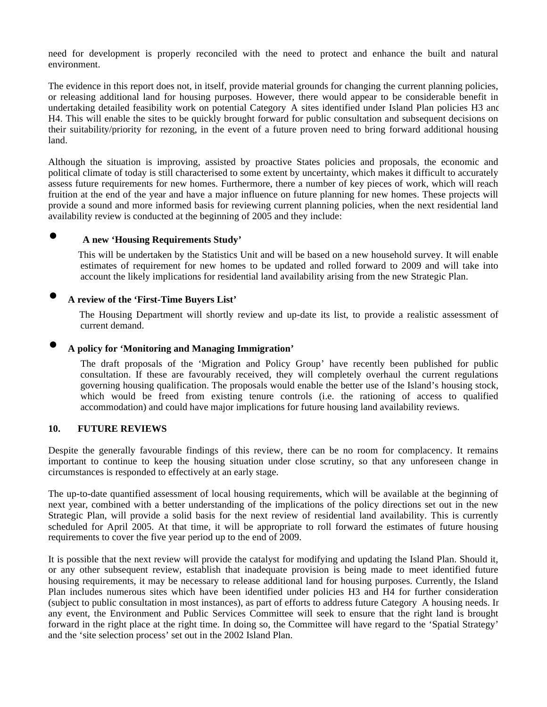need for development is properly reconciled with the need to protect and enhance the built and natural environment.

The evidence in this report does not, in itself, provide material grounds for changing the current planning policies, or releasing additional land for housing purposes. However, there would appear to be considerable benefit in undertaking detailed feasibility work on potential Category A sites identified under Island Plan policies H3 and H4. This will enable the sites to be quickly brought forward for public consultation and subsequent decisions on their suitability/priority for rezoning, in the event of a future proven need to bring forward additional housing land.

Although the situation is improving, assisted by proactive States policies and proposals, the economic and political climate of today is still characterised to some extent by uncertainty, which makes it difficult to accurately assess future requirements for new homes. Furthermore, there a number of key pieces of work, which will reach fruition at the end of the year and have a major influence on future planning for new homes. These projects will provide a sound and more informed basis for reviewing current planning policies, when the next residential land availability review is conducted at the beginning of 2005 and they include:

## **● A new 'Housing Requirements Study'**

 This will be undertaken by the Statistics Unit and will be based on a new household survey. It will enable estimates of requirement for new homes to be updated and rolled forward to 2009 and will take into account the likely implications for residential land availability arising from the new Strategic Plan.

## **● A review of the 'First-Time Buyers List'**

 The Housing Department will shortly review and up-date its list, to provide a realistic assessment of current demand.

## **● A policy for 'Monitoring and Managing Immigration'**

 The draft proposals of the 'Migration and Policy Group' have recently been published for public consultation. If these are favourably received, they will completely overhaul the current regulations governing housing qualification. The proposals would enable the better use of the Island's housing stock, which would be freed from existing tenure controls (i.e. the rationing of access to qualified accommodation) and could have major implications for future housing land availability reviews.

### **10. FUTURE REVIEWS**

Despite the generally favourable findings of this review, there can be no room for complacency. It remains important to continue to keep the housing situation under close scrutiny, so that any unforeseen change in circumstances is responded to effectively at an early stage.

The up-to-date quantified assessment of local housing requirements, which will be available at the beginning of next year, combined with a better understanding of the implications of the policy directions set out in the new Strategic Plan, will provide a solid basis for the next review of residential land availability. This is currently scheduled for April 2005. At that time, it will be appropriate to roll forward the estimates of future housing requirements to cover the five year period up to the end of 2009.

It is possible that the next review will provide the catalyst for modifying and updating the Island Plan. Should it, or any other subsequent review, establish that inadequate provision is being made to meet identified future housing requirements, it may be necessary to release additional land for housing purposes. Currently, the Island Plan includes numerous sites which have been identified under policies H3 and H4 for further consideration (subject to public consultation in most instances), as part of efforts to address future Category A housing needs. In any event, the Environment and Public Services Committee will seek to ensure that the right land is brought forward in the right place at the right time. In doing so, the Committee will have regard to the 'Spatial Strategy' and the 'site selection process' set out in the 2002 Island Plan.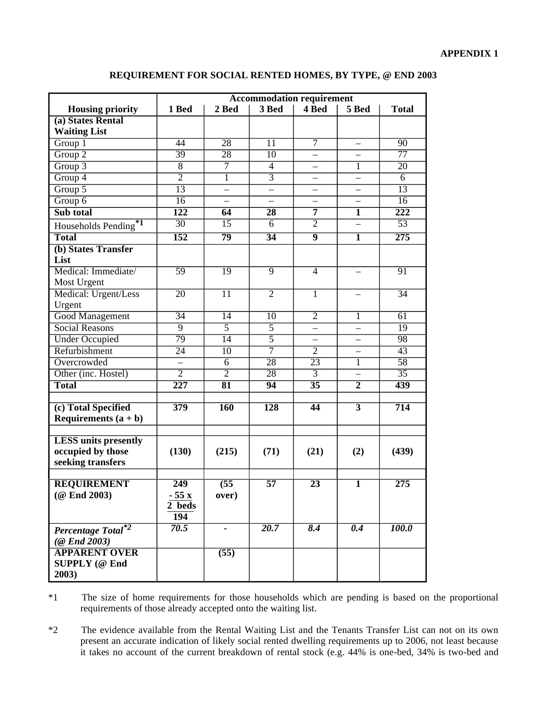### **REQUIREMENT FOR SOCIAL RENTED HOMES, BY TYPE, @ END 2003**

|                                  | <b>Accommodation requirement</b> |                 |                   |                          |                          |                    |  |  |  |
|----------------------------------|----------------------------------|-----------------|-------------------|--------------------------|--------------------------|--------------------|--|--|--|
| <b>Housing priority</b>          | 1 Bed                            | 2 Bed           | 3 Bed             | 4 Bed                    | 5 Bed                    | <b>Total</b>       |  |  |  |
| (a) States Rental                |                                  |                 |                   |                          |                          |                    |  |  |  |
| <b>Waiting List</b>              |                                  |                 |                   |                          |                          |                    |  |  |  |
| Group 1                          | 44                               | $\overline{28}$ | $\overline{11}$   | 7                        |                          | $\overline{90}$    |  |  |  |
| Group <sub>2</sub>               | 39                               | $\overline{28}$ | 10                | $\overline{\phantom{0}}$ |                          | $\overline{77}$    |  |  |  |
| Group 3                          | 8                                | 7               | 4                 | —                        | 1                        | 20                 |  |  |  |
| Group 4                          | $\overline{2}$                   | $\overline{1}$  | $\overline{3}$    |                          | $\overline{\phantom{0}}$ | 6                  |  |  |  |
| $G$ roup $5$                     | 13                               | $\equiv$        |                   |                          |                          | 13                 |  |  |  |
| $G$ roup $6$                     | $\overline{16}$                  |                 |                   |                          |                          | $\overline{16}$    |  |  |  |
| Sub total                        | 122                              | 64              | $\overline{28}$   | 7                        | 1                        | $\overline{222}$   |  |  |  |
| Households Pending <sup>*1</sup> | $\overline{30}$                  | 15              | 6                 | $\overline{2}$           |                          | $\overline{53}$    |  |  |  |
| <b>Total</b>                     | $\overline{152}$                 | 79              | $\overline{34}$   | $\overline{9}$           | $\overline{1}$           | $\overline{275}$   |  |  |  |
| (b) States Transfer              |                                  |                 |                   |                          |                          |                    |  |  |  |
| List                             |                                  |                 |                   |                          |                          |                    |  |  |  |
| Medical: Immediate/              | $\overline{59}$                  | $\overline{19}$ | $\overline{9}$    | $\overline{4}$           |                          | 91                 |  |  |  |
| Most Urgent                      |                                  |                 |                   |                          |                          |                    |  |  |  |
| Medical: Urgent/Less             | $\overline{20}$                  | $\overline{11}$ | $\overline{2}$    | $\mathbf{1}$             |                          | $\overline{34}$    |  |  |  |
| Urgent                           |                                  |                 |                   |                          |                          |                    |  |  |  |
| <b>Good Management</b>           | $\overline{34}$                  | $\overline{14}$ | $\overline{10}$   | $\overline{2}$           | 1                        | 61                 |  |  |  |
| <b>Social Reasons</b>            | $\overline{9}$                   | $\overline{5}$  | $\overline{5}$    | $\overline{\phantom{0}}$ |                          | 19                 |  |  |  |
| <b>Under Occupied</b>            | $\overline{79}$                  | $\overline{14}$ | $\overline{5}$    |                          |                          | $\overline{98}$    |  |  |  |
| Refurbishment                    | 24                               | 10              | 7                 | $\overline{2}$           |                          | 43                 |  |  |  |
| Overcrowded                      |                                  | $\overline{6}$  | $\overline{28}$   | $\overline{23}$          | 1                        | $\overline{58}$    |  |  |  |
| Other (inc. Hostel)              | $\overline{2}$                   | $\overline{2}$  | $\overline{28}$   | $\overline{3}$           |                          | $\overline{35}$    |  |  |  |
| <b>Total</b>                     | $\overline{227}$                 | $\overline{81}$ | 94                | $\overline{35}$          | $\overline{2}$           | 439                |  |  |  |
|                                  |                                  |                 |                   |                          |                          |                    |  |  |  |
| (c) Total Specified              | 379                              | <b>160</b>      | $\overline{128}$  | $\overline{44}$          | $\overline{3}$           | 714                |  |  |  |
| Requirements $(a + b)$           |                                  |                 |                   |                          |                          |                    |  |  |  |
|                                  |                                  |                 |                   |                          |                          |                    |  |  |  |
| <b>LESS</b> units presently      |                                  |                 |                   |                          |                          |                    |  |  |  |
| occupied by those                | (130)                            | (215)           | (71)              | (21)                     | (2)                      | (439)              |  |  |  |
| seeking transfers                |                                  |                 |                   |                          |                          |                    |  |  |  |
| <b>REQUIREMENT</b>               | 249                              | (55)            | $\overline{57}$   | $\overline{23}$          | 1                        | 275                |  |  |  |
| (@ End 2003)                     | $-55x$                           | over)           |                   |                          |                          |                    |  |  |  |
|                                  | 2 beds                           |                 |                   |                          |                          |                    |  |  |  |
|                                  | 194                              |                 |                   |                          |                          |                    |  |  |  |
| Percentage Total*2               | $\overline{70.5}$                |                 | $\overline{20.7}$ | $\overline{8.4}$         | $\overline{0.4}$         | $\overline{100.0}$ |  |  |  |
| $(Q$ End 2003)                   |                                  |                 |                   |                          |                          |                    |  |  |  |
| <b>APPARENT OVER</b>             |                                  | (55)            |                   |                          |                          |                    |  |  |  |
| <b>SUPPLY</b> (@ End             |                                  |                 |                   |                          |                          |                    |  |  |  |
| 2003)                            |                                  |                 |                   |                          |                          |                    |  |  |  |
|                                  |                                  |                 |                   |                          |                          |                    |  |  |  |

\*1 The size of home requirements for those households which are pending is based on the proportional requirements of those already accepted onto the waiting list.

\*2 The evidence available from the Rental Waiting List and the Tenants Transfer List can not on its own present an accurate indication of likely social rented dwelling requirements up to 2006, not least because it takes no account of the current breakdown of rental stock (e.g. 44% is one-bed, 34% is two-bed and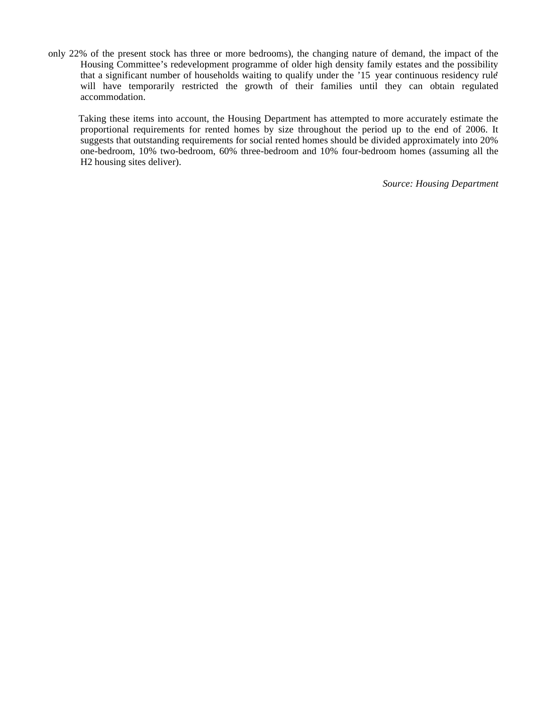only 22% of the present stock has three or more bedrooms), the changing nature of demand, the impact of the Housing Committee's redevelopment programme of older high density family estates and the possibility that a significant number of households waiting to qualify under the '15 year continuous residency rule' will have temporarily restricted the growth of their families until they can obtain regulated accommodation.

 Taking these items into account, the Housing Department has attempted to more accurately estimate the proportional requirements for rented homes by size throughout the period up to the end of 2006. It suggests that outstanding requirements for social rented homes should be divided approximately into 20% one-bedroom, 10% two-bedroom, 60% three-bedroom and 10% four-bedroom homes (assuming all the H2 housing sites deliver).

*Source: Housing Department*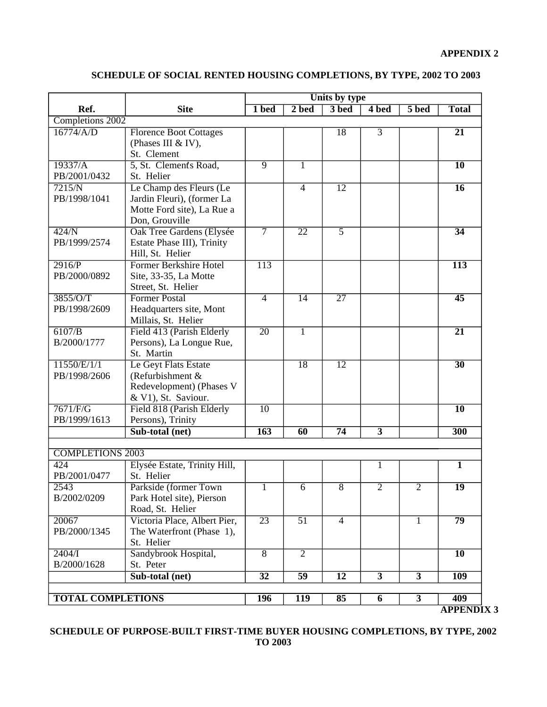|                          |                                  |                   |                 | Units by type   |                |                         |                  |
|--------------------------|----------------------------------|-------------------|-----------------|-----------------|----------------|-------------------------|------------------|
| Ref.                     | <b>Site</b>                      | 1 bed             | $2$ bed         | 3 bed           | 4 bed          | 5 bed                   | <b>Total</b>     |
| Completions 2002         |                                  |                   |                 |                 |                |                         |                  |
| $16774$ /A/D             | <b>Florence Boot Cottages</b>    |                   |                 | $\overline{18}$ | $\overline{3}$ |                         | $\overline{21}$  |
|                          | (Phases III & IV),               |                   |                 |                 |                |                         |                  |
|                          | St. Clement                      |                   |                 |                 |                |                         |                  |
| 19337/A                  | 5, St. Clement's Road,           | $\overline{9}$    | $\mathbf 1$     |                 |                |                         | $\overline{10}$  |
| PB/2001/0432             | St. Helier                       |                   |                 |                 |                |                         |                  |
| 7215/N                   | Le Champ des Fleurs (Le          |                   | $\overline{4}$  | $\overline{12}$ |                |                         | 16               |
| PB/1998/1041             | Jardin Fleuri), (former La       |                   |                 |                 |                |                         |                  |
|                          | Motte Ford site), La Rue a       |                   |                 |                 |                |                         |                  |
|                          | Don, Grouville                   |                   |                 |                 |                |                         |                  |
| 424/N                    | <b>Oak Tree Gardens (Elysée)</b> | $\overline{\tau}$ | $\overline{22}$ | $\overline{5}$  |                |                         | $\overline{34}$  |
| PB/1999/2574             | Estate Phase III), Trinity       |                   |                 |                 |                |                         |                  |
|                          | Hill, St. Helier                 |                   |                 |                 |                |                         |                  |
| 2916/P                   | <b>Former Berkshire Hotel</b>    | 113               |                 |                 |                |                         | $\overline{113}$ |
| PB/2000/0892             | Site, 33-35, La Motte            |                   |                 |                 |                |                         |                  |
|                          | Street, St. Helier               |                   |                 |                 |                |                         |                  |
| 3855/O/T                 | <b>Former Postal</b>             | $\overline{4}$    | $\overline{14}$ | $\overline{27}$ |                |                         | $\overline{45}$  |
| PB/1998/2609             | Headquarters site, Mont          |                   |                 |                 |                |                         |                  |
|                          | Millais, St. Helier              |                   |                 |                 |                |                         |                  |
| 6107/B                   | Field 413 (Parish Elderly        | $\overline{20}$   | 1               |                 |                |                         | $\overline{21}$  |
| B/2000/1777              | Persons), La Longue Rue,         |                   |                 |                 |                |                         |                  |
|                          | St. Martin                       |                   |                 |                 |                |                         |                  |
| 11550/E/1/1              | Le Geyt Flats Estate             |                   | 18              | $\overline{12}$ |                |                         | $\overline{30}$  |
| PB/1998/2606             | (Refurbishment $&$               |                   |                 |                 |                |                         |                  |
|                          | Redevelopment) (Phases V         |                   |                 |                 |                |                         |                  |
|                          | & V1), St. Saviour.              |                   |                 |                 |                |                         |                  |
| 7671/F/G                 | Field 818 (Parish Elderly        | $\overline{10}$   |                 |                 |                |                         | $\overline{10}$  |
| PB/1999/1613             | Persons), Trinity                |                   |                 |                 |                |                         |                  |
|                          | Sub-total (net)                  | $\overline{163}$  | 60              | $\overline{74}$ | $\overline{3}$ |                         | 300              |
|                          |                                  |                   |                 |                 |                |                         |                  |
| <b>COMPLETIONS 2003</b>  |                                  |                   |                 |                 |                |                         |                  |
| 424                      | Elysée Estate, Trinity Hill,     |                   |                 |                 | 1              |                         | $\mathbf{1}$     |
| PB/2001/0477             | St. Helier                       |                   |                 |                 |                |                         |                  |
| 2543                     | Parkside (former Town            |                   | 6               | $\overline{8}$  | $\overline{2}$ | $\overline{2}$          | $\overline{19}$  |
| B/2002/0209              | Park Hotel site), Pierson        |                   |                 |                 |                |                         |                  |
|                          | Road, St. Helier                 |                   |                 |                 |                |                         |                  |
| 20067                    | Victoria Place, Albert Pier,     | 23                | $\overline{51}$ | $\overline{4}$  |                | $\mathbf{1}$            | 79               |
| PB/2000/1345             | The Waterfront (Phase 1),        |                   |                 |                 |                |                         |                  |
|                          | St. Helier                       |                   |                 |                 |                |                         |                  |
| $2404/\Gamma$            | Sandybrook Hospital,             | 8                 | $\overline{2}$  |                 |                |                         | $\overline{10}$  |
| B/2000/1628              | St. Peter                        |                   |                 |                 |                |                         |                  |
|                          | Sub-total (net)                  | $\overline{32}$   | $\overline{59}$ | $\overline{12}$ | $\overline{3}$ | $\overline{3}$          | <b>109</b>       |
|                          |                                  |                   |                 |                 |                |                         |                  |
| <b>TOTAL COMPLETIONS</b> |                                  | 196               | 119             | 85              | 6              | $\overline{\mathbf{3}}$ | 409              |

## **SCHEDULE OF SOCIAL RENTED HOUSING COMPLETIONS, BY TYPE, 2002 TO 2003**

**APPENDIX 3**

**SCHEDULE OF PURPOSE-BUILT FIRST-TIME BUYER HOUSING COMPLETIONS, BY TYPE, 2002 TO 2003**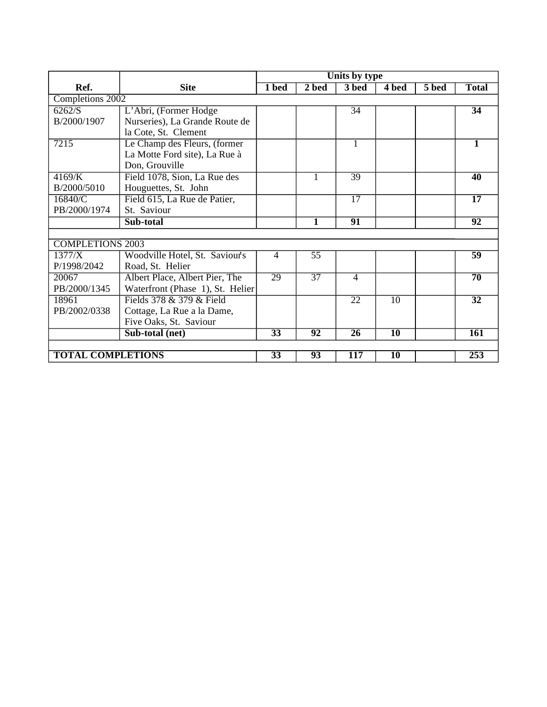|                          |                                  |                 |                 | Units by type   |                 |       |                 |
|--------------------------|----------------------------------|-----------------|-----------------|-----------------|-----------------|-------|-----------------|
| Ref.                     | <b>Site</b>                      | 1 bed           | 2 bed           | 3 bed           | 4 bed           | 5 bed | <b>Total</b>    |
| Completions 2002         |                                  |                 |                 |                 |                 |       |                 |
| 6262/S                   | L'Abri, (Former Hodge            |                 |                 | 34              |                 |       | $\overline{34}$ |
| B/2000/1907              | Nurseries), La Grande Route de   |                 |                 |                 |                 |       |                 |
|                          | la Cote, St. Clement             |                 |                 |                 |                 |       |                 |
| 7215                     | Le Champ des Fleurs, (former     |                 |                 |                 |                 |       | 1               |
|                          | La Motte Ford site), La Rue à    |                 |                 |                 |                 |       |                 |
|                          | Don, Grouville                   |                 |                 |                 |                 |       |                 |
| 4169/K                   | Field 1078, Sion, La Rue des     |                 | 1               | 39              |                 |       | 40              |
| B/2000/5010              | Houguettes, St. John             |                 |                 |                 |                 |       |                 |
| 16840/C                  | Field 615, La Rue de Patier,     |                 |                 | $\overline{17}$ |                 |       | $\overline{17}$ |
| PB/2000/1974             | St. Saviour                      |                 |                 |                 |                 |       |                 |
|                          | Sub-total                        |                 | 1               | 91              |                 |       | 92              |
|                          |                                  |                 |                 |                 |                 |       |                 |
| <b>COMPLETIONS 2003</b>  |                                  |                 |                 |                 |                 |       |                 |
| 1377/X                   | Woodville Hotel, St. Saviour's   | $\overline{4}$  | $\overline{55}$ |                 |                 |       | $\overline{59}$ |
| P/1998/2042              | Road, St. Helier                 |                 |                 |                 |                 |       |                 |
| 20067                    | Albert Place, Albert Pier, The   | $\overline{29}$ | $\overline{37}$ | $\overline{4}$  |                 |       | $\overline{70}$ |
| PB/2000/1345             | Waterfront (Phase 1), St. Helier |                 |                 |                 |                 |       |                 |
| 18961                    | Fields 378 & 379 & Field         |                 |                 | 22              | 10              |       | $\overline{32}$ |
| PB/2002/0338             | Cottage, La Rue a la Dame,       |                 |                 |                 |                 |       |                 |
|                          | Five Oaks, St. Saviour           |                 |                 |                 |                 |       |                 |
|                          | Sub-total (net)                  | 33              | 92              | $\overline{26}$ | $\overline{10}$ |       | <b>161</b>      |
|                          |                                  |                 |                 |                 |                 |       |                 |
| <b>TOTAL COMPLETIONS</b> |                                  | $\overline{33}$ | 93              | 117             | $\overline{10}$ |       | 253             |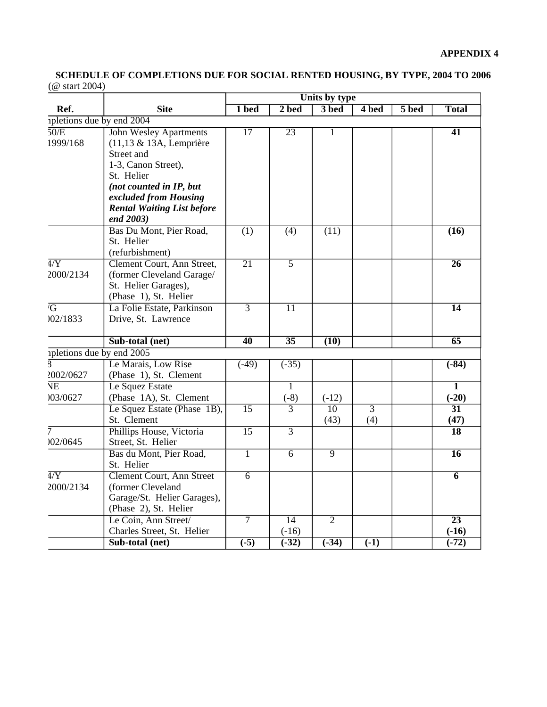**SCHEDULE OF COMPLETIONS DUE FOR SOCIAL RENTED HOUSING, BY TYPE, 2004 TO 2006** (@ start 2004)

|                               | Units by type                                                                                                                                                                                                     |                   |                    |                         |                       |                            |                                    |
|-------------------------------|-------------------------------------------------------------------------------------------------------------------------------------------------------------------------------------------------------------------|-------------------|--------------------|-------------------------|-----------------------|----------------------------|------------------------------------|
| Ref.                          | <b>Site</b>                                                                                                                                                                                                       | 1 bed             | $2$ bed            | 3 bed                   | 4 bed                 | $\overline{5 \text{ bed}}$ | <b>Total</b>                       |
|                               | ipletions due by end 2004                                                                                                                                                                                         |                   |                    |                         |                       |                            |                                    |
| 50/E<br>1999/168              | <b>John Wesley Apartments</b><br>(11,13 & 13A, Lemprière<br>Street and<br>1-3, Canon Street),<br>St. Helier<br>(not counted in IP, but<br>excluded from Housing<br><b>Rental Waiting List before</b><br>end 2003) | $\overline{17}$   | $\overline{23}$    | 1                       |                       |                            | $\overline{41}$                    |
|                               | Bas Du Mont, Pier Road,<br>St. Helier<br>(refurbishment)                                                                                                                                                          | $\overline{(1)}$  | (4)                | (11)                    |                       |                            | (16)                               |
| $\overline{4/Y}$<br>2000/2134 | Clement Court, Ann Street,<br>(former Cleveland Garage/<br>St. Helier Garages),<br>(Phase 1), St. Helier                                                                                                          | $\overline{21}$   | $\overline{5}$     |                         |                       |                            | $\overline{26}$                    |
| $\overline{G}$<br>02/1833     | La Folie Estate, Parkinson<br>Drive, St. Lawrence                                                                                                                                                                 | $\overline{3}$    | $\overline{11}$    |                         |                       |                            | $\overline{14}$                    |
|                               | Sub-total (net)                                                                                                                                                                                                   | 40                | $\overline{35}$    | (10)                    |                       |                            | 65                                 |
|                               | ipletions due by end 2005                                                                                                                                                                                         |                   |                    |                         |                       |                            |                                    |
| 2002/0627                     | Le Marais, Low Rise<br>(Phase 1), St. Clement                                                                                                                                                                     | $(-49)$           | $\overline{(-35)}$ |                         |                       |                            | $( -84)$                           |
| <b>NE</b><br>)03/0627         | Le Squez Estate<br>(Phase 1A), St. Clement                                                                                                                                                                        |                   | 1<br>$(-8)$        | $(-12)$                 |                       |                            | $\overline{\mathbf{1}}$<br>$(-20)$ |
|                               | Le Squez Estate (Phase 1B),<br>St. Clement                                                                                                                                                                        | $\overline{15}$   | $\overline{3}$     | $\overline{10}$<br>(43) | $\overline{3}$<br>(4) |                            | $\overline{31}$<br>(47)            |
| $\overline{7}$<br>02/0645     | Phillips House, Victoria<br>Street, St. Helier                                                                                                                                                                    | $\overline{15}$   | $\overline{3}$     |                         |                       |                            | $\overline{18}$                    |
|                               | Bas du Mont, Pier Road,<br>St. Helier                                                                                                                                                                             | $\overline{1}$    | $\overline{6}$     | $\overline{9}$          |                       |                            | $\overline{16}$                    |
| $\overline{4/Y}$<br>2000/2134 | <b>Clement Court, Ann Street</b><br>(former Cleveland<br>Garage/St. Helier Garages),<br>(Phase 2), St. Helier                                                                                                     | $\overline{6}$    |                    |                         |                       |                            | $\overline{6}$                     |
|                               | Le Coin, Ann Street/                                                                                                                                                                                              | $\overline{\tau}$ | $\overline{14}$    | $\overline{2}$          |                       |                            | $\overline{23}$                    |
|                               | Charles Street, St. Helier                                                                                                                                                                                        |                   | $(-16)$            |                         |                       |                            | $(-16)$                            |
|                               | Sub-total (net)                                                                                                                                                                                                   | $\overline{(-5)}$ | $( -32)$           | $\overline{(-34)}$      | $\overline{(-1)}$     |                            | $( -72)$                           |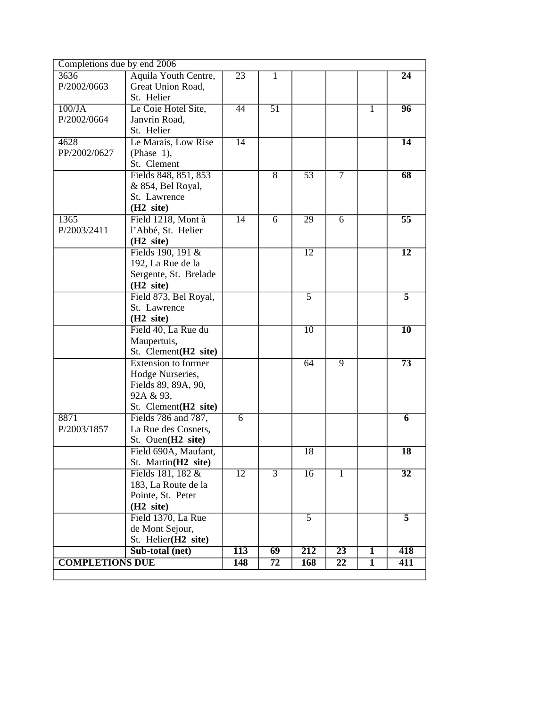| Completions due by end 2006 |                                 |                  |                 |                  |                 |              |                 |
|-----------------------------|---------------------------------|------------------|-----------------|------------------|-----------------|--------------|-----------------|
| 3636                        | Aquila Youth Centre,            | $\overline{23}$  | 1               |                  |                 |              | $\overline{24}$ |
| P/2002/0663                 | Great Union Road,               |                  |                 |                  |                 |              |                 |
|                             | St. Helier                      |                  |                 |                  |                 |              |                 |
| $100$ /JA                   | Le Coie Hotel Site,             | 44               | 51              |                  |                 | $\mathbf{1}$ | $\overline{96}$ |
| P/2002/0664                 | Janvrin Road,                   |                  |                 |                  |                 |              |                 |
|                             | St. Helier                      |                  |                 |                  |                 |              |                 |
| 4628                        | Le Marais, Low Rise             | $\overline{14}$  |                 |                  |                 |              | $\overline{14}$ |
| PP/2002/0627                | (Phase $1$ ),                   |                  |                 |                  |                 |              |                 |
|                             | St. Clement                     |                  |                 |                  |                 |              |                 |
|                             | Fields 848, 851, 853            |                  | $\overline{8}$  | $\overline{53}$  | $\overline{7}$  |              | $\overline{68}$ |
|                             | & 854, Bel Royal,               |                  |                 |                  |                 |              |                 |
|                             | St. Lawrence                    |                  |                 |                  |                 |              |                 |
|                             | (H <sub>2</sub> site)           |                  |                 |                  |                 |              |                 |
| 1365                        | Field 1218, Mont à              | 14               | 6               | 29               | 6               |              | $\overline{55}$ |
| P/2003/2411                 | l'Abbé, St. Helier              |                  |                 |                  |                 |              |                 |
|                             | (H <sub>2</sub> site)           |                  |                 |                  |                 |              |                 |
|                             | Fields 190, 191 &               |                  |                 | $\overline{12}$  |                 |              | $\overline{12}$ |
|                             | 192, La Rue de la               |                  |                 |                  |                 |              |                 |
|                             | Sergente, St. Brelade           |                  |                 |                  |                 |              |                 |
|                             | (H <sub>2</sub> site)           |                  |                 |                  |                 |              |                 |
|                             | Field 873, Bel Royal,           |                  |                 | $\overline{5}$   |                 |              | $\overline{5}$  |
|                             | St. Lawrence                    |                  |                 |                  |                 |              |                 |
|                             | (H <sub>2</sub> site)           |                  |                 |                  |                 |              |                 |
|                             | Field 40, La Rue du             |                  |                 | $\overline{10}$  |                 |              | $\overline{10}$ |
|                             | Maupertuis,                     |                  |                 |                  |                 |              |                 |
|                             | St. Clement(H2 site)            |                  |                 |                  |                 |              |                 |
|                             | Extension to former             |                  |                 | 64               | $\overline{9}$  |              | $\overline{73}$ |
|                             | Hodge Nurseries,                |                  |                 |                  |                 |              |                 |
|                             | Fields 89, 89A, 90,             |                  |                 |                  |                 |              |                 |
|                             | 92A & 93,                       |                  |                 |                  |                 |              |                 |
|                             | St. Clement(H2 site)            |                  |                 |                  |                 |              |                 |
| 8871                        | Fields 786 and 787,             | 6                |                 |                  |                 |              | 6               |
| P/2003/1857                 | La Rue des Cosnets,             |                  |                 |                  |                 |              |                 |
|                             | St. Ouen(H <sub>2</sub> site)   |                  |                 |                  |                 |              |                 |
|                             | Field 690A, Maufant,            |                  |                 | $\overline{18}$  |                 |              | $\overline{18}$ |
|                             | St. Martin(H <sub>2</sub> site) |                  |                 |                  |                 |              |                 |
|                             | Fields 181, 182 &               | $\overline{12}$  | $\overline{3}$  | 16               | $\mathbf{1}$    |              | $\overline{32}$ |
|                             | 183, La Route de la             |                  |                 |                  |                 |              |                 |
|                             | Pointe, St. Peter               |                  |                 |                  |                 |              |                 |
|                             | (H <sub>2</sub> site)           |                  |                 |                  |                 |              |                 |
|                             | Field 1370, La Rue              |                  |                 | $\overline{5}$   |                 |              | $\overline{5}$  |
|                             | de Mont Sejour,                 |                  |                 |                  |                 |              |                 |
|                             | St. Helier(H2 site)             |                  |                 |                  |                 |              |                 |
|                             | Sub-total (net)                 | $\overline{113}$ | $\overline{69}$ | $\overline{212}$ | $\overline{23}$ | 1            | 418             |
| <b>COMPLETIONS DUE</b>      |                                 | 148              | 72              | <b>168</b>       | $\overline{22}$ | $\mathbf{1}$ | 411             |
|                             |                                 |                  |                 |                  |                 |              |                 |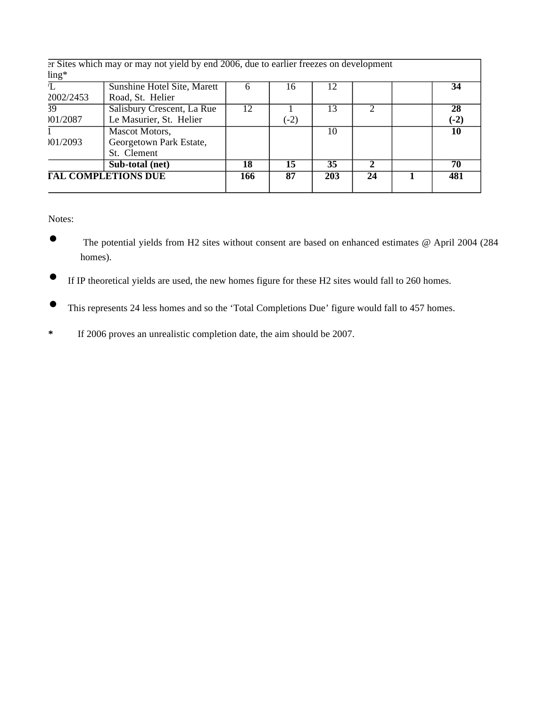|                                  | <b>TAL COMPLETIONS DUE</b>                                                             | 166 | 87     | 203 | 24           | 481    |
|----------------------------------|----------------------------------------------------------------------------------------|-----|--------|-----|--------------|--------|
|                                  | Sub-total (net)                                                                        | 18  | 15     | 35  | $\mathbf{2}$ | 70     |
|                                  | St. Clement                                                                            |     |        |     |              |        |
| 01/2093                          | Georgetown Park Estate,                                                                |     |        |     |              |        |
|                                  | Mascot Motors,                                                                         |     |        | 10  |              | 10     |
| 01/2087                          | Le Masurier, St. Helier                                                                |     | $(-2)$ |     |              | $(-2)$ |
| 39                               | Salisbury Crescent, La Rue                                                             | 12  |        | 13  |              | 28     |
| 2002/2453                        | Road, St. Helier                                                                       |     |        |     |              |        |
|                                  | <b>Sunshine Hotel Site, Marett</b>                                                     |     | 16     | 12  |              | 34     |
| $\frac{\text{ling}}{\text{mag}}$ |                                                                                        |     |        |     |              |        |
|                                  | er Sites which may or may not yield by end 2006, due to earlier freezes on development |     |        |     |              |        |

Notes:

- The potential yields from H2 sites without consent are based on enhanced estimates @ April 2004 (284 homes).
- If IP theoretical yields are used, the new homes figure for these H2 sites would fall to 260 homes.
- This represents 24 less homes and so the 'Total Completions Due' figure would fall to 457 homes.
- **\*** If 2006 proves an unrealistic completion date, the aim should be 2007.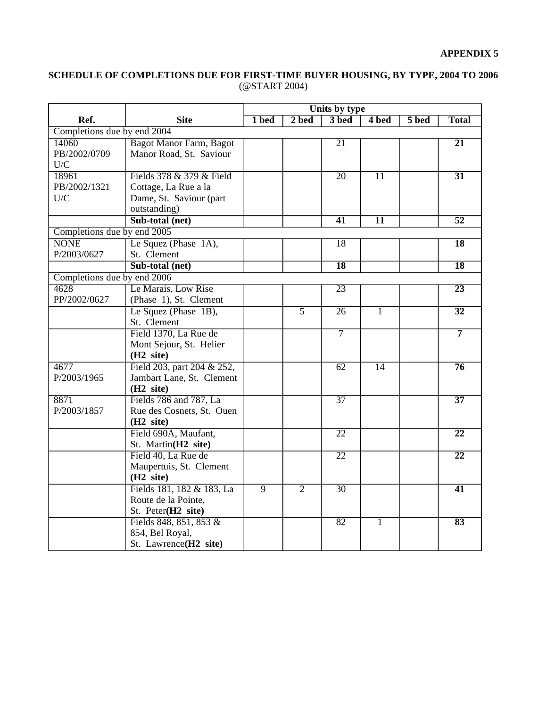## **APPENDIX 5**

#### **SCHEDULE OF COMPLETIONS DUE FOR FIRST-TIME BUYER HOUSING, BY TYPE, 2004 TO 2006** [\(@START](mailto:@START) 2004)

|                             |                                | Units by type  |                |                 |                 |       |                 |  |
|-----------------------------|--------------------------------|----------------|----------------|-----------------|-----------------|-------|-----------------|--|
| Ref.                        | <b>Site</b>                    | 1 bed          | $2$ bed        | 3 bed           | 4 bed           | 5 bed | <b>Total</b>    |  |
| Completions due by end 2004 |                                |                |                |                 |                 |       |                 |  |
| 14060                       | <b>Bagot Manor Farm, Bagot</b> |                |                | $\overline{21}$ |                 |       | $\overline{21}$ |  |
| PB/2002/0709                | Manor Road, St. Saviour        |                |                |                 |                 |       |                 |  |
| U/C                         |                                |                |                |                 |                 |       |                 |  |
| 18961                       | Fields 378 & 379 & Field       |                |                | $\overline{20}$ | $\overline{11}$ |       | $\overline{31}$ |  |
| PB/2002/1321                | Cottage, La Rue a la           |                |                |                 |                 |       |                 |  |
| ${\rm U/C}$                 | Dame, St. Saviour (part        |                |                |                 |                 |       |                 |  |
|                             | outstanding)                   |                |                |                 |                 |       |                 |  |
|                             | Sub-total (net)                |                |                | $\overline{41}$ | $\overline{11}$ |       | $\overline{52}$ |  |
| Completions due by end 2005 |                                |                |                |                 |                 |       |                 |  |
| <b>NONE</b>                 | Le Squez (Phase 1A),           |                |                | 18              |                 |       | $\overline{18}$ |  |
| P/2003/0627                 | St. Clement                    |                |                |                 |                 |       |                 |  |
|                             | Sub-total (net)                |                |                | $\overline{18}$ |                 |       | $\overline{18}$ |  |
| Completions due by end 2006 |                                |                |                |                 |                 |       |                 |  |
| 4628                        | Le Marais, Low Rise            |                |                | 23              |                 |       | $\overline{23}$ |  |
| PP/2002/0627                | (Phase 1), St. Clement         |                |                |                 |                 |       |                 |  |
|                             | Le Squez (Phase 1B),           |                | $\overline{5}$ | $\overline{26}$ | 1               |       | $\overline{32}$ |  |
|                             | St. Clement                    |                |                |                 |                 |       |                 |  |
|                             | Field 1370, La Rue de          |                |                | $\overline{7}$  |                 |       | $\overline{7}$  |  |
|                             | Mont Sejour, St. Helier        |                |                |                 |                 |       |                 |  |
|                             | (H <sub>2</sub> site)          |                |                |                 |                 |       |                 |  |
| 4677                        | Field 203, part 204 & 252,     |                |                | 62              | $\overline{14}$ |       | $\overline{76}$ |  |
| P/2003/1965                 | Jambart Lane, St. Clement      |                |                |                 |                 |       |                 |  |
|                             | (H <sub>2</sub> site)          |                |                |                 |                 |       |                 |  |
| 8871                        | Fields 786 and 787, La         |                |                | $\overline{37}$ |                 |       | $\overline{37}$ |  |
| P/2003/1857                 | Rue des Cosnets, St. Ouen      |                |                |                 |                 |       |                 |  |
|                             | (H <sub>2</sub> site)          |                |                |                 |                 |       |                 |  |
|                             | Field 690A, Maufant,           |                |                | $\overline{22}$ |                 |       | $\overline{22}$ |  |
|                             | St. Martin(H2 site)            |                |                |                 |                 |       |                 |  |
|                             | Field 40, La Rue de            |                |                | $\overline{22}$ |                 |       | $\overline{22}$ |  |
|                             | Maupertuis, St. Clement        |                |                |                 |                 |       |                 |  |
|                             | (H <sub>2</sub> site)          |                |                |                 |                 |       |                 |  |
|                             | Fields 181, 182 & 183, La      | $\overline{9}$ | $\overline{2}$ | $\overline{30}$ |                 |       | $\overline{41}$ |  |
|                             | Route de la Pointe,            |                |                |                 |                 |       |                 |  |
|                             | St. Peter(H2 site)             |                |                |                 |                 |       |                 |  |
|                             | Fields 848, 851, 853 &         |                |                | 82              | 1               |       | 83              |  |
|                             | 854, Bel Royal,                |                |                |                 |                 |       |                 |  |
|                             | St. Lawrence(H2 site)          |                |                |                 |                 |       |                 |  |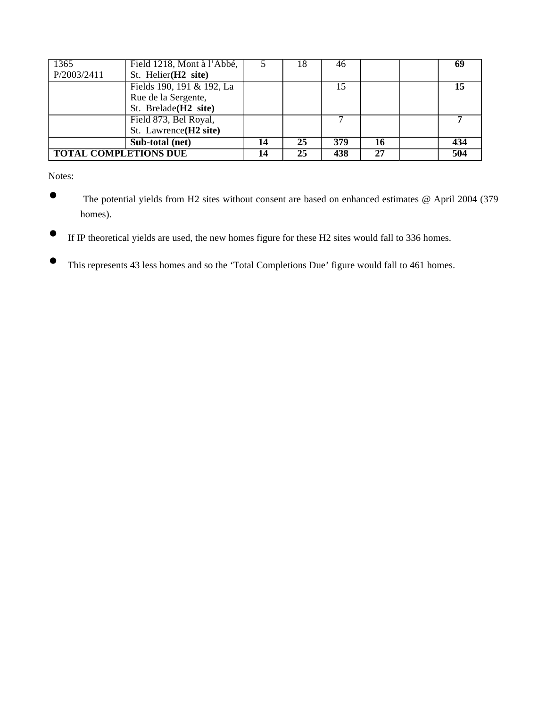| 1365                         | Field 1218, Mont à l'Abbé,       | 18 | 46  |    |     |
|------------------------------|----------------------------------|----|-----|----|-----|
| P/2003/2411                  | St. Helier(H <sub>2</sub> site)  |    |     |    |     |
|                              | Fields 190, 191 & 192, La        |    | 15  |    |     |
|                              | Rue de la Sergente,              |    |     |    |     |
|                              | St. Brelade(H <sub>2</sub> site) |    |     |    |     |
|                              | Field 873, Bel Royal,            |    |     |    |     |
|                              | St. Lawrence(H2 site)            |    |     |    |     |
|                              | Sub-total (net)                  | 25 | 379 | 16 | 434 |
| <b>TOTAL COMPLETIONS DUE</b> |                                  | 25 | 438 | 27 | 504 |

Notes:

- The potential yields from H2 sites without consent are based on enhanced estimates @ April 2004 (379 homes).
- If IP theoretical yields are used, the new homes figure for these H2 sites would fall to 336 homes.
- This represents 43 less homes and so the 'Total Completions Due' figure would fall to 461 homes.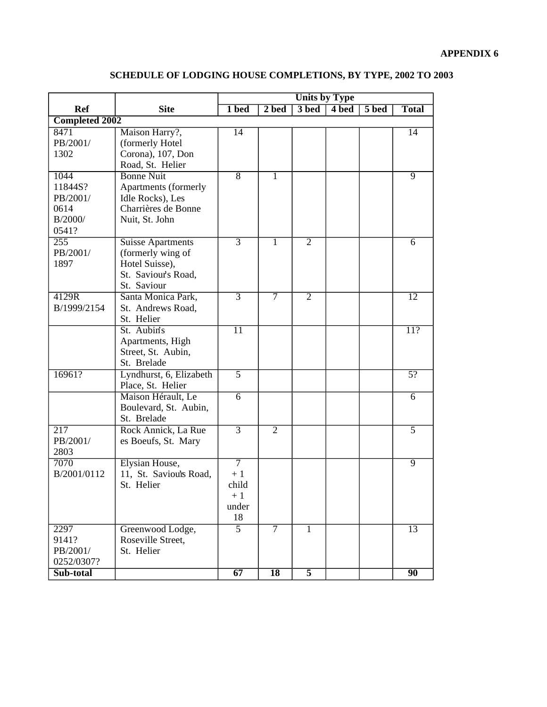|                        |                          |                      |                          |                | <b>Units by Type</b> |       |                 |
|------------------------|--------------------------|----------------------|--------------------------|----------------|----------------------|-------|-----------------|
| <b>Ref</b>             | <b>Site</b>              | 1 bed                | $2\overline{\text{bed}}$ | 3 bed          | 4 bed                | 5 bed | <b>Total</b>    |
| <b>Completed 2002</b>  |                          |                      |                          |                |                      |       |                 |
| 8471                   | Maison Harry?,           | 14                   |                          |                |                      |       | $\overline{14}$ |
| PB/2001/               | (formerly Hotel          |                      |                          |                |                      |       |                 |
| 1302                   | Corona), 107, Don        |                      |                          |                |                      |       |                 |
|                        | Road, St. Helier         |                      |                          |                |                      |       |                 |
| 1044                   | <b>Bonne Nuit</b>        | $\overline{8}$       | $\mathbf{1}$             |                |                      |       | $\overline{9}$  |
| 11844S?                | Apartments (formerly     |                      |                          |                |                      |       |                 |
| PB/2001/               | Idle Rocks), Les         |                      |                          |                |                      |       |                 |
| 0614                   | Charrières de Bonne      |                      |                          |                |                      |       |                 |
| B/2000/                | Nuit, St. John           |                      |                          |                |                      |       |                 |
| 0541?                  |                          |                      |                          |                |                      |       |                 |
| 255                    | <b>Suisse Apartments</b> | $\overline{3}$       | 1                        | $\overline{2}$ |                      |       | $\overline{6}$  |
| PB/2001/               | (formerly wing of        |                      |                          |                |                      |       |                 |
| 1897                   | Hotel Suisse),           |                      |                          |                |                      |       |                 |
|                        | St. Saviour's Road,      |                      |                          |                |                      |       |                 |
|                        | St. Saviour              |                      |                          |                |                      |       |                 |
| 4129R                  | Santa Monica Park,       | $\overline{3}$       | $\overline{7}$           | $\overline{2}$ |                      |       | 12              |
| B/1999/2154            | St. Andrews Road,        |                      |                          |                |                      |       |                 |
|                        | St. Helier               |                      |                          |                |                      |       |                 |
|                        | St. Aubin's              | $\overline{11}$      |                          |                |                      |       | 11?             |
|                        | Apartments, High         |                      |                          |                |                      |       |                 |
|                        | Street, St. Aubin,       |                      |                          |                |                      |       |                 |
|                        | St. Brelade              |                      |                          |                |                      |       |                 |
| 16961?                 | Lyndhurst, 6, Elizabeth  | $\overline{5}$       |                          |                |                      |       | $\overline{5?}$ |
|                        | Place, St. Helier        |                      |                          |                |                      |       |                 |
|                        | Maison Hérault, Le       | 6                    |                          |                |                      |       | 6               |
|                        | Boulevard, St. Aubin,    |                      |                          |                |                      |       |                 |
|                        | St. Brelade              |                      |                          |                |                      |       |                 |
| $\overline{217}$       | Rock Annick, La Rue      | $\overline{3}$       | $\overline{2}$           |                |                      |       | $\overline{5}$  |
| PB/2001/               | es Boeufs, St. Mary      |                      |                          |                |                      |       |                 |
| 2803                   |                          |                      |                          |                |                      |       |                 |
| 7070                   | Elysian House,           | $\overline{7}$       |                          |                |                      |       | $\overline{9}$  |
| B/2001/0112            | 11, St. Saviou's Road,   | $+1$                 |                          |                |                      |       |                 |
|                        | St. Helier               | child                |                          |                |                      |       |                 |
|                        |                          | $+1$                 |                          |                |                      |       |                 |
|                        |                          | under                |                          |                |                      |       |                 |
| 2297                   |                          | 18<br>$\overline{5}$ | $\overline{7}$           |                |                      |       |                 |
|                        | Greenwood Lodge,         |                      |                          | $\overline{1}$ |                      |       | $\overline{13}$ |
| 9141?                  | Roseville Street,        |                      |                          |                |                      |       |                 |
| PB/2001/<br>0252/0307? | St. Helier               |                      |                          |                |                      |       |                 |
| Sub-total              |                          | 67                   | <b>18</b>                | $\overline{5}$ |                      |       | 90              |
|                        |                          |                      |                          |                |                      |       |                 |

## **SCHEDULE OF LODGING HOUSE COMPLETIONS, BY TYPE, 2002 TO 2003**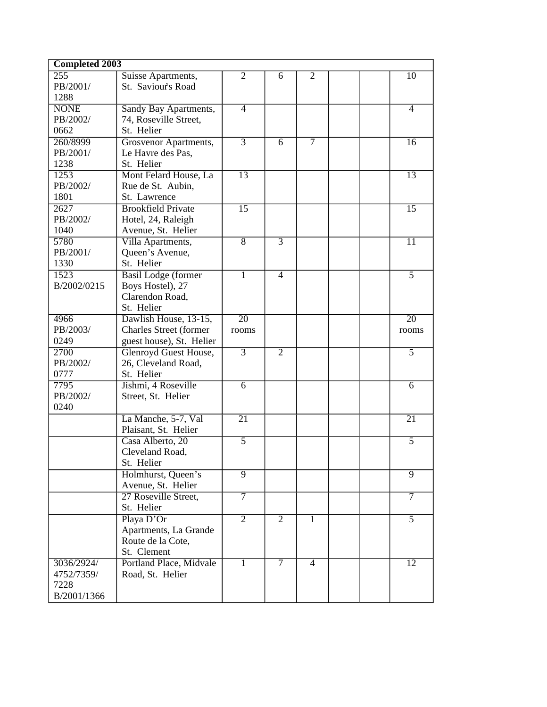| <b>Completed 2003</b> |                            |                 |                   |                   |  |                 |
|-----------------------|----------------------------|-----------------|-------------------|-------------------|--|-----------------|
| 255                   | Suisse Apartments,         | $\overline{2}$  | 6                 | $\overline{2}$    |  | $\overline{10}$ |
| PB/2001/              | St. Saviour's Road         |                 |                   |                   |  |                 |
| 1288                  |                            |                 |                   |                   |  |                 |
| <b>NONE</b>           | Sandy Bay Apartments,      | $\overline{4}$  |                   |                   |  | $\overline{4}$  |
| PB/2002/              | 74, Roseville Street,      |                 |                   |                   |  |                 |
| 0662                  | St. Helier                 |                 |                   |                   |  |                 |
| 260/8999              | Grosvenor Apartments,      | $\overline{3}$  | $\overline{6}$    | $\overline{\tau}$ |  | $\overline{16}$ |
| PB/2001/              | Le Havre des Pas,          |                 |                   |                   |  |                 |
| 1238                  | St. Helier                 |                 |                   |                   |  |                 |
| 1253                  | Mont Felard House, La      | $\overline{13}$ |                   |                   |  | $\overline{13}$ |
| PB/2002/              | Rue de St. Aubin,          |                 |                   |                   |  |                 |
| 1801                  | St. Lawrence               |                 |                   |                   |  |                 |
| 2627                  | <b>Brookfield Private</b>  | $\overline{15}$ |                   |                   |  | $\overline{15}$ |
| PB/2002/              | Hotel, 24, Raleigh         |                 |                   |                   |  |                 |
| 1040                  | Avenue, St. Helier         |                 |                   |                   |  |                 |
| 5780                  | Villa Apartments,          | $\overline{8}$  | $\overline{3}$    |                   |  | $\overline{11}$ |
| PB/2001/              | Queen's Avenue,            |                 |                   |                   |  |                 |
| 1330                  | St. Helier                 |                 |                   |                   |  |                 |
| 1523                  | <b>Basil Lodge (former</b> | $\overline{1}$  | $\overline{4}$    |                   |  | $\overline{5}$  |
| B/2002/0215           | Boys Hostel), 27           |                 |                   |                   |  |                 |
|                       | Clarendon Road,            |                 |                   |                   |  |                 |
|                       | St. Helier                 |                 |                   |                   |  |                 |
| 4966                  | Dawlish House, 13-15,      | $\overline{20}$ |                   |                   |  | $\overline{20}$ |
| PB/2003/              | Charles Street (former     | rooms           |                   |                   |  | rooms           |
| 0249                  | guest house), St. Helier   |                 |                   |                   |  |                 |
| 2700                  | Glenroyd Guest House,      | $\overline{3}$  | $\overline{2}$    |                   |  | $\overline{5}$  |
| PB/2002/              | 26, Cleveland Road,        |                 |                   |                   |  |                 |
| 0777                  | St. Helier                 |                 |                   |                   |  |                 |
| 7795                  | Jishmi, 4 Roseville        | 6               |                   |                   |  | 6               |
| PB/2002/              | Street, St. Helier         |                 |                   |                   |  |                 |
| 0240                  |                            |                 |                   |                   |  |                 |
|                       | La Manche, 5-7, Val        | $\overline{21}$ |                   |                   |  | $\overline{21}$ |
|                       | Plaisant, St. Helier       |                 |                   |                   |  |                 |
|                       | Casa Alberto, 20           | $\overline{5}$  |                   |                   |  | 5               |
|                       | Cleveland Road,            |                 |                   |                   |  |                 |
|                       | St. Helier                 |                 |                   |                   |  |                 |
|                       | Holmhurst, Queen's         | $\overline{9}$  |                   |                   |  | $\overline{9}$  |
|                       | Avenue, St. Helier         |                 |                   |                   |  |                 |
|                       | 27 Roseville Street,       | 7               |                   |                   |  | 7               |
|                       | St. Helier                 |                 |                   |                   |  |                 |
|                       | Playa D'Or                 | $\overline{2}$  | $\overline{2}$    | 1                 |  | $\overline{5}$  |
|                       | Apartments, La Grande      |                 |                   |                   |  |                 |
|                       | Route de la Cote,          |                 |                   |                   |  |                 |
|                       | St. Clement                |                 |                   |                   |  |                 |
| 3036/2924/            | Portland Place, Midvale    | 1               | $\overline{\tau}$ | $\overline{4}$    |  | $\overline{12}$ |
| 4752/7359/            | Road, St. Helier           |                 |                   |                   |  |                 |
| 7228                  |                            |                 |                   |                   |  |                 |
| B/2001/1366           |                            |                 |                   |                   |  |                 |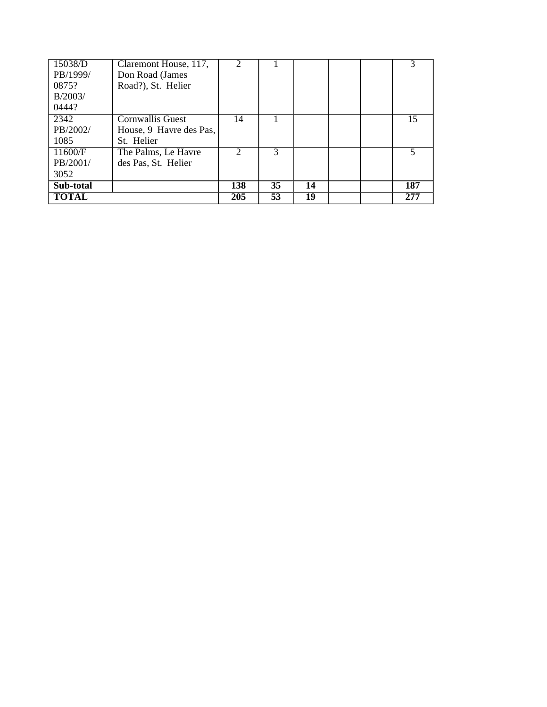| 15038/D      | Claremont House, 117,   | $\mathfrak{D}$ |               |    |  |                          |
|--------------|-------------------------|----------------|---------------|----|--|--------------------------|
| PB/1999/     | Don Road (James         |                |               |    |  |                          |
| 0875?        | Road?), St. Helier      |                |               |    |  |                          |
| B/2003/      |                         |                |               |    |  |                          |
| 0444?        |                         |                |               |    |  |                          |
| 2342         | <b>Cornwallis Guest</b> | 14             |               |    |  | 15                       |
| PB/2002/     | House, 9 Havre des Pas, |                |               |    |  |                          |
| 1085         | St. Helier              |                |               |    |  |                          |
| 11600/F      | The Palms, Le Havre     | $\mathcal{D}$  | $\mathcal{R}$ |    |  | $\overline{\phantom{0}}$ |
| PB/2001/     | des Pas, St. Helier     |                |               |    |  |                          |
| 3052         |                         |                |               |    |  |                          |
| Sub-total    |                         | 138            | 35            | 14 |  | 187                      |
| <b>TOTAL</b> |                         | 205            | 53            | 19 |  | 277                      |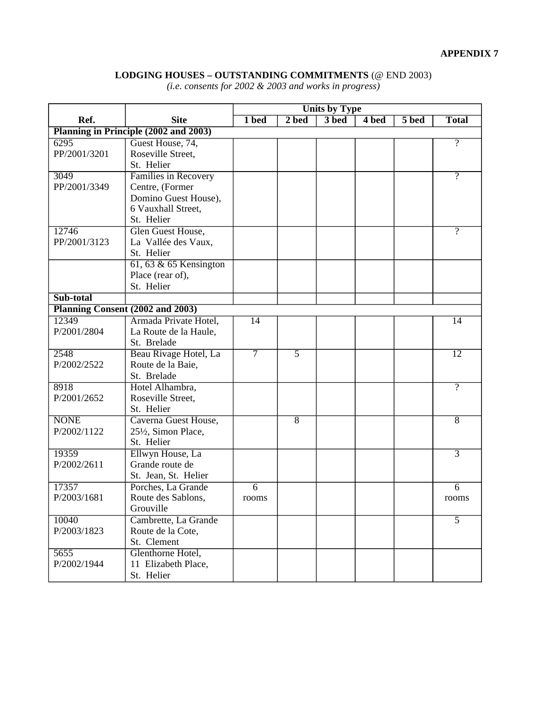## **LODGING HOUSES – OUTSTANDING COMMITMENTS** (@ END 2003)

*(i.e. consents for 2002 & 2003 and works in progress)*

|              |                                       | <b>Units by Type</b> |                |       |       |         |                 |
|--------------|---------------------------------------|----------------------|----------------|-------|-------|---------|-----------------|
| Ref.         | <b>Site</b>                           | 1 bed                | 2 bed          | 3 bed | 4 bed | $5$ bed | <b>Total</b>    |
|              | Planning in Principle (2002 and 2003) |                      |                |       |       |         |                 |
| 6295         | Guest House, 74,                      |                      |                |       |       |         | $\overline{?}$  |
| PP/2001/3201 | Roseville Street,                     |                      |                |       |       |         |                 |
|              | St. Helier                            |                      |                |       |       |         |                 |
| 3049         | Families in Recovery                  |                      |                |       |       |         | $\overline{?}$  |
| PP/2001/3349 | Centre, (Former                       |                      |                |       |       |         |                 |
|              | Domino Guest House),                  |                      |                |       |       |         |                 |
|              | 6 Vauxhall Street,                    |                      |                |       |       |         |                 |
|              | St. Helier                            |                      |                |       |       |         |                 |
| 12746        | Glen Guest House,                     |                      |                |       |       |         | $\overline{?}$  |
| PP/2001/3123 | La Vallée des Vaux,                   |                      |                |       |       |         |                 |
|              | St. Helier                            |                      |                |       |       |         |                 |
|              | $61, 63$ & 65 Kensington              |                      |                |       |       |         |                 |
|              | Place (rear of),                      |                      |                |       |       |         |                 |
|              | St. Helier                            |                      |                |       |       |         |                 |
| Sub-total    |                                       |                      |                |       |       |         |                 |
|              | Planning Consent (2002 and 2003)      |                      |                |       |       |         |                 |
| 12349        | Armada Private Hotel,                 | $\overline{14}$      |                |       |       |         | $\overline{14}$ |
| P/2001/2804  | La Route de la Haule,                 |                      |                |       |       |         |                 |
|              | St. Brelade                           |                      |                |       |       |         |                 |
| 2548         | Beau Rivage Hotel, La                 | $\overline{\tau}$    | $\overline{5}$ |       |       |         | $\overline{12}$ |
| P/2002/2522  | Route de la Baie,                     |                      |                |       |       |         |                 |
|              | St. Brelade                           |                      |                |       |       |         |                 |
| 8918         |                                       |                      |                |       |       |         | $\overline{?}$  |
|              | Hotel Alhambra,                       |                      |                |       |       |         |                 |
| P/2001/2652  | Roseville Street,                     |                      |                |       |       |         |                 |
|              | St. Helier                            |                      |                |       |       |         |                 |
| <b>NONE</b>  | Caverna Guest House,                  |                      | $\overline{8}$ |       |       |         | $\overline{8}$  |
| P/2002/1122  | 251/2, Simon Place,                   |                      |                |       |       |         |                 |
|              | St. Helier                            |                      |                |       |       |         |                 |
| 19359        | Ellwyn House, La                      |                      |                |       |       |         | $\overline{3}$  |
| P/2002/2611  | Grande route de                       |                      |                |       |       |         |                 |
|              | St. Jean, St. Helier                  |                      |                |       |       |         |                 |
| 17357        | Porches, La Grande                    | $\overline{6}$       |                |       |       |         | $\overline{6}$  |
| P/2003/1681  | Route des Sablons,                    | rooms                |                |       |       |         | rooms           |
|              | Grouville                             |                      |                |       |       |         |                 |
| 10040        | Cambrette, La Grande                  |                      |                |       |       |         | $\overline{5}$  |
| P/2003/1823  | Route de la Cote,                     |                      |                |       |       |         |                 |
|              | St. Clement                           |                      |                |       |       |         |                 |
| 5655         | Glenthorne Hotel,                     |                      |                |       |       |         |                 |
| P/2002/1944  | 11 Elizabeth Place,                   |                      |                |       |       |         |                 |
|              | St. Helier                            |                      |                |       |       |         |                 |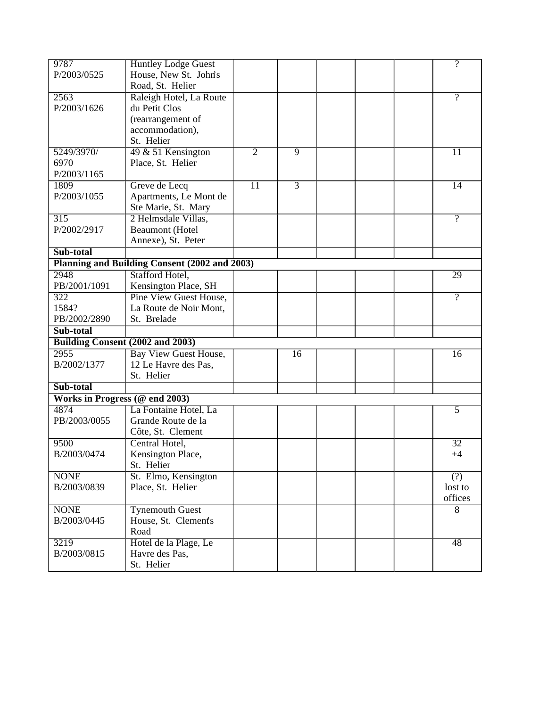| 9787                             | <b>Huntley Lodge Guest</b>                    |                 |                 |  |  |  | $\overline{?}$   |
|----------------------------------|-----------------------------------------------|-----------------|-----------------|--|--|--|------------------|
| P/2003/0525                      | House, New St. John's                         |                 |                 |  |  |  |                  |
|                                  | Road, St. Helier                              |                 |                 |  |  |  |                  |
| 2563                             | Raleigh Hotel, La Route                       |                 |                 |  |  |  | $\overline{?}$   |
| P/2003/1626                      | du Petit Clos                                 |                 |                 |  |  |  |                  |
|                                  | (rearrangement of                             |                 |                 |  |  |  |                  |
|                                  | accommodation),                               |                 |                 |  |  |  |                  |
|                                  | St. Helier                                    |                 |                 |  |  |  |                  |
| 5249/3970/                       | 49 & 51 Kensington                            | $\overline{2}$  | $\overline{9}$  |  |  |  | 11               |
| 6970                             | Place, St. Helier                             |                 |                 |  |  |  |                  |
| P/2003/1165                      |                                               |                 |                 |  |  |  |                  |
| 1809                             | Greve de Lecq                                 | $\overline{11}$ | $\overline{3}$  |  |  |  | 14               |
| P/2003/1055                      | Apartments, Le Mont de                        |                 |                 |  |  |  |                  |
|                                  | Ste Marie, St. Mary                           |                 |                 |  |  |  |                  |
| $\overline{315}$                 | 2 Helmsdale Villas,                           |                 |                 |  |  |  | $\gamma$         |
| P/2002/2917                      | <b>Beaumont</b> (Hotel                        |                 |                 |  |  |  |                  |
|                                  |                                               |                 |                 |  |  |  |                  |
| Sub-total                        | Annexe), St. Peter                            |                 |                 |  |  |  |                  |
|                                  |                                               |                 |                 |  |  |  |                  |
|                                  | Planning and Building Consent (2002 and 2003) |                 |                 |  |  |  |                  |
| 2948                             | Stafford Hotel,                               |                 |                 |  |  |  | 29               |
| PB/2001/1091                     | Kensington Place, SH                          |                 |                 |  |  |  |                  |
| 322                              | <b>Pine View Guest House,</b>                 |                 |                 |  |  |  | $\overline{?}$   |
| 1584?                            | La Route de Noir Mont,                        |                 |                 |  |  |  |                  |
| PB/2002/2890                     | St. Brelade                                   |                 |                 |  |  |  |                  |
| Sub-total                        |                                               |                 |                 |  |  |  |                  |
| Building Consent (2002 and 2003) |                                               |                 |                 |  |  |  |                  |
| 2955                             | <b>Bay View Guest House,</b>                  |                 | $\overline{16}$ |  |  |  | $\overline{16}$  |
| B/2002/1377                      | 12 Le Havre des Pas,                          |                 |                 |  |  |  |                  |
|                                  | St. Helier                                    |                 |                 |  |  |  |                  |
| Sub-total                        |                                               |                 |                 |  |  |  |                  |
| Works in Progress (@ end 2003)   |                                               |                 |                 |  |  |  |                  |
| 4874                             | La Fontaine Hotel, La                         |                 |                 |  |  |  | $\overline{5}$   |
| PB/2003/0055                     | Grande Route de la                            |                 |                 |  |  |  |                  |
|                                  | Côte, St. Clement                             |                 |                 |  |  |  |                  |
| 9500                             | Central Hotel,                                |                 |                 |  |  |  | 32               |
| B/2003/0474                      | Kensington Place,                             |                 |                 |  |  |  | $+4$             |
|                                  | St. Helier                                    |                 |                 |  |  |  |                  |
| <b>NONE</b>                      | St. Elmo, Kensington                          |                 |                 |  |  |  | $\overline{(?)}$ |
| B/2003/0839                      | Place, St. Helier                             |                 |                 |  |  |  | lost to          |
|                                  |                                               |                 |                 |  |  |  | offices          |
| <b>NONE</b>                      | <b>Tynemouth Guest</b>                        |                 |                 |  |  |  | 8                |
| B/2003/0445                      | House, St. Clements                           |                 |                 |  |  |  |                  |
|                                  |                                               |                 |                 |  |  |  |                  |
|                                  |                                               |                 |                 |  |  |  |                  |
|                                  | Road                                          |                 |                 |  |  |  |                  |
| 3219<br>B/2003/0815              | Hotel de la Plage, Le<br>Havre des Pas,       |                 |                 |  |  |  | $\overline{48}$  |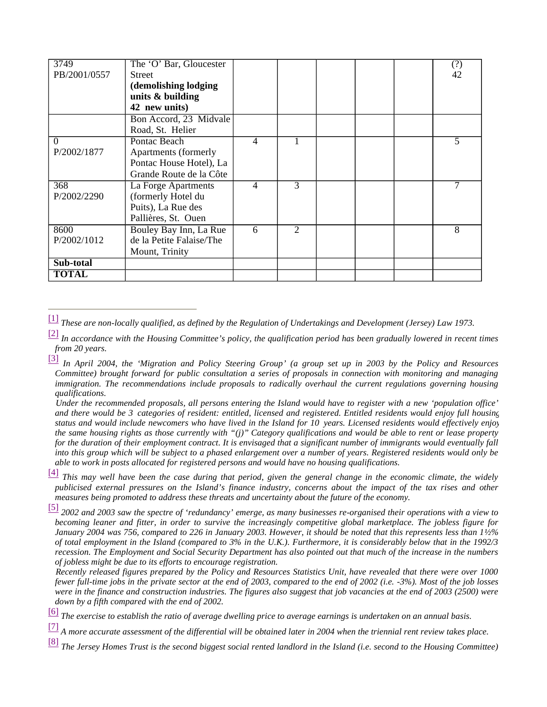| 3749         | The 'O' Bar, Gloucester  |   |                             |  | (?) |
|--------------|--------------------------|---|-----------------------------|--|-----|
| PB/2001/0557 | <b>Street</b>            |   |                             |  | 42  |
|              | (demolishing lodging     |   |                             |  |     |
|              | units $&$ building       |   |                             |  |     |
|              | 42 new units)            |   |                             |  |     |
|              | Bon Accord, 23 Midvale   |   |                             |  |     |
|              | Road, St. Helier         |   |                             |  |     |
| $\Omega$     | Pontac Beach             | 4 |                             |  | 5   |
| P/2002/1877  | Apartments (formerly     |   |                             |  |     |
|              | Pontac House Hotel), La  |   |                             |  |     |
|              | Grande Route de la Côte  |   |                             |  |     |
| 368          | La Forge Apartments      | 4 | 3                           |  |     |
| P/2002/2290  | (formerly Hotel du       |   |                             |  |     |
|              | Puits), La Rue des       |   |                             |  |     |
|              | Pallières, St. Ouen      |   |                             |  |     |
| 8600         | Bouley Bay Inn, La Rue   | 6 | $\mathcal{D}_{\mathcal{L}}$ |  | 8   |
| P/2002/1012  | de la Petite Falaise/The |   |                             |  |     |
|              | Mount, Trinity           |   |                             |  |     |
| Sub-total    |                          |   |                             |  |     |
| <b>TOTAL</b> |                          |   |                             |  |     |

[1] *These are non-locally qualified, as defined by the Regulation of Undertakings and Development (Jersey) Law 1973.*

[2] *In accordance with the Housing Committee's policy, the qualification period has been gradually lowered in recent times from 20 years.*

 *Under the recommended proposals, all persons entering the Island would have to register with a new 'population office' and there would be 3 categories of resident: entitled, licensed and registered. Entitled residents would enjoy full housing status and would include newcomers who have lived in the Island for 10 years. Licensed residents would effectively enjoy the same housing rights as those currently with "(j)" Category qualifications and would be able to rent or lease property for the duration of their employment contract. It is envisaged that a significant number of immigrants would eventually fall into this group which will be subject to a phased enlargement over a number of years. Registered residents would only be able to work in posts allocated for registered persons and would have no housing qualifications.*

[4] *This may well have been the case during that period, given the general change in the economic climate, the widely publicised external pressures on the Island's finance industry, concerns about the impact of the tax rises and other measures being promoted to address these threats and uncertainty about the future of the economy.*

[5] *2002 and 2003 saw the spectre of 'redundancy' emerge, as many businesses re-organised their operations with a view to becoming leaner and fitter, in order to survive the increasingly competitive global marketplace. The jobless figure for January 2004 was 756, compared to 226 in January 2003. However, it should be noted that this represents less than 1½% of total employment in the Island (compared to 3% in the U.K.). Furthermore, it is considerably below that in the 1992/3 recession. The Employment and Social Security Department has also pointed out that much of the increase in the numbers of jobless might be due to its efforts to encourage registration.*

 *Recently released figures prepared by the Policy and Resources Statistics Unit, have revealed that there were over 1000 fewer full-time jobs in the private sector at the end of 2003, compared to the end of 2002 (i.e. -3%). Most of the job losses were in the finance and construction industries. The figures also suggest that job vacancies at the end of 2003 (2500) were down by a fifth compared with the end of 2002.*

[6] *The exercise to establish the ratio of average dwelling price to average earnings is undertaken on an annual basis.*

[7] *A more accurate assessment of the differential will be obtained later in 2004 when the triennial rent review takes place.*

[8] *The Jersey Homes Trust is the second biggest social rented landlord in the Island (i.e. second to the Housing Committee)*

<sup>[3]</sup> *In April 2004, the 'Migration and Policy Steering Group' (a group set up in 2003 by the Policy and Resources Committee) brought forward for public consultation a series of proposals in connection with monitoring and managing immigration. The recommendations include proposals to radically overhaul the current regulations governing housing qualifications.*